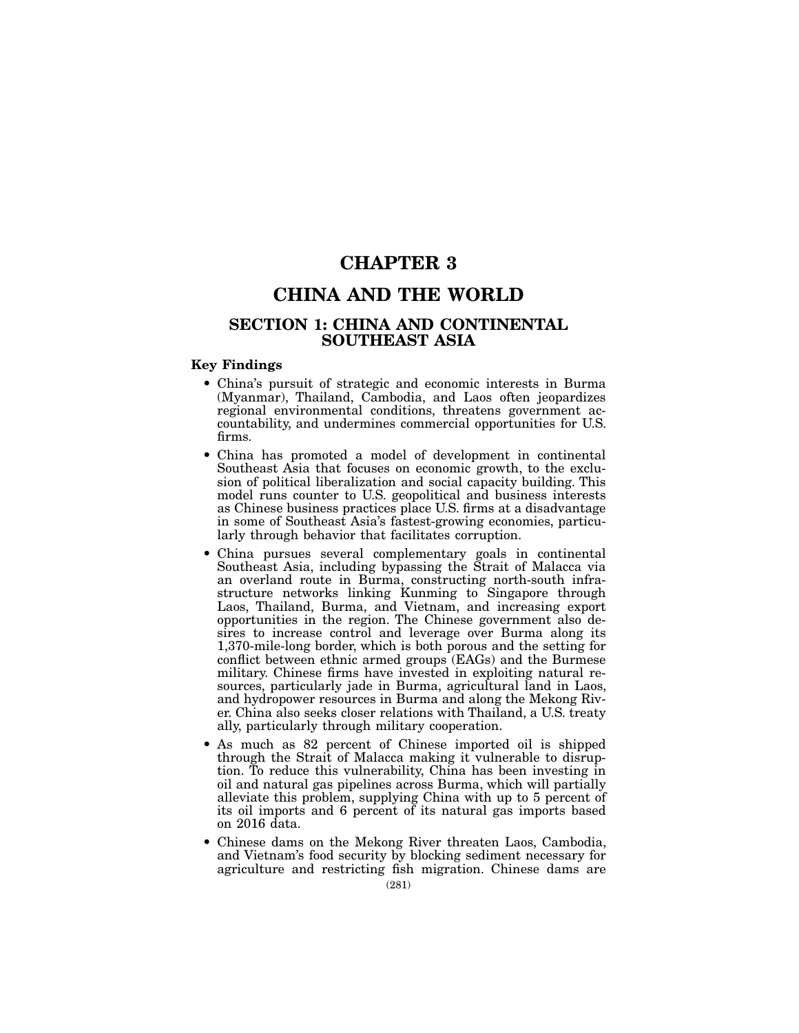# CHAPTER 3

# CHINA AND THE WORLD

# SECTION 1: CHINA AND CONTINENTAL SOUTHEAST ASIA

# Key Findings

- China's pursuit of strategic and economic interests in Burma (Myanmar), Thailand, Cambodia, and Laos often jeopardizes regional environmental conditions, threatens government accountability, and undermines commercial opportunities for U.S. firms.
- China has promoted a model of development in continental Southeast Asia that focuses on economic growth, to the exclusion of political liberalization and social capacity building. This model runs counter to U.S. geopolitical and business interests as Chinese business practices place U.S. firms at a disadvantage in some of Southeast Asia's fastest-growing economies, particularly through behavior that facilitates corruption.
- China pursues several complementary goals in continental Southeast Asia, including bypassing the Strait of Malacca via an overland route in Burma, constructing north-south infrastructure networks linking Kunming to Singapore through Laos, Thailand, Burma, and Vietnam, and increasing export opportunities in the region. The Chinese government also desires to increase control and leverage over Burma along its 1,370-mile-long border, which is both porous and the setting for conflict between ethnic armed groups (EAGs) and the Burmese military. Chinese firms have invested in exploiting natural resources, particularly jade in Burma, agricultural land in Laos, and hydropower resources in Burma and along the Mekong River. China also seeks closer relations with Thailand, a U.S. treaty ally, particularly through military cooperation.
- As much as 82 percent of Chinese imported oil is shipped through the Strait of Malacca making it vulnerable to disruption. To reduce this vulnerability, China has been investing in oil and natural gas pipelines across Burma, which will partially alleviate this problem, supplying China with up to 5 percent of its oil imports and 6 percent of its natural gas imports based on 2016 data.
- Chinese dams on the Mekong River threaten Laos, Cambodia, and Vietnam's food security by blocking sediment necessary for agriculture and restricting fish migration. Chinese dams are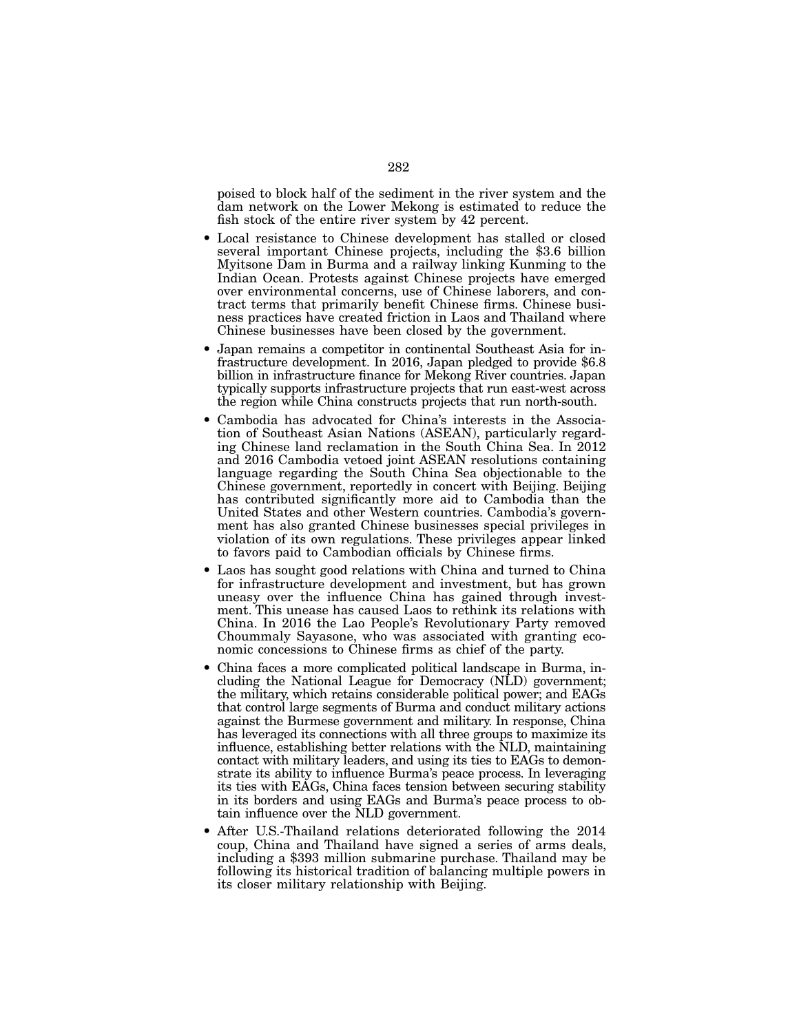poised to block half of the sediment in the river system and the dam network on the Lower Mekong is estimated to reduce the fish stock of the entire river system by 42 percent.

- Local resistance to Chinese development has stalled or closed several important Chinese projects, including the \$3.6 billion Myitsone Dam in Burma and a railway linking Kunming to the Indian Ocean. Protests against Chinese projects have emerged over environmental concerns, use of Chinese laborers, and contract terms that primarily benefit Chinese firms. Chinese business practices have created friction in Laos and Thailand where Chinese businesses have been closed by the government.
- Japan remains a competitor in continental Southeast Asia for infrastructure development. In 2016, Japan pledged to provide \$6.8 billion in infrastructure finance for Mekong River countries. Japan typically supports infrastructure projects that run east-west across the region while China constructs projects that run north-south.
- Cambodia has advocated for China's interests in the Association of Southeast Asian Nations (ASEAN), particularly regarding Chinese land reclamation in the South China Sea. In 2012 and 2016 Cambodia vetoed joint ASEAN resolutions containing language regarding the South China Sea objectionable to the Chinese government, reportedly in concert with Beijing. Beijing has contributed significantly more aid to Cambodia than the United States and other Western countries. Cambodia's government has also granted Chinese businesses special privileges in violation of its own regulations. These privileges appear linked to favors paid to Cambodian officials by Chinese firms.
- Laos has sought good relations with China and turned to China for infrastructure development and investment, but has grown uneasy over the influence China has gained through investment. This unease has caused Laos to rethink its relations with China. In 2016 the Lao People's Revolutionary Party removed Choummaly Sayasone, who was associated with granting economic concessions to Chinese firms as chief of the party.
- China faces a more complicated political landscape in Burma, including the National League for Democracy (NLD) government; the military, which retains considerable political power; and EAGs that control large segments of Burma and conduct military actions against the Burmese government and military. In response, China has leveraged its connections with all three groups to maximize its influence, establishing better relations with the NLD, maintaining contact with military leaders, and using its ties to EAGs to demonstrate its ability to influence Burma's peace process. In leveraging its ties with EAGs, China faces tension between securing stability in its borders and using EAGs and Burma's peace process to obtain influence over the NLD government.
- After U.S.-Thailand relations deteriorated following the 2014 coup, China and Thailand have signed a series of arms deals, including a \$393 million submarine purchase. Thailand may be following its historical tradition of balancing multiple powers in its closer military relationship with Beijing.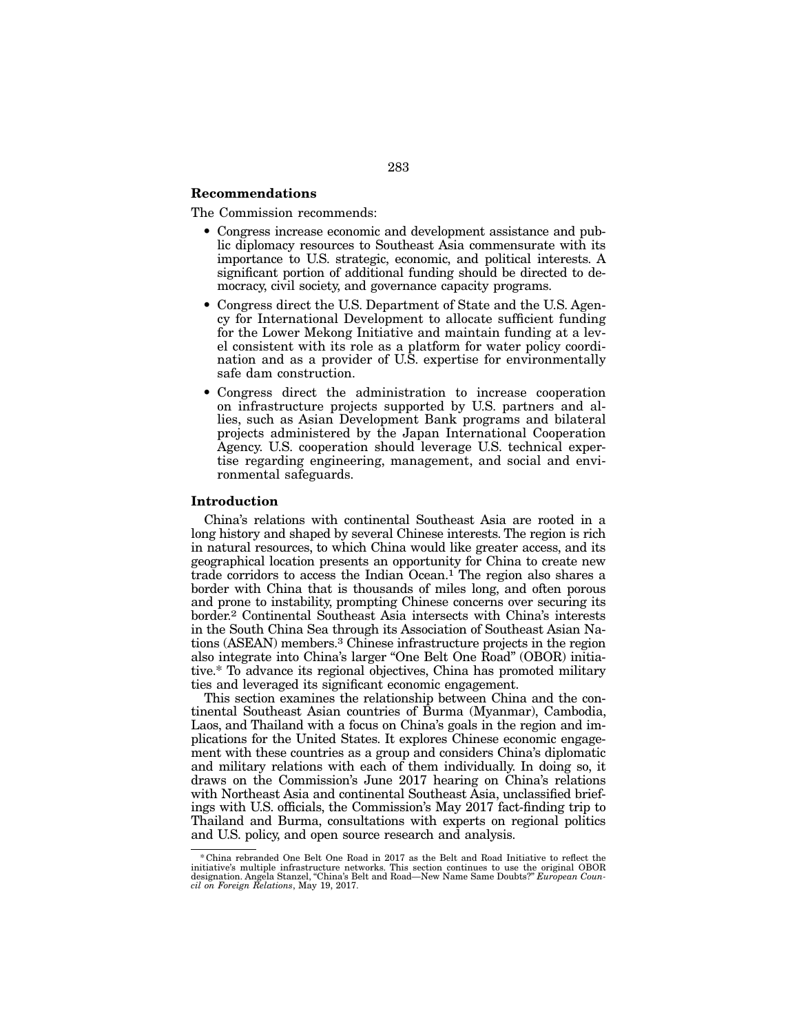# Recommendations

The Commission recommends:

- Congress increase economic and development assistance and public diplomacy resources to Southeast Asia commensurate with its importance to U.S. strategic, economic, and political interests. A significant portion of additional funding should be directed to democracy, civil society, and governance capacity programs.
- Congress direct the U.S. Department of State and the U.S. Agency for International Development to allocate sufficient funding for the Lower Mekong Initiative and maintain funding at a level consistent with its role as a platform for water policy coordination and as a provider of U.S. expertise for environmentally safe dam construction.
- Congress direct the administration to increase cooperation on infrastructure projects supported by U.S. partners and allies, such as Asian Development Bank programs and bilateral projects administered by the Japan International Cooperation Agency. U.S. cooperation should leverage U.S. technical expertise regarding engineering, management, and social and environmental safeguards.

## Introduction

China's relations with continental Southeast Asia are rooted in a long history and shaped by several Chinese interests. The region is rich in natural resources, to which China would like greater access, and its geographical location presents an opportunity for China to create new trade corridors to access the Indian Ocean.1 The region also shares a border with China that is thousands of miles long, and often porous and prone to instability, prompting Chinese concerns over securing its border.2 Continental Southeast Asia intersects with China's interests in the South China Sea through its Association of Southeast Asian Nations (ASEAN) members.3 Chinese infrastructure projects in the region also integrate into China's larger "One Belt One Road" (OBOR) initiative.\* To advance its regional objectives, China has promoted military ties and leveraged its significant economic engagement.

This section examines the relationship between China and the continental Southeast Asian countries of Burma (Myanmar), Cambodia, Laos, and Thailand with a focus on China's goals in the region and implications for the United States. It explores Chinese economic engagement with these countries as a group and considers China's diplomatic and military relations with each of them individually. In doing so, it draws on the Commission's June 2017 hearing on China's relations with Northeast Asia and continental Southeast Asia, unclassified briefings with U.S. officials, the Commission's May 2017 fact-finding trip to Thailand and Burma, consultations with experts on regional politics and U.S. policy, and open source research and analysis.

<sup>\*</sup> China rebranded One Belt One Road in 2017 as the Belt and Road Initiative to reflect the initiative's multiple infrastructure networks. This section continues to use the original OBOR designation. Angela Stanzel, "China'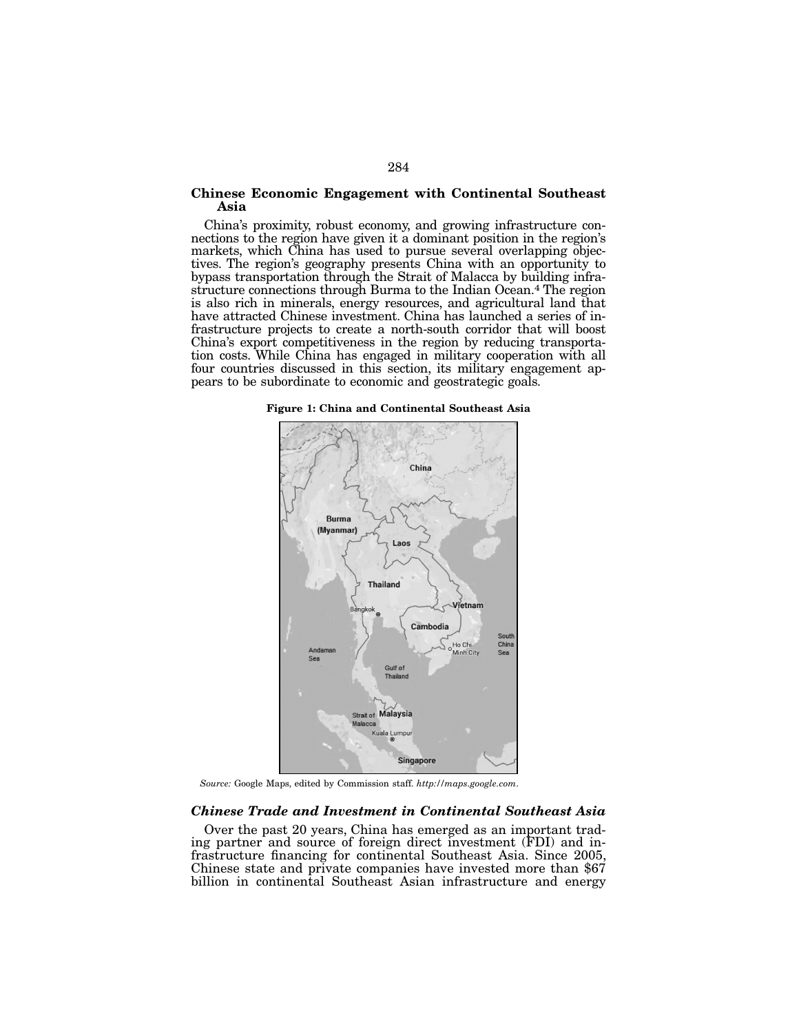# Chinese Economic Engagement with Continental Southeast Asia

China's proximity, robust economy, and growing infrastructure connections to the region have given it a dominant position in the region's markets, which China has used to pursue several overlapping objection tives. The region's geography presents China with an opportunity to bypass transportation through the Strait of Malacca by building infrastructure connections through Burma to the Indian Ocean.<sup>4</sup> The region is also rich in minerals, energy resources, and agricultural land that frastructure projects to create a north-south corridor that will boost China's export competitiveness in the region by reducing transportation costs. While China has engaged in military cooperation with all four countries discussed in this section, its military engagement appears to be subordinate to economic and geostrategic goals.

Figure 1: China and Continental Southeast Asia



*Source:* Google Maps, edited by Commission staff. *http://maps.google.com*.

# *Chinese Trade and Investment in Continental Southeast Asia*

Over the past 20 years, China has emerged as an important trading partner and source of foreign direct investment (FDI) and infrastructure financing for continental Southeast Asia. Since 2005, Chinese state and private companies have invested more than \$67 billion in continental Southeast Asian infrastructure and energy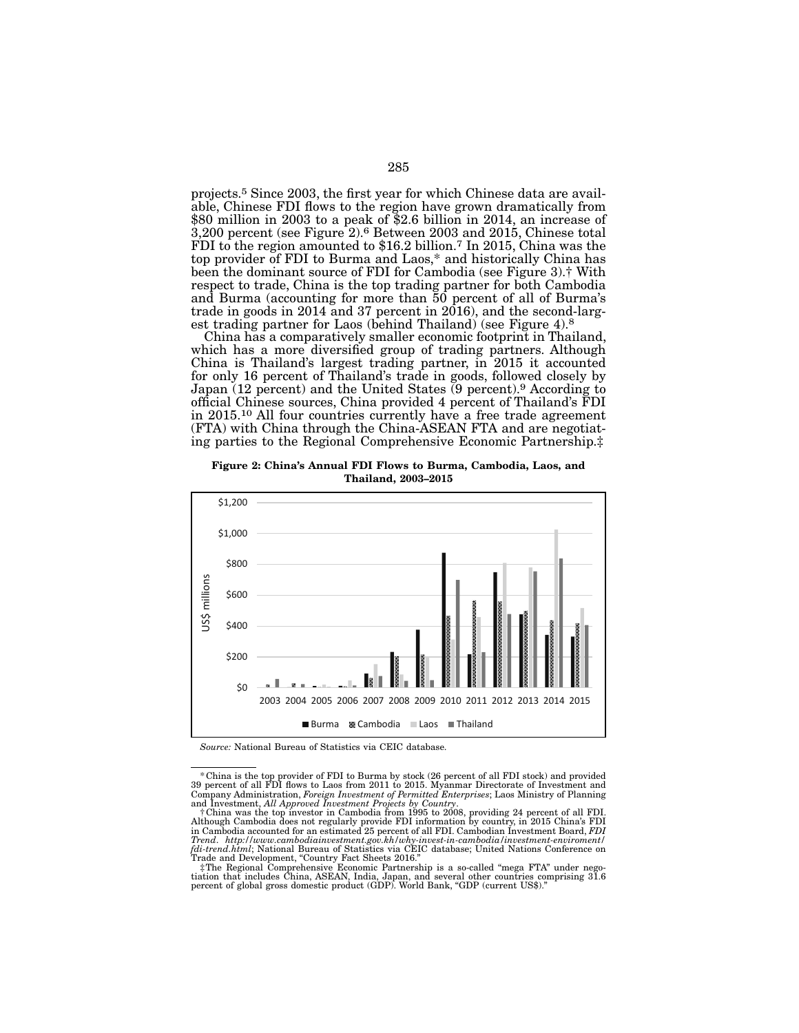projects.5 Since 2003, the first year for which Chinese data are available, Chinese FDI flows to the region have grown dramatically from \$80 million in 2003 to a peak of \$2.6 billion in 2014, an increase of 3,200 percent (see Figure 2).6 Between 2003 and 2015, Chinese total FDI to the region amounted to \$16.2 billion.7 In 2015, China was the top provider of FDI to Burma and Laos,\* and historically China has been the dominant source of FDI for Cambodia (see Figure 3).† With respect to trade, China is the top trading partner for both Cambodia and Burma (accounting for more than 50 percent of all of Burma's trade in goods in 2014 and 37 percent in 2016), and the second-larg-<br>est trading partner for Laos (behind Thailand) (see Figure 4).<sup>8</sup>

China has a comparatively smaller economic footprint in Thailand, which has a more diversified group of trading partners. Although China is Thailand's largest trading partner, in 2015 it accounted for only 16 percent of Thailand's trade in goods, followed closely by Japan (12 percent) and the United States (9 percent).9 According to official Chinese sources, China provided 4 percent of Thailand's FDI in 2015.10 All four countries currently have a free trade agreement (FTA) with China through the China-ASEAN FTA and are negotiat- ing parties to the Regional Comprehensive Economic Partnership.‡

Figure 2: China's Annual FDI Flows to Burma, Cambodia, Laos, and Thailand, 2003–2015



*Source:* National Bureau of Statistics via CEIC database.

<sup>\*</sup>China is the top provider of FDI to Burma by stock (26 percent of all FDI stock) and provided 39 percent of all FDI flows to Laos from 2011 to 2015. Myanmar Directorate of Investment and Company Administration, *Foreign Investment of Permitted Enterprises*; Laos Ministry of Planning

and Investment, *All Approved Investment Projects by Country*. †China was the top investor in Cambodia from 1995 to 2008, providing 24 percent of all FDI. Although Cambodia does not regularly provide FDI information by country, in 2015 China's FDI in Cambodia accounted for an estimated 25 percent of all FDI. Cambodian Investment Board, *FDI Trend*. *http://www.cambodiainvestment.gov.kh/why-invest-in-cambodia/investment-enviroment/ fdi-trend.html*; National Bureau of Statistics via CEIC database; United Nations Conference on

Trade and Development, "Country Fact Sheets 2016."<br>#The Regional Comprehensive Economic Partnership is a so-called "mega FTA" under nego-<br>tiation that includes China, ASEAN, India, Japan, and several other countries compri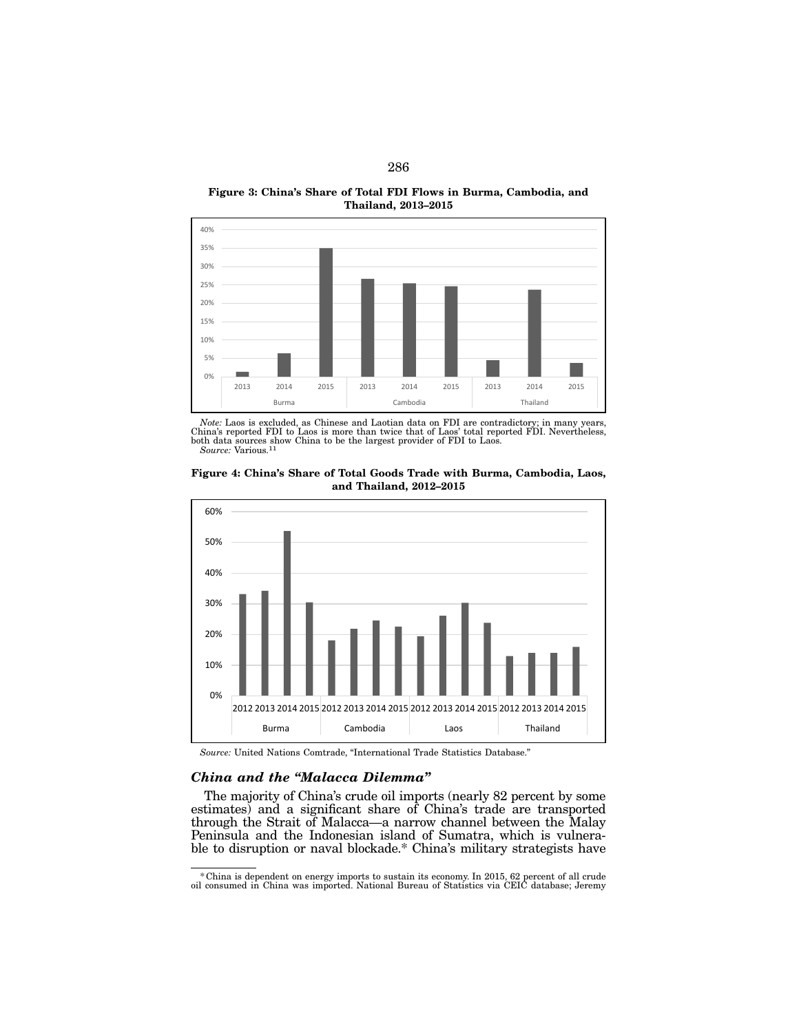Figure 3: China's Share of Total FDI Flows in Burma, Cambodia, and Thailand, 2013–2015



*Note:* Laos is excluded, as Chinese and Laotian data on FDI are contradictory; in many years, China's reported FDI to Laos is more than twice that of Laos' total reported FDI. Nevertheless, both data sources show China to be the largest provider of FDI to Laos. *Source:* Various.11



Figure 4: China's Share of Total Goods Trade with Burma, Cambodia, Laos, and Thailand, 2012–2015

*Source:* United Nations Comtrade, "International Trade Statistics Database."

# *China and the "Malacca Dilemma"*

The majority of China's crude oil imports (nearly 82 percent by some estimates) and a significant share of China's trade are transported through the Strait of Malacca—a narrow channel between the Malay ble to disruption or naval blockade.\* China's military strategists have

\*China is dependent on energy imports to sustain its economy. In 2015, 62 percent of all crude oil consumed in China was imported. National Bureau of Statistics via CEIC database; Jeremy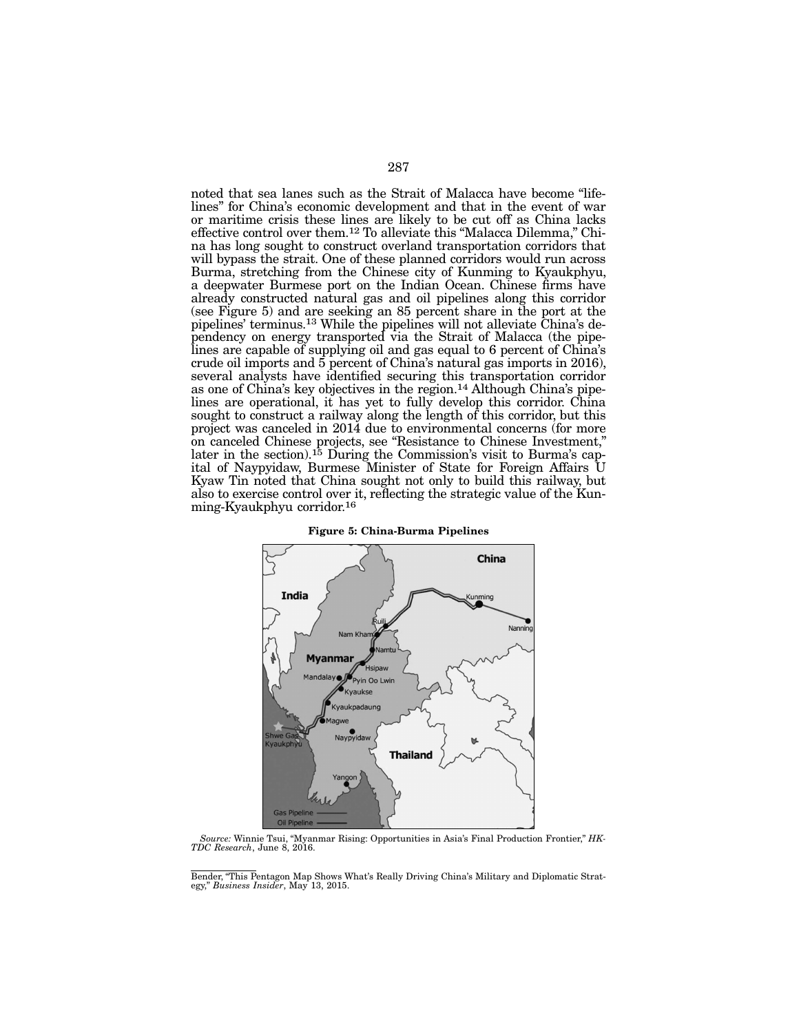noted that sea lanes such as the Strait of Malacca have become "lifelines" for China's economic development and that in the event of war or maritime crisis these lines are likely to be cut off as China lacks effective control over them.<sup>12</sup> To alleviate this "Malacca Dilemma," China has long sought to construct overland transportation corridors that will bypass the strait. One of these planned corridors would run across Burma, stretching from the Chinese city of Kunming to Kyaukphyu, a deepwater Burmese port on the Indian Ocean. Chinese firms have already constructed natural gas and oil pipelines along this corridor (see Figure 5) and are seeking an 85 percent share in the port at the pipelines' terminus.<sup>13</sup> While the pipelines will not alleviate China's dependency on energy transported via the Strait of Malacca (the pipe-<br>lines are capable of supplying oil and gas equal to 6 percent of China's crude oil imports and 5 percent of China's natural gas imports in 2016), several analysts have identified securing this transportation corridor as one of China's key objectives in the region.<sup>14</sup> Although China's pipelines are operational, it has yet to fully develop this corridor. China sought to construct a railway along the length of this corridor, but this project was canceled in 2014 due to environmental concerns (for more on canceled Chinese projects, see "Resistance to Chinese Investment," later in the section).<sup>15</sup> During the Commission's visit to Burma's cap-<br>ital of Naypyidaw, Burmese Minister of State for Foreign Affairs U Kyaw Tin noted that China sought not only to build this railway, but also to exercise control over it, reflecting the strategic value of the Kun- ming-Kyaukphyu corridor.16



Figure 5: China-Burma Pipelines

*Source:* Winnie Tsui, "Myanmar Rising: Opportunities in Asia's Final Production Frontier," *HK-TDC Research*, June 8, 2016.

Bender, "This Pentagon Map Shows What's Really Driving China's Military and Diplomatic Strat- egy," *Business Insider*, May 13, 2015.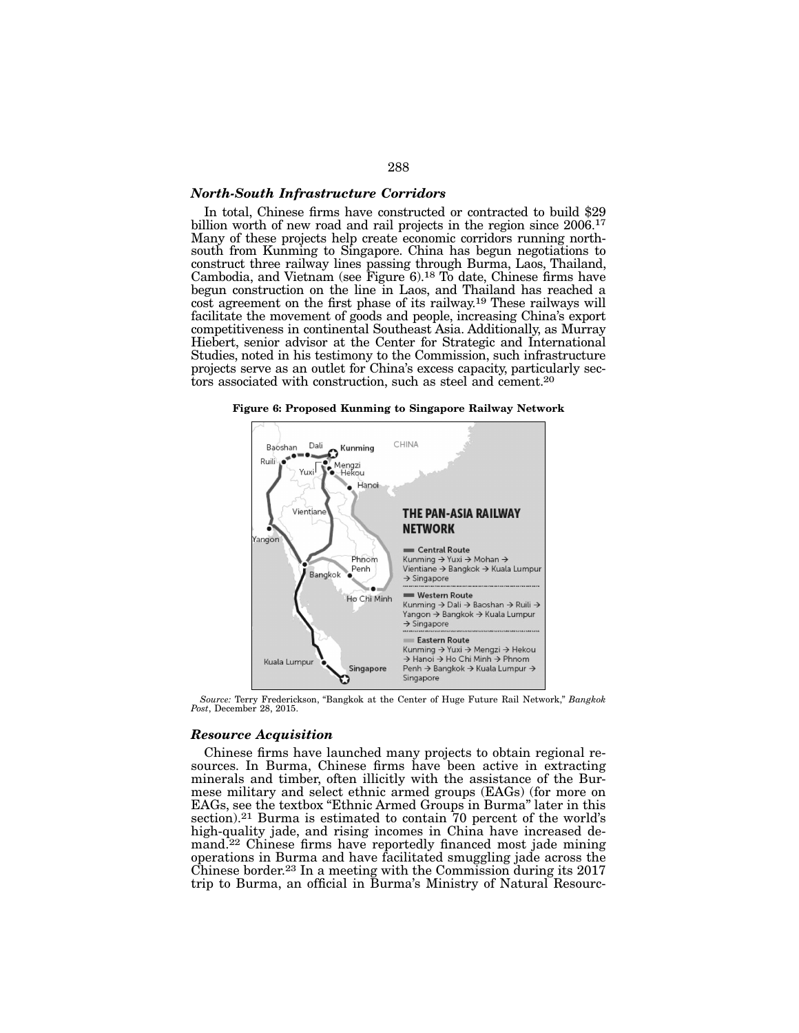# *North-South Infrastructure Corridors*

In total, Chinese firms have constructed or contracted to build \$29 billion worth of new road and rail projects in the region since 2006.<sup>17</sup> Many of these projects help create economic corridors running northsouth from Kunming to Singapore. China has begun negotiations to construct three railway lines passing through Burma, Laos, Thailand, Cambodia, and Vietnam (see Figure  $6$ ).<sup>18</sup> To date, Chinese firms have begun construction on the line in Laos, and Thailand has reached a cost agreement on the first phase of its railway.19 These railways will facilitate the movement of goods and people, increasing China's export competitiveness in continental Southeast Asia. Additionally, as Murray Hiebert, senior advisor at the Center for Strategic and International Studies, noted in his testimony to the Commission, such infrastructure projects serve as an outlet for China's excess capacity, particularly sectors associated with construction, such as steel and cement.<sup>20</sup>

Figure 6: Proposed Kunming to Singapore Railway Network



*Source:* Terry Frederickson, "Bangkok at the Center of Huge Future Rail Network," *Bangkok Post*, December 28, 2015.

#### *Resource Acquisition*

Chinese firms have launched many projects to obtain regional re- sources. In Burma, Chinese firms have been active in extracting minerals and timber, often illicitly with the assistance of the Burmese military and select ethnic armed groups (EAGs) (for more on EAGs, see the textbox "Ethnic Armed Groups in Burma" later in this section).<sup>21</sup> Burma is estimated to contain 70 percent of the world's high-quality jade, and rising incomes in China have increased demand.<sup>22</sup> Chinese firms have reportedly financed most jade mining operations in Burma and have facilitated smuggling jade across the Chinese border.<sup>23</sup> In a meeting with the Commission during its  $2017$ trip to Burma, an official in Burma's Ministry of Natural Resourc-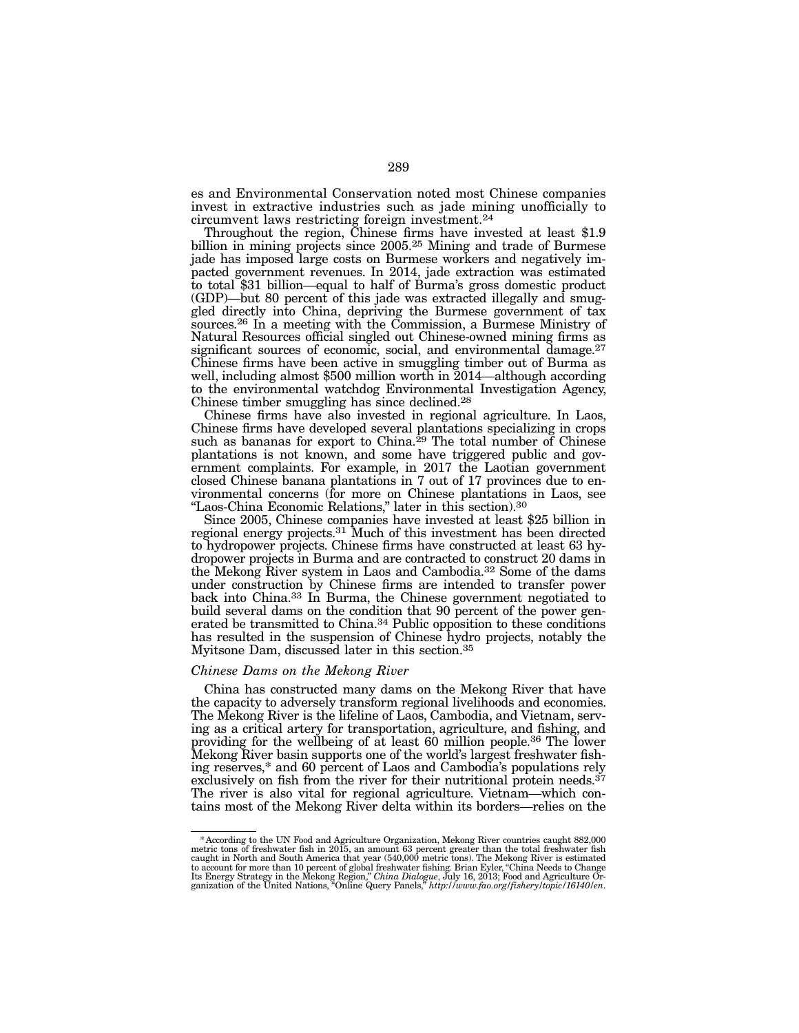es and Environmental Conservation noted most Chinese companies invest in extractive industries such as jade mining unofficially to circumvent laws restricting foreign investment.24

Throughout the region, Chinese firms have invested at least \$1.9 billion in mining projects since 2005.<sup>25</sup> Mining and trade of Burmese jade has imposed large costs on Burmese workers and negatively impacted government revenues. In 2014, jade extraction was estimated to total \$31 billion—equal to half of Burma's gross domestic product gled directly into China, depriving the Burmese government of tax sources.26 In a meeting with the Commission, a Burmese Ministry of Natural Resources official singled out Chinese-owned mining firms as significant sources of economic, social, and environmental damage.<sup>27</sup> Chinese firms have been active in smuggling timber out of Burma as well, including almost \$500 million worth in 2014—although according to the environmental watchdog Environmental Investigation Agency, Chinese timber smuggling has since declined.28

Chinese firms have also invested in regional agriculture. In Laos, Chinese firms have developed several plantations specializing in crops such as bananas for export to China.<sup>29</sup> The total number of Chinese plantations is not known, and some have triggered public and government complaints. For example, in 2017 the Laotian government closed Chinese banana plantations in 7 out of 17 provinces due to environmental concerns (for more on Chinese plantations in Laos, see "Laos-China Economic Relations," later in this section).30

Since 2005, Chinese companies have invested at least \$25 billion in regional energy projects.31 Much of this investment has been directed to hydropower projects. Chinese firms have constructed at least 63 hydropower projects in Burma and are contracted to construct 20 dams in the Mekong River system in Laos and Cambodia.32 Some of the dams under construction by Chinese firms are intended to transfer power back into China.<sup>33</sup> In Burma, the Chinese government negotiated to build several dams on the condition that 90 percent of the power generated be transmitted to China.34 Public opposition to these conditions has resulted in the suspension of Chinese hydro projects, notably the Myitsone Dam, discussed later in this section.35

#### *Chinese Dams on the Mekong River*

China has constructed many dams on the Mekong River that have the capacity to adversely transform regional livelihoods and economies. The Mekong River is the lifeline of Laos, Cambodia, and Vietnam, serving as a critical artery for transportation, agriculture, and fishing, and providing for the wellbeing of at least 60 million people.36 The lower Mekong River basin supports one of the world's largest freshwater fishing reserves,\* and 60 percent of Laos and Cambodia's populations rely exclusively on fish from the river for their nutritional protein needs.<sup>37</sup> The river is also vital for regional agriculture. Vietnam—which contains most of the Mekong River delta within its borders—relies on the

<sup>\*</sup> According to the UN Food and Agriculture Organization, Mekong River countries caught 882,000 metric tons of freshwater fish in 2015, an amount 63 percent greater than the total freshwater fish caught in North and South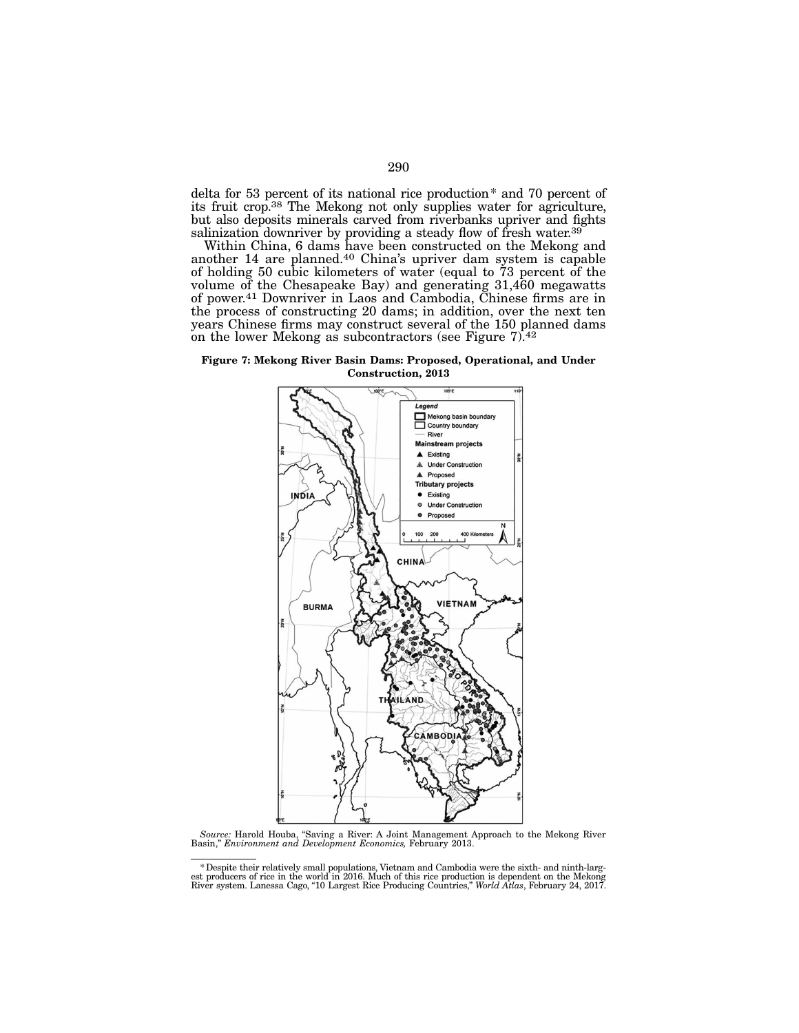delta for 53 percent of its national rice production\* and 70 percent of its fruit crop.38 The Mekong not only supplies water for agriculture, but also deposits minerals carved from riverbanks upriver and fights salinization downriver by providing a steady flow of fresh water.<sup>39</sup>

Within China, 6 dams have been constructed on the Mekong and another 14 are planned.<sup>40</sup> China's upriver dam system is capable of holding 50 cubic kilometers of water (equal to 73 percent of the volume of the Chesapeake Bay) and generating 31,460 megawatts of power.41 Downriver in Laos and Cambodia, Chinese firms are in the process of constructing 20 dams; in addition, over the next ten years Chinese firms may construct several of the 150 planned dams on the lower Mekong as subcontractors (see Figure 7).42

Figure 7: Mekong River Basin Dams: Proposed, Operational, and Under Construction, 2013



*Source:* Harold Houba, "Saving a River: A Joint Management Approach to the Mekong River Basin," *Environment and Development Economics,* February 2013.

Bespite their relatively small populations, Vietnam and Cambodia were the sixth- and ninth-largest producers of rice in the world in 2016. Much of this rice production is dependent on the Mekong<br>River system. Lanessa Cago,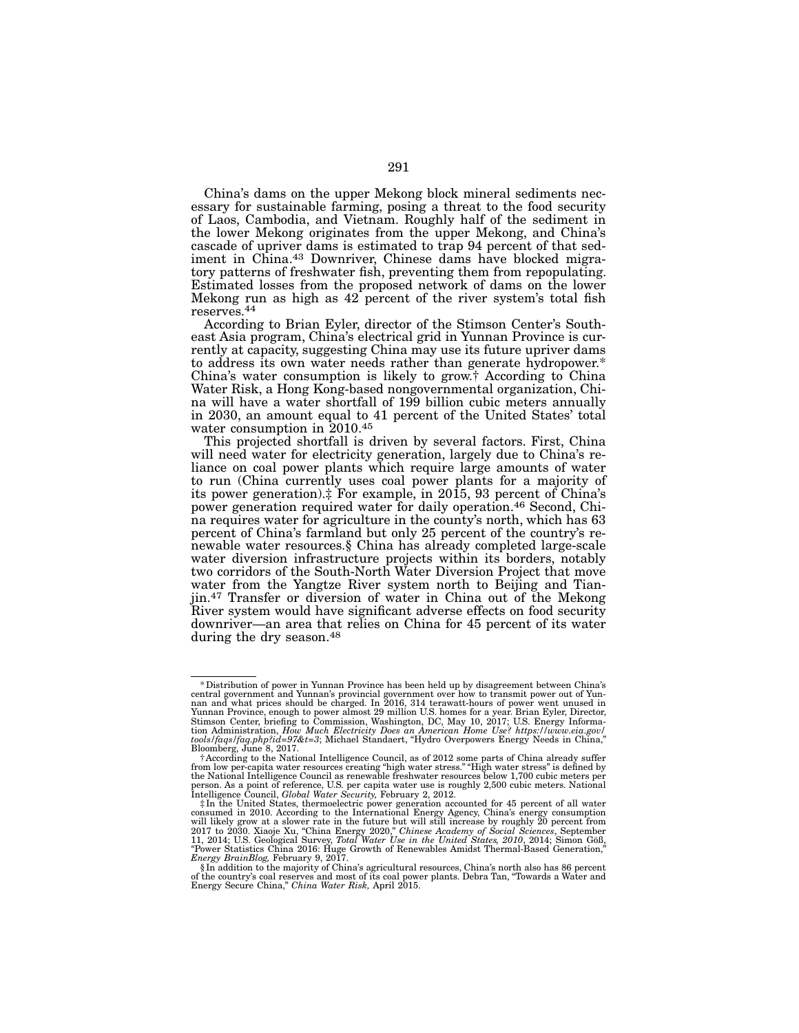China's dams on the upper Mekong block mineral sediments necessary for sustainable farming, posing a threat to the food security of Laos, Cambodia, and Vietnam. Roughly half of the sediment in the lower Mekong originates from the upper Mekong, and China's iment in China.<sup>43</sup> Downriver, Chinese dams have blocked migra-<br>tory patterns of freshwater fish, preventing them from repopulating. Estimated losses from the proposed network of dams on the lower Mekong run as high as 42 percent of the river system's total fish reserves.<sup>44</sup><br>According to Brian Eyler, director of the Stimson Center's South-

east Asia program, China's electrical grid in Yunnan Province is currently at capacity, suggesting China may use its future upriver dams to address its own water needs rather than generate hydropower.\* China's water consumption is likely to grow.† According to China na will have a water shortfall of 199 billion cubic meters annually in 2030, an amount equal to 41 percent of the United States' total water consumption in 2010.45

This projected shortfall is driven by several factors. First, China will need water for electricity generation, largely due to China's re- liance on coal power plants which require large amounts of water to run (China currently uses coal power plants for a majority of its power generation).‡ For example, in 2015, 93 percent of China's power generation required water for daily operation.46 Second, China requires water for agriculture in the county's north, which has 63 percent of China's farmland but only 25 percent of the country's renewable water resources.§ China has already completed large-scale water diversion infrastructure projects within its borders, notably two corridors of the South-North Water Diversion Project that move water from the Yangtze River system north to Beijing and Tianjin.47 Transfer or diversion of water in China out of the Mekong River system would have significant adverse effects on food security downriver—an area that relies on China for 45 percent of its water during the dry season.<sup>48</sup>

<sup>\*</sup>Distribution of power in Yunnan Province has been held up by disagreement between China's central government and Yunnan's provincial government over how to transmit power out of Yunnan and what prices should be charged. In 2016, 314 terawatt-hours of power went unused in Yunnan Province, enough to power almost

Bloomberg, June 8, 2017. †According to the National Intelligence Council, as of 2012 some parts of China already suffer from low per-capita water resources creating "high water stress." "High water stress" is defined by the National Intelligence Council as renewable freshwater resources below 1,700 cubic meters per person. As a point of reference, U.S. per capita water use is roughly 2,500 cubic meters. National Intelligence Council, *Global Water Security,* February 2, 2012.

<sup>&</sup>lt;sup> $\ddag$ </sup>In the United States, thermoelectric power generation accounted for 45 percent of all water consumed in 2010. According to the International Energy Agency, China's energy anamption will likely grow at a slower rate *Energy BrainBlog,* February 9, 2017.

<sup>§</sup> In addition to the majority of China's agricultural resources, China's north also has 86 percent of the country's coal reserves and most of its coal power plants. Debra Tan, "Towards a Water and Energy Secure China," *China Water Risk,* April 2015.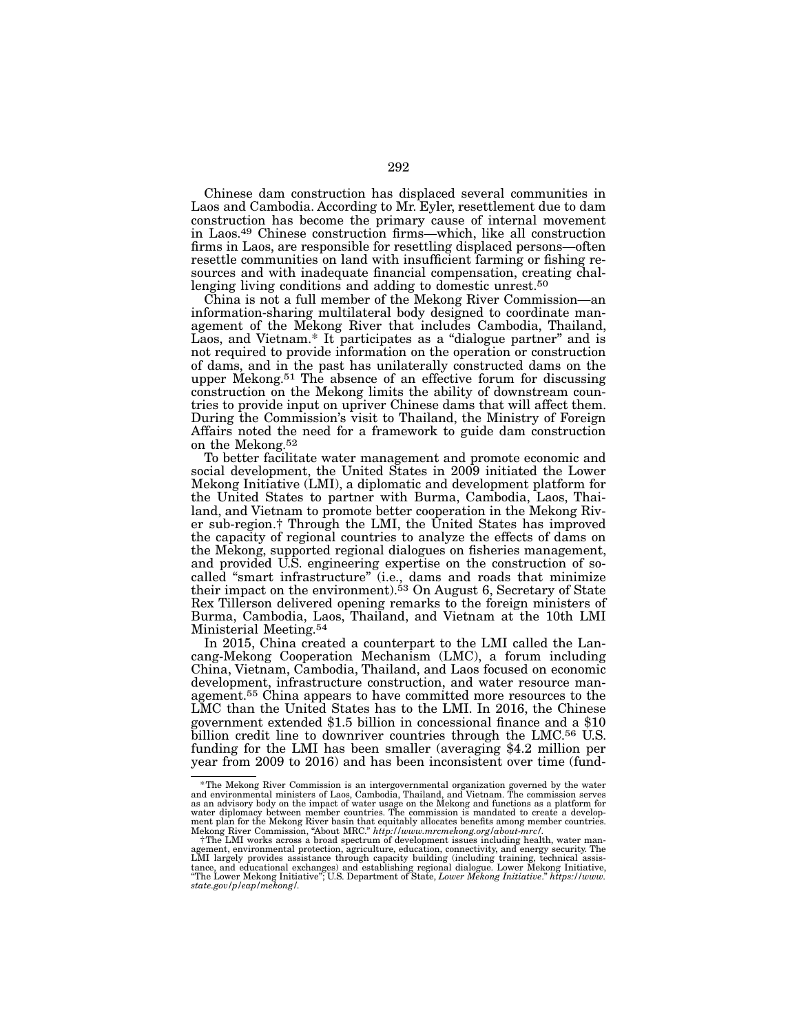Chinese dam construction has displaced several communities in Laos and Cambodia. According to Mr. Eyler, resettlement due to dam construction has become the primary cause of internal movement in Laos.49 Chinese construction firms—which, like all construction firms in Laos, are responsible for resettling displaced persons—often resettle communities on land with insufficient farming or fishing resources and with inadequate financial compensation, creating challenging living conditions and adding to domestic unrest.<sup>50</sup>

China is not a full member of the Mekong River Commission—an information-sharing multilateral body designed to coordinate management of the Mekong River that includes Cambodia, Thailand, Laos, and Vietnam.\* It participates as a "dialogue partner" and is not required to provide information on the operation or construction of dams, and in the past has unilaterally constructed dams on the upper Mekong.51 The absence of an effective forum for discussing construction on the Mekong limits the ability of downstream countries to provide input on upriver Chinese dams that will affect them. During the Commission's visit to Thailand, the Ministry of Foreign Affairs noted the need for a framework to guide dam construction on the Mekong.52

To better facilitate water management and promote economic and social development, the United States in 2009 initiated the Lower Mekong Initiative (LMI), a diplomatic and development platform for the United States to partner with Burma, Cambodia, Laos, Thailand, and Vietnam to promote better cooperation in the Mekong River sub-region.† Through the LMI, the United States has improved the capacity of regional countries to analyze the effects of dams on the Mekong, supported regional dialogues on fisheries management, and provided U.S. engineering expertise on the construction of socalled "smart infrastructure" (i.e., dams and roads that minimize their impact on the environment).<sup>53</sup> On August 6, Secretary of State Rex Tillerson delivered opening remarks to the foreign ministers of Burma, Cambodia, Laos, Thailand, and Vietnam at the 10th LMI Ministerial Meeting.54

In 2015, China created a counterpart to the LMI called the Lancang-Mekong Cooperation Mechanism (LMC), a forum including China, Vietnam, Cambodia, Thailand, and Laos focused on economic development, infrastructure construction, and water resource management.55 China appears to have committed more resources to the LMC than the United States has to the LMI. In 2016, the Chinese government extended \$1.5 billion in concessional finance and a \$10 billion credit line to downriver countries through the LMC.56 U.S. funding for the LMI has been smaller (averaging \$4.2 million per year from 2009 to 2016) and has been inconsistent over time (fund-

<sup>\*</sup>The Mekong River Commission is an intergovernmental organization governed by the water and environmental ministers of Laos, Cambodia, Thailand, and Vietnam. The commission serves as an advisory body on the impact of water usage on the Mekong and functions as a platform for water diplomacy between member countries. The commission is mandated to create a developwater diplomacy between member countries. The commission is mandated to create a develop-<br>ment plan for the Mekong River basin that equitably allocates benefits among member countries. Mekong River Commission, "About MRC." *http://www.mrcmekong.org/about-mrc/*. †The LMI works across a broad spectrum of development issues including health, water man-

agement, environmental protection, agriculture, education, connectivity, and energy security. The LMI largely provides assistance through capacity building (including training, technical assistance in a state capacity of t *state.gov/p/eap/mekong/.*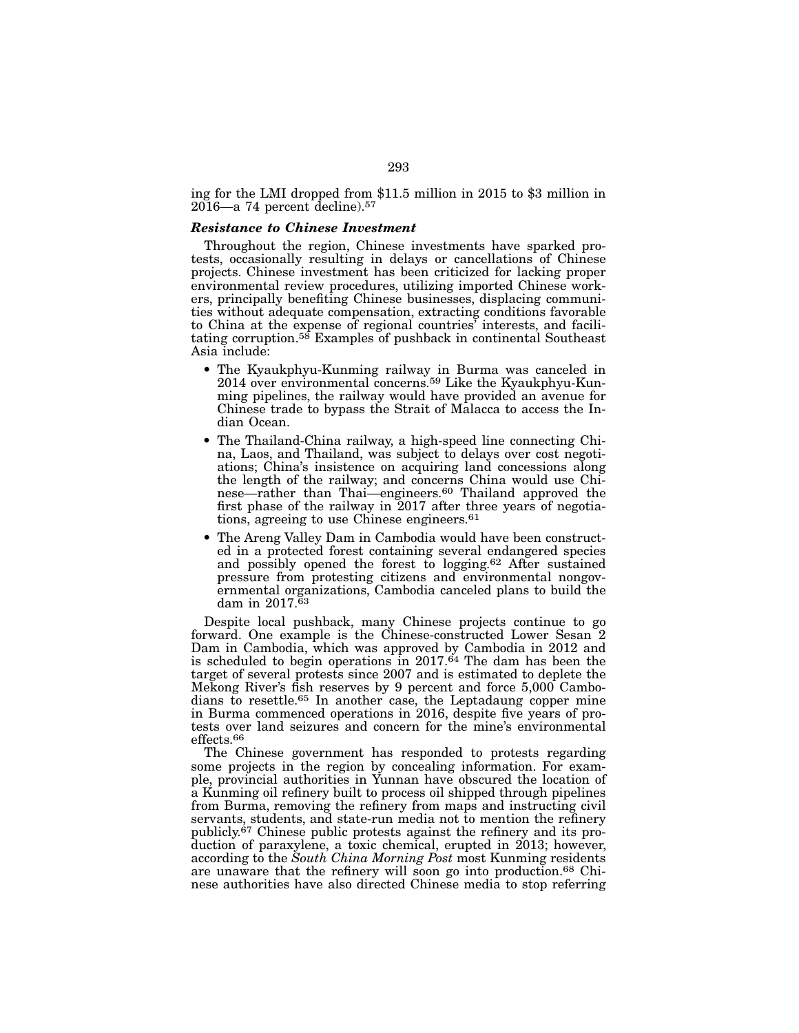ing for the LMI dropped from \$11.5 million in 2015 to \$3 million in  $2016$ —a 74 percent decline).<sup>57</sup>

#### *Resistance to Chinese Investment*

Throughout the region, Chinese investments have sparked protests, occasionally resulting in delays or cancellations of Chinese projects. Chinese investment has been criticized for lacking proper environmental review procedures, utilizing imported Chinese workers, principally benefiting Chinese businesses, displacing communities without adequate compensation, extracting conditions favorable to China at the expense of regional countries' interests, and facilitating corruption.58 Examples of pushback in continental Southeast Asia include:

- The Kyaukphyu-Kunming railway in Burma was canceled in 2014 over environmental concerns.59 Like the Kyaukphyu-Kunming pipelines, the railway would have provided an avenue for Chinese trade to bypass the Strait of Malacca to access the Indian Ocean.
- The Thailand-China railway, a high-speed line connecting China, Laos, and Thailand, was subject to delays over cost negotiations; China's insistence on acquiring land concessions along the length of the railway; and concerns China would use Chinese—rather than Thai—engineers.<sup>60</sup> Thailand approved the first phase of the railway in 2017 after three years of negotiations, agreeing to use Chinese engineers.61
- The Areng Valley Dam in Cambodia would have been constructed in a protected forest containing several endangered species and possibly opened the forest to logging.62 After sustained pressure from protesting citizens and environmental nongovernmental organizations, Cambodia canceled plans to build the dam in  $2017.\bar{6}3$

Despite local pushback, many Chinese projects continue to go forward. One example is the Chinese-constructed Lower Sesan 2 Dam in Cambodia, which was approved by Cambodia in 2012 and is scheduled to begin operations in  $2017.64$  The dam has been the target of several protests since 2007 and is estimated to deplete the Mekong River's fish reserves by 9 percent and force 5,000 Cambodians to resettle.65 In another case, the Leptadaung copper mine in Burma commenced operations in 2016, despite five years of protests over land seizures and concern for the mine's environmental effects.66

The Chinese government has responded to protests regarding some projects in the region by concealing information. For example, provincial authorities in Yunnan have obscured the location of a Kunming oil refinery built to process oil shipped through pipelines from Burma, removing the refinery from maps and instructing civil servants, students, and state-run media not to mention the refinery publicly.<sup>67</sup> Chinese public protests against the refinery and its production of paraxylene, a toxic chemical, erupted in 2013; however, according to the *South China Morning Post* most Kunming residents are unaware that the refinery will soon go into production.68 Chinese authorities have also directed Chinese media to stop referring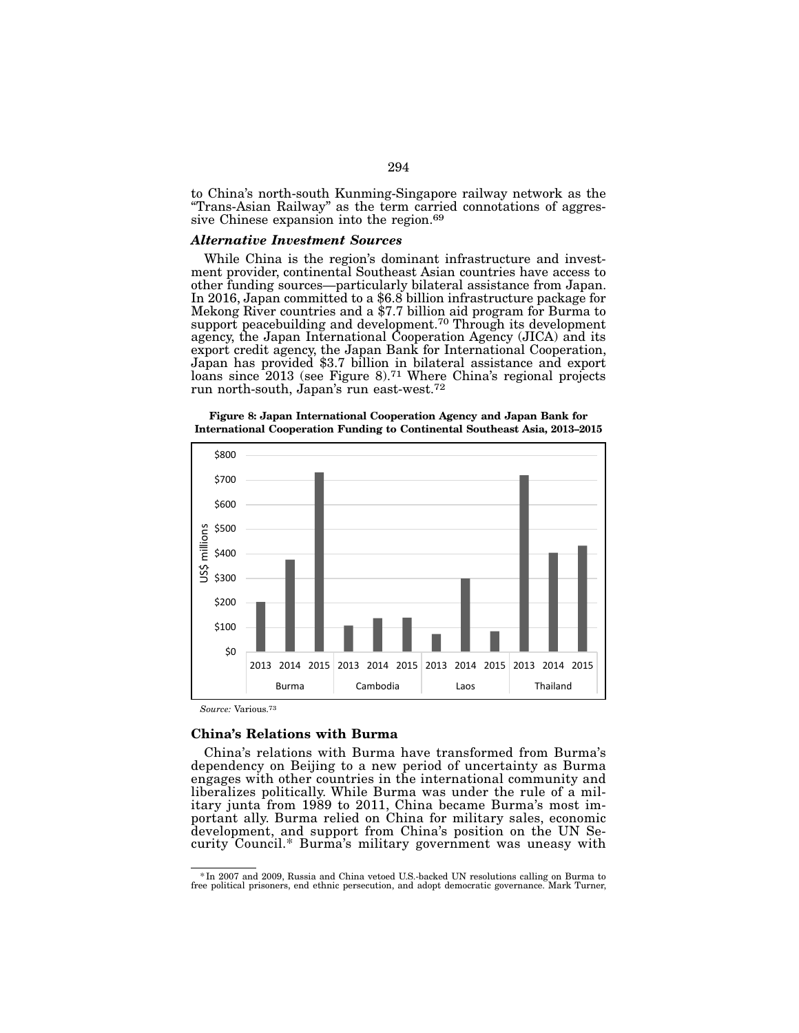to China's north-south Kunming-Singapore railway network as the "Trans-Asian Railway" as the term carried connotations of aggres- sive Chinese expansion into the region.69

#### *Alternative Investment Sources*

While China is the region's dominant infrastructure and invest-<br>ment provider, continental Southeast Asian countries have access to other funding sources—particularly bilateral assistance from Japan. In 2016, Japan committed to a \$6.8 billion infrastructure package for Mekong River countries and a \$7.7 billion aid program for Burma to support peacebuilding and development.<sup>70</sup> Through its development agency, the Japan International Cooperation Agency (JICA) and its export credit agency, the Japan Bank for International Cooperation, Japan has provided \$3.7 billion in bilateral assistance and export loans since 2013 (see Figure 8).71 Where China's regional projects run north-south, Japan's run east-west.72



Figure 8: Japan International Cooperation Agency and Japan Bank for International Cooperation Funding to Continental Southeast Asia, 2013–2015

*Source:* Various.73

#### China's Relations with Burma

China's relations with Burma have transformed from Burma's dependency on Beijing to a new period of uncertainty as Burma engages with other countries in the international community and liberalizes politically. While Burma was under the rule of a military junta from 1989 to 2011, China became Burma's most important ally. Burma relied on China for military sales, economic development, and support from China's position on the UN Security Council.\* Burma's military government was uneasy with

<sup>\*</sup>In 2007 and 2009, Russia and China vetoed U.S.-backed UN resolutions calling on Burma to free political prisoners, end ethnic persecution, and adopt democratic governance. Mark Turner,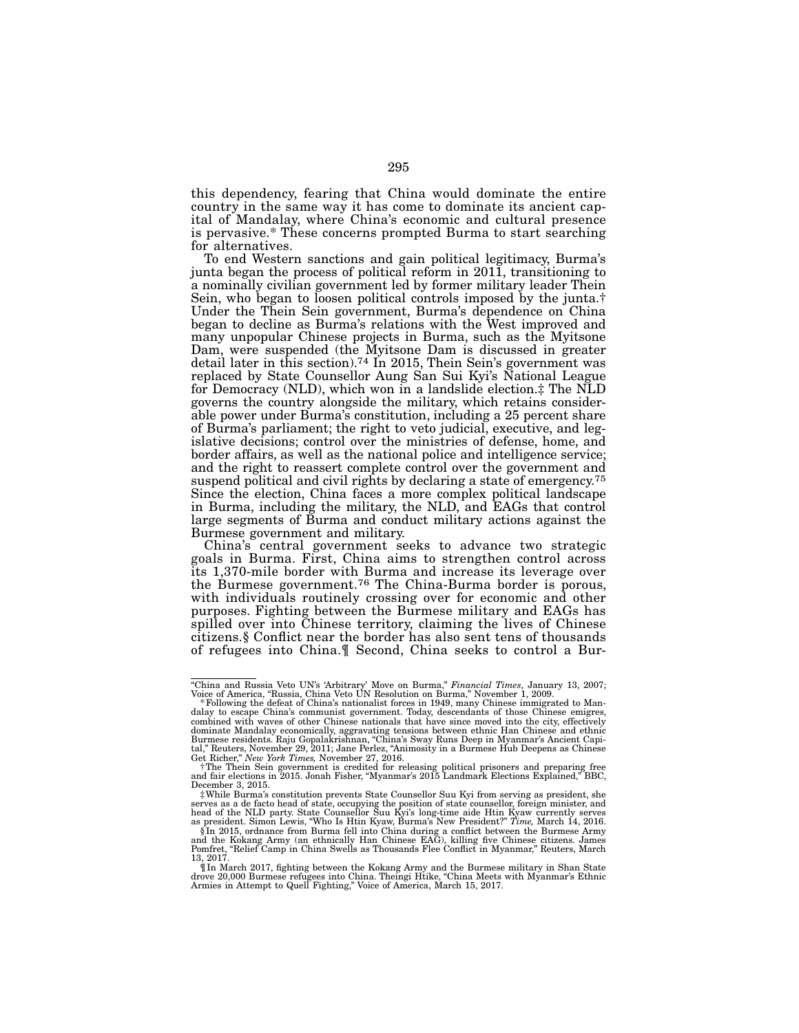this dependency, fearing that China would dominate the entire country in the same way it has come to dominate its ancient cap- ital of Mandalay, where China's economic and cultural presence is pervasive.\* These concerns prompted Burma to start searching for alternatives.

To end Western sanctions and gain political legitimacy, Burma's junta began the process of political reform in 2011, transitioning to a nominally civilian government led by former military leader Thein Sein, who began to loosen political controls imposed by the junta.† Under the Thein Sein government, Burma's dependence on China began to decline as Burma's relations with the West improved and many unpopular Chinese projects in Burma, such as the Myitsone Dam, were suspended (the Myitsone Dam is discussed in greater detail later in this section).<sup>74</sup> In 2015, Thein Sein's government was replaced by State Counsellor Aung San Sui Kyi's National League for Democracy (NLD), which won in a landslide election.‡ The NLD governs the country alongside the military, which retains considerable power under Burma's constitution, including a 25 percent share of Burma's parliament; the right to veto judicial, executive, and leg- islative decisions; control over the ministries of defense, home, and border affairs, as well as the national police and intelligence service; and the right to reassert complete control over the government and suspend political and civil rights by declaring a state of emergency.<sup>75</sup> Since the election, China faces a more complex political landscape in Burma, including the military, the NLD, and EAGs that control large segments of Burma and conduct military actions against the Burmese government and military.

China's central government seeks to advance two strategic goals in Burma. First, China aims to strengthen control across its 1,370-mile border with Burma and increase its leverage over the Burmese government.76 The China-Burma border is porous, with individuals routinely crossing over for economic and other purposes. Fighting between the Burmese military and EAGs has spilled over into Chinese territory, claiming the lives of Chinese citizens.§ Conflict near the border has also sent tens of thousands of refugees into China.¶ Second, China seeks to control a Bur-

<sup>&</sup>quot;China and Russia Veto UN's 'Arbitrary' Move on Burma," *Financial Times*, January 13, 2007; Voice of America, "Russia, China Veto UN Resolution on Burma," November 1, 2009.

the defeated of China's communist government. Today, descendants of those Chinese emigres, combined with waves of other Chinese nationals that have since moved into the city, effectively dominate Mandalay economically, aggravating tensions between ethnic Han Chinese and ethnic<br>Burmese residents. Raju Gopalakrishnan, "China's Sway Runs Deep in Myanmar's Ancient Capi-Burmese residents. Raju Gopalakrishnan, "China's Sway Runs Deep in Myanmar's Ancient Capital," Reuters, November 29, 2011; Jane Perlez, "Animosity in a Burmese Hub Deepens as Chinese Get Richer," New York Times, November 2

December 3, 2015.

<sup>‡</sup>While Burma's constitution prevents State Counsellor Suu Kyi from serving as president, she serves as a de facto head of state, occupying the position of state counsellor, foreign minister, and head of the NLD party. State Counsellor Suu Kyi's long-time aide Htin Kyaw currently serves

as president. Simon Lewis, "Who Is Htin Kyaw, Burma's New President?" Time, March 14, 2016.<br>§In 2015, ordnance from Burma fell into China during a conflict between the Burmese Army<br>and the Kokang Army (an ethnically Han Ch

<sup>¶</sup>In March 2017, fighting between the Kokang Army and the Burmese military in Shan State drove 20,000 Burmese refugees into China. Theingi Htike, "China Meets with Myanmar's Ethnic Armies in Attempt to Quell Fighting," Voice of America, March 15, 2017.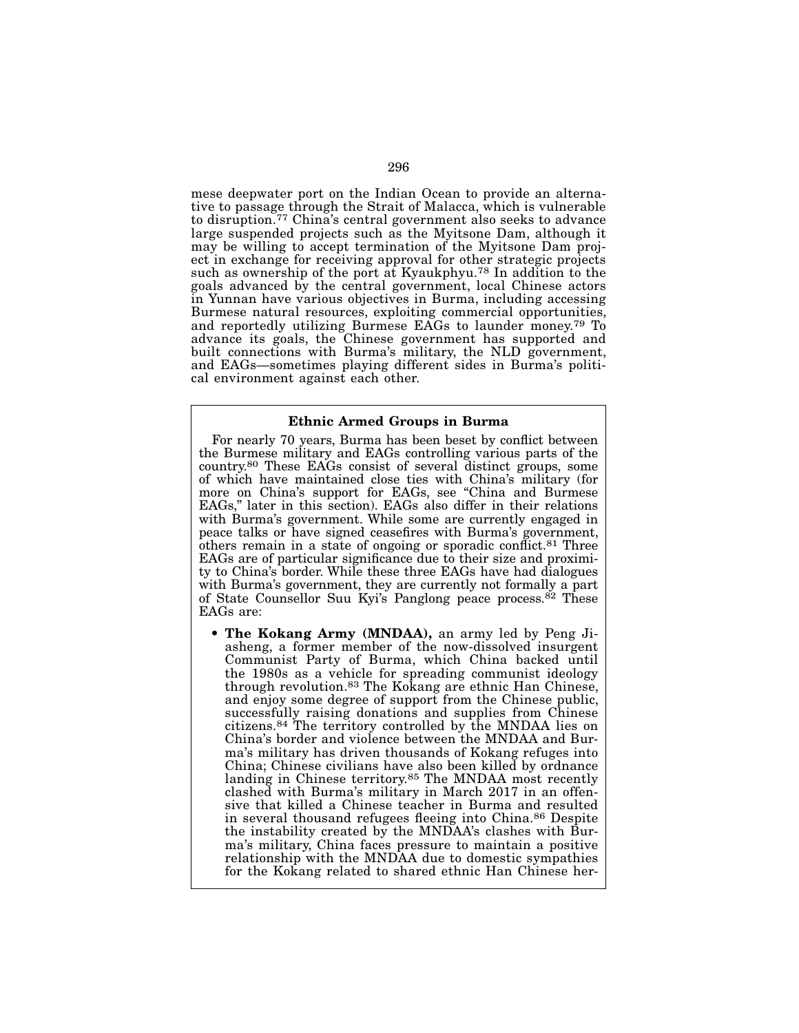mese deepwater port on the Indian Ocean to provide an alternative to passage through the Strait of Malacca, which is vulnerable to disruption.77 China's central government also seeks to advance large suspended projects such as the Myitsone Dam, although it may be willing to accept termination of the Myitsone Dam project in exchange for receiving approval for other strategic projects such as ownership of the port at Kyaukphyu.78 In addition to the goals advanced by the central government, local Chinese actors in Yunnan have various objectives in Burma, including accessing Burmese natural resources, exploiting commercial opportunities, and reportedly utilizing Burmese EAGs to launder money.79 To advance its goals, the Chinese government has supported and built connections with Burma's military, the NLD government, and EAGs—sometimes playing different sides in Burma's political environment against each other.

### Ethnic Armed Groups in Burma

For nearly 70 years, Burma has been beset by conflict between the Burmese military and EAGs controlling various parts of the country.80 These EAGs consist of several distinct groups, some of which have maintained close ties with China's military (for more on China's support for EAGs, see "China and Burmese EAGs," later in this section). EAGs also differ in their relations with Burma's government. While some are currently engaged in peace talks or have signed ceasefires with Burma's government, others remain in a state of ongoing or sporadic conflict.81 Three EAGs are of particular significance due to their size and proximity to China's border. While these three EAGs have had dialogues with Burma's government, they are currently not formally a part of State Counsellor Suu Kyi's Panglong peace process.<sup>82</sup> These EAGs are:

• The Kokang Army (MNDAA), an army led by Peng Jiasheng, a former member of the now-dissolved insurgent Communist Party of Burma, which China backed until the 1980s as a vehicle for spreading communist ideology through revolution.83 The Kokang are ethnic Han Chinese, and enjoy some degree of support from the Chinese public, successfully raising donations and supplies from Chinese citizens.84 The territory controlled by the MNDAA lies on China's border and violence between the MNDAA and Burma's military has driven thousands of Kokang refuges into China; Chinese civilians have also been killed by ordnance landing in Chinese territory.85 The MNDAA most recently clashed with Burma's military in March 2017 in an offensive that killed a Chinese teacher in Burma and resulted in several thousand refugees fleeing into China.86 Despite the instability created by the MNDAA's clashes with Burma's military, China faces pressure to maintain a positive relationship with the MNDAA due to domestic sympathies for the Kokang related to shared ethnic Han Chinese her-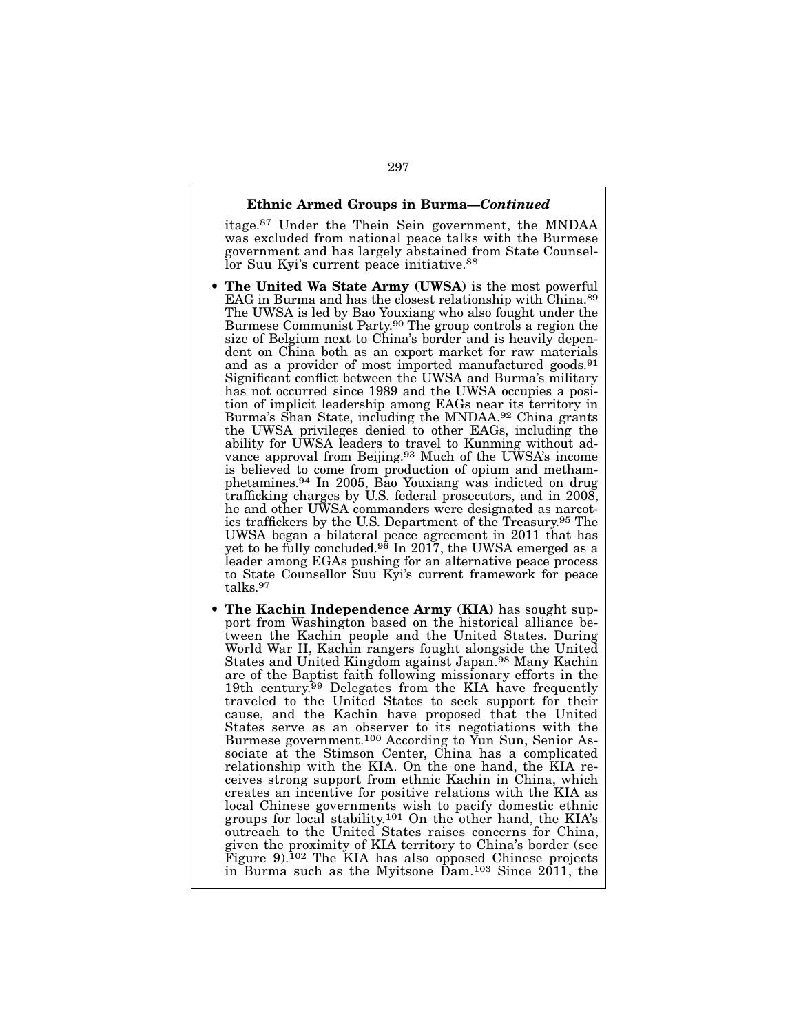### Ethnic Armed Groups in Burma—*Continued*

itage.87 Under the Thein Sein government, the MNDAA was excluded from national peace talks with the Burmese government and has largely abstained from State Counsellor Suu Kyi's current peace initiative.<sup>88</sup>

- The United Wa State Army (UWSA) is the most powerful EAG in Burma and has the closest relationship with China.89 The UWSA is led by Bao Youxiang who also fought under the Burmese Communist Party.90 The group controls a region the size of Belgium next to China's border and is heavily dependent on China both as an export market for raw materials and as a provider of most imported manufactured goods.91 Significant conflict between the UWSA and Burma's military has not occurred since 1989 and the UWSA occupies a position of implicit leadership among EAGs near its territory in Burma's Shan State, including the MNDAA.92 China grants the UWSA privileges denied to other EAGs, including the ability for UWSA leaders to travel to Kunming without advance approval from Beijing.93 Much of the UWSA's income is believed to come from production of opium and methamphetamines.94 In 2005, Bao Youxiang was indicted on drug trafficking charges by U.S. federal prosecutors, and in 2008, he and other UWSA commanders were designated as narcotics traffickers by the U.S. Department of the Treasury.95 The UWSA began a bilateral peace agreement in 2011 that has yet to be fully concluded.<sup>96</sup> In 2017, the UWSA emerged as a leader among EGAs pushing for an alternative peace process to State Counsellor Suu Kyi's current framework for peace talks.97
- The Kachin Independence Army (KIA) has sought support from Washington based on the historical alliance between the Kachin people and the United States. During World War II, Kachin rangers fought alongside the United States and United Kingdom against Japan.98 Many Kachin are of the Baptist faith following missionary efforts in the 19th century.<sup>99</sup> Delegates from the KIA have frequently traveled to the United States to seek support for their cause, and the Kachin have proposed that the United States serve as an observer to its negotiations with the Burmese government.100 According to Yun Sun, Senior Associate at the Stimson Center, China has a complicated relationship with the KIA. On the one hand, the KIA receives strong support from ethnic Kachin in China, which creates an incentive for positive relations with the KIA as local Chinese governments wish to pacify domestic ethnic groups for local stability.101 On the other hand, the KIA's outreach to the United States raises concerns for China, given the proximity of KIA territory to China's border (see Figure 9).102 The KIA has also opposed Chinese projects in Burma such as the Myitsone Dam.103 Since 2011, the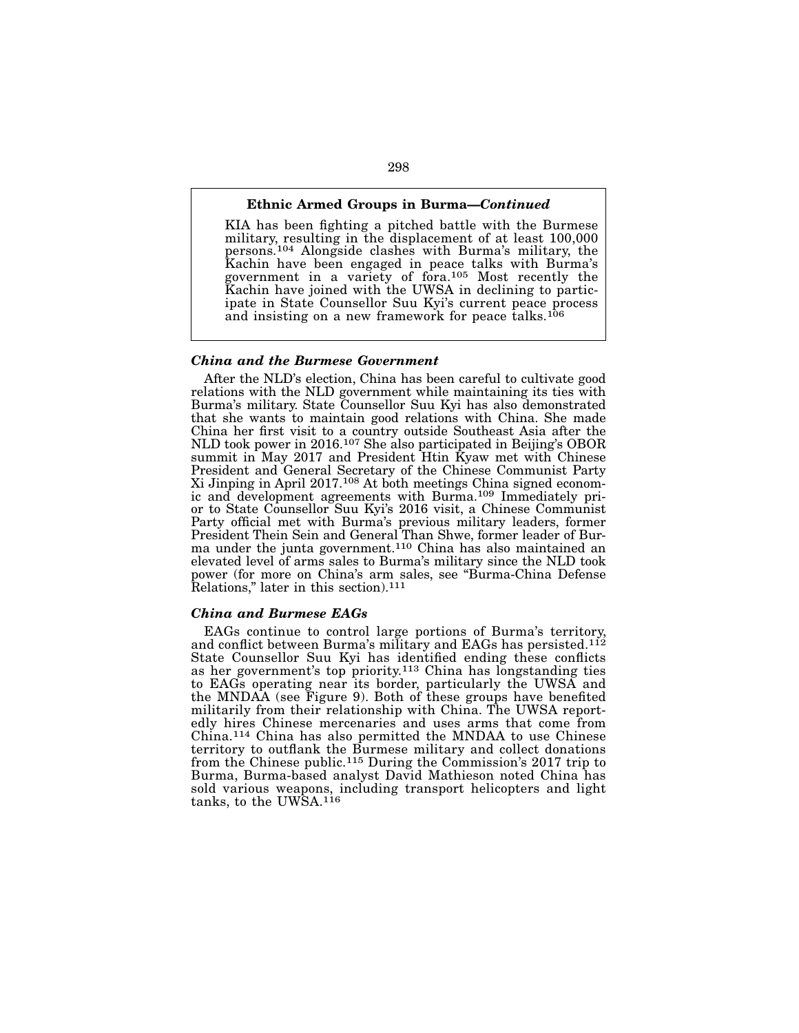# Ethnic Armed Groups in Burma—*Continued*

KIA has been fighting a pitched battle with the Burmese military, resulting in the displacement of at least 100,000 persons.104 Alongside clashes with Burma's military, the Kachin have been engaged in peace talks with Burma's government in a variety of fora.<sup>105</sup> Most recently the Kachin have joined with the UWSA in declining to participate in State Counsellor Suu Kyi's current peace process and insisting on a new framework for peace talks.106

#### *China and the Burmese Government*

After the NLD's election, China has been careful to cultivate good relations with the NLD government while maintaining its ties with Burma's military. State Counsellor Suu Kyi has also demonstrated that she wants to maintain good relations with China. She made China her first visit to a country outside Southeast Asia after the NLD took power in 2016.107 She also participated in Beijing's OBOR summit in May 2017 and President Htin Kyaw met with Chinese President and General Secretary of the Chinese Communist Party Xi Jinping in April 2017.108 At both meetings China signed economic and development agreements with Burma.109 Immediately prior to State Counsellor Suu Kyi's 2016 visit, a Chinese Communist Party official met with Burma's previous military leaders, former President Thein Sein and General Than Shwe, former leader of Burma under the junta government.110 China has also maintained an elevated level of arms sales to Burma's military since the NLD took power (for more on China's arm sales, see "Burma-China Defense Relations," later in this section).111

### *China and Burmese EAGs*

EAGs continue to control large portions of Burma's territory, and conflict between Burma's military and EAGs has persisted.<sup>112</sup> State Counsellor Suu Kyi has identified ending these conflicts as her government's top priority.<sup>113</sup> China has longstanding ties to EAGs operating near its border, particularly the UWSA and the MNDAA (see Figure 9). Both of these groups have benefited militarily from their relationship with China. The UWSA reportedly hires Chinese mercenaries and uses arms that come from China.114 China has also permitted the MNDAA to use Chinese territory to outflank the Burmese military and collect donations from the Chinese public.115 During the Commission's 2017 trip to Burma, Burma-based analyst David Mathieson noted China has sold various weapons, including transport helicopters and light tanks, to the UWSA.<sup>116</sup>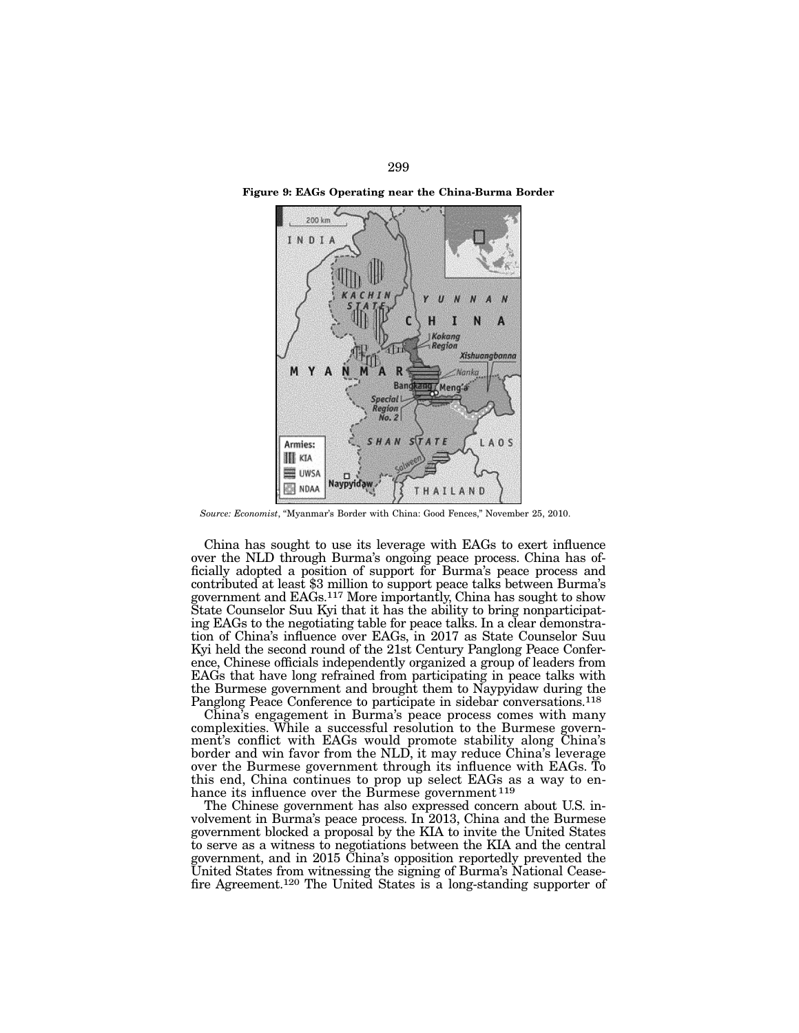

Figure 9: EAGs Operating near the China-Burma Border

*Source: Economist*, "Myanmar's Border with China: Good Fences," November 25, 2010.

China has sought to use its leverage with EAGs to exert influence over the NLD through Burma's ongoing peace process. China has of- ficially adopted a position of support for Burma's peace process and contributed at least \$3 million to support peace talks between Burma's government and EAGs.117 More importantly, China has sought to show State Counselor Suu Kyi that it has the ability to bring nonparticipat- ing EAGs to the negotiating table for peace talks. In a clear demonstra- tion of China's influence over EAGs, in 2017 as State Counselor Suu Kyi held the second round of the 21st Century Panglong Peace Confer- ence, Chinese officials independently organized a group of leaders from EAGs that have long refrained from participating in peace talks with the Burmese government and brought them to Naypyidaw during the Panglong Peace Conference to participate in sidebar conversations.<sup>118</sup>

China's engagement in Burma's peace process comes with many complexities. While a successful resolution to the Burmese government's conflict with EAGs would promote stability along China's border and win favor from the NLD, it may reduce China's leverage over the Burmese government through its influence with EAGs. To this end, China continues to prop up select EAGs as a way to enhance its influence over the Burmese government<sup>119</sup>

The Chinese government has also expressed concern about U.S. involvement in Burma's peace process. In 2013, China and the Burmese government blocked a proposal by the KIA to invite the United States to serve as a witness to negotiations between the KIA and the central government, and in 2015 China's opposition reportedly prevented the United States from witnessing the signing of Burma's National Ceasefire Agreement.120 The United States is a long-standing supporter of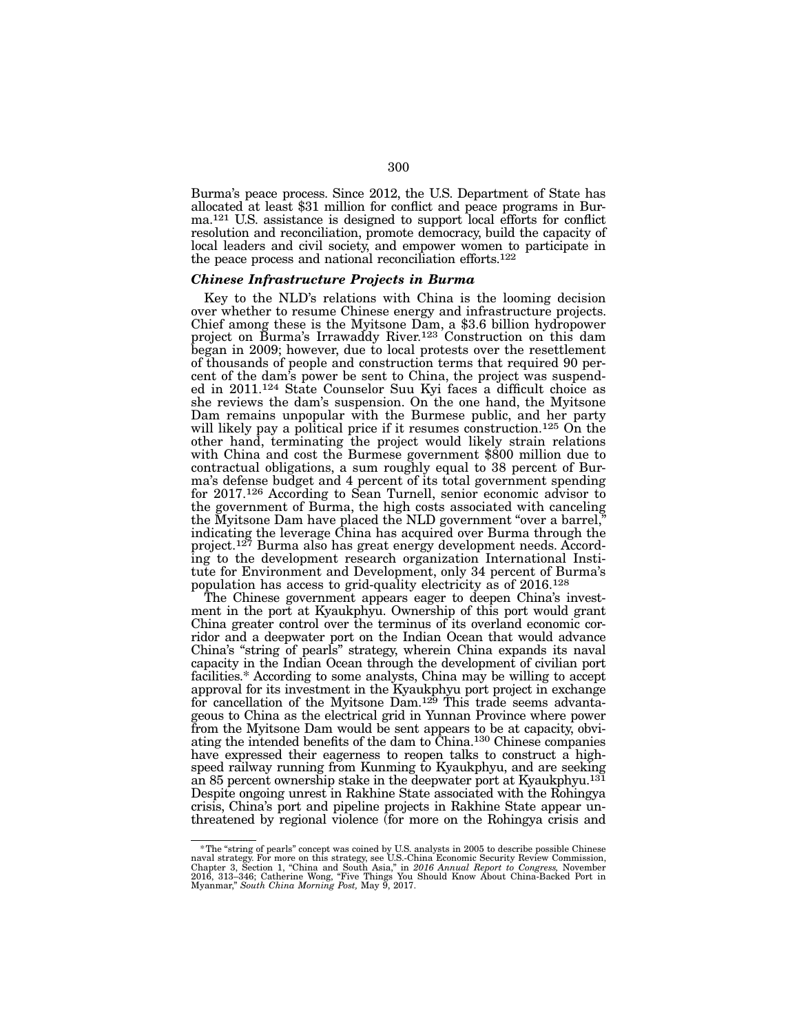Burma's peace process. Since 2012, the U.S. Department of State has allocated at least \$31 million for conflict and peace programs in Bur- ma.121 U.S. assistance is designed to support local efforts for conflict resolution and reconciliation, promote democracy, build the capacity of local leaders and civil society, and empower women to participate in the peace process and national reconciliation efforts.122

#### *Chinese Infrastructure Projects in Burma*

Key to the NLD's relations with China is the looming decision over whether to resume Chinese energy and infrastructure projects. Chief among these is the Myitsone Dam, a \$3.6 billion hydropower project on Burma's Irrawaddy River.123 Construction on this dam began in 2009; however, due to local protests over the resettlement of thousands of people and construction terms that required 90 percent of the dam's power be sent to China, the project was suspended in  $2011^{124}$  State Counselor Suu Kyi faces a difficult choice as she reviews the dam's suspension. On the one hand, the Myitsone Dam remains unpopular with the Burmese public, and her party will likely pay a political price if it resumes construction.<sup>125</sup> On the other hand, terminating the project would likely strain relations with China and cost the Burmese government \$800 million due to contractual obligations, a sum roughly equal to 38 percent of Bur- ma's defense budget and 4 percent of its total government spending ma's defense budget and 4 percent of its total government spending for 2017.<sup>126</sup> According to Sean Turnell, senior economic advisor to the government of Burma, the high costs associated with canceling the Myitsone Dam have placed the NLD government "over a barrel," indicating the leverage China has acquired over Burma through the project.<sup>127</sup> Burma also has great energy development needs. According to the development research organization International Institute for Environment and Development, only 34 percent of Burma's population has access to grid-quality electricity as of 2016.128

The Chinese government appears eager to deepen China's investment in the port at Kyaukphyu. Ownership of this port would grant China greater control over the terminus of its overland economic corridor and a deepwater port on the Indian Ocean that would advance China's "string of pearls" strategy, wherein China expands its naval capacity in the Indian Ocean through the development of civilian port facilities.\* According to some analysts, China may be willing to accept approval for its investment in the Kyaukphyu port project in exchange for cancellation of the Myitsone Dam.<sup>129</sup> This trade seems advantageous to China as the electrical grid in Yunnan Province where power from the Myitsone Dam would be sent appears to be at capacity, obviating the intended benefits of the dam to China.130 Chinese companies have expressed their eagerness to reopen talks to construct a highspeed railway running from Kunming to Kyaukphyu, and are seeking an 85 percent ownership stake in the deepwater port at Kyaukphyu.131 Despite ongoing unrest in Rakhine State associated with the Rohingya crisis, China's port and pipeline projects in Rakhine State appear unthreatened by regional violence (for more on the Rohingya crisis and

<sup>\*</sup>The "string of pearls" concept was coined by U.S. analysts in 2005 to describe possible Chinese naval strategy. For more on this strategy, see U.S.-China Economic Security Review Commission, Chapter 3, Section 1, "China a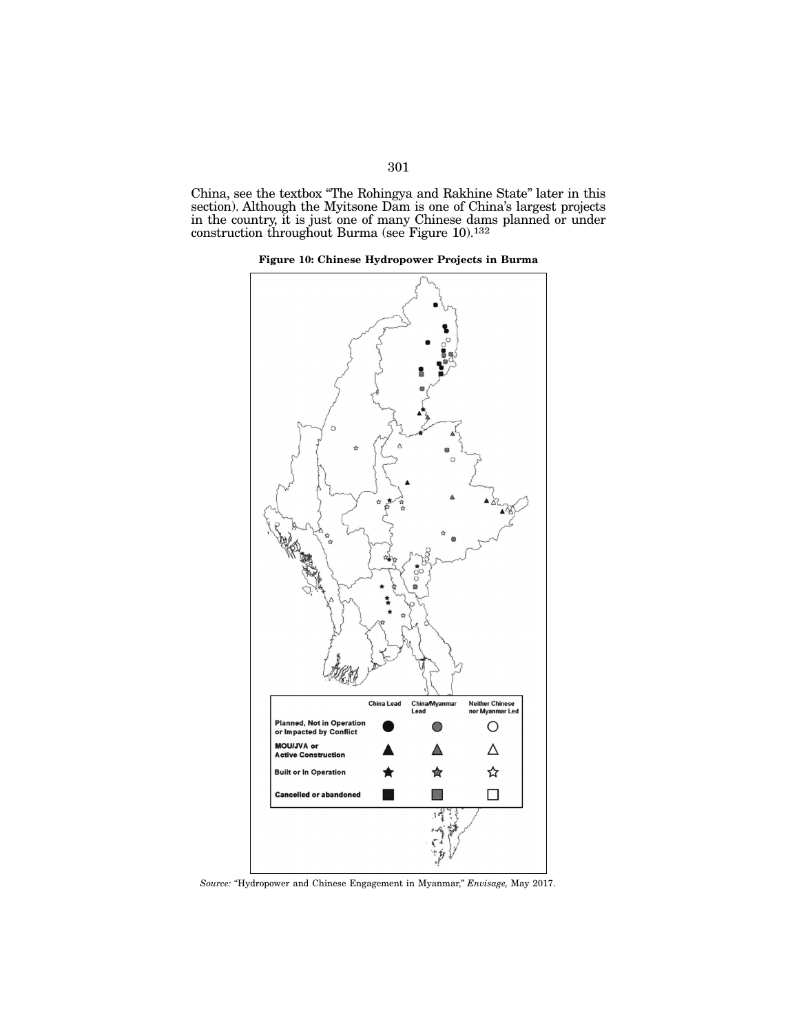China, see the textbox "The Rohingya and Rakhine State" later in this section). Although the Myitsone Dam is one of China's largest projects in the country, it is just one of many Chinese dams planned or under construction throughout Burma (see Figure 10).132





*Source:* "Hydropower and Chinese Engagement in Myanmar," *Envisage,* May 2017.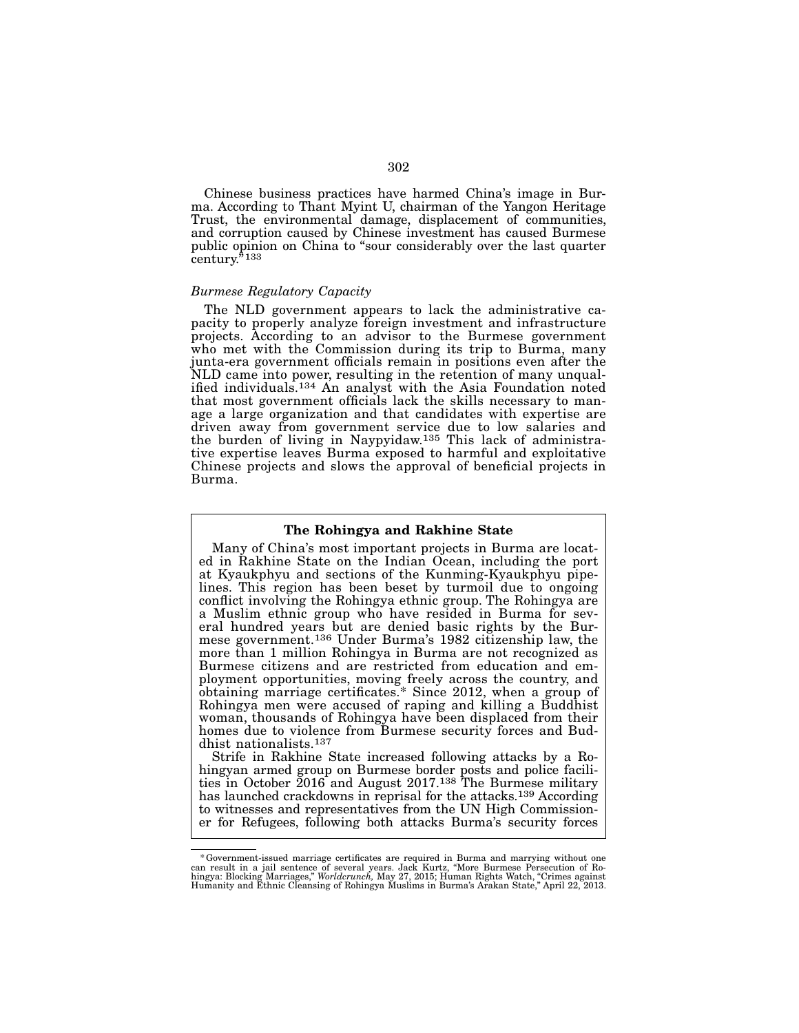Chinese business practices have harmed China's image in Burma. According to Thant Myint U, chairman of the Yangon Heritage Trust, the environmental damage, displacement of communities, and corruption caused by Chinese investment has caused Burmese public opinion on China to "sour considerably over the last quarter century.<sup>5</sup><sup>133</sup>

#### *Burmese Regulatory Capacity*

The NLD government appears to lack the administrative ca- pacity to properly analyze foreign investment and infrastructure projects. According to an advisor to the Burmese government who met with the Commission during its trip to Burma, many junta-era government officials remain in positions even after the ified individuals.<sup>134</sup> An analyst with the Asia Foundation noted that most government officials lack the skills necessary to man- age a large organization and that candidates with expertise are driven away from government service due to low salaries and the burden of living in Naypyidaw.<sup>135</sup> This lack of administrative expertise leaves Burma exposed to harmful and exploitative Chinese projects and slows the approval of beneficial projects in Burma.

#### The Rohingya and Rakhine State

Many of China's most important projects in Burma are located in Rakhine State on the Indian Ocean, including the port at Kyaukphyu and sections of the Kunming-Kyaukphyu pipelines. This region has been beset by turmoil due to ongoing conflict involving the Rohingya ethnic group. The Rohingya are eral hundred years but are denied basic rights by the Bur-<br>mese government.<sup>136</sup> Under Burma's 1982 citizenship law, the more than 1 million Rohingya in Burma are not recognized as Burmese citizens and are restricted from education and em- ployment opportunities, moving freely across the country, and obtaining marriage certificates.\* Since 2012, when a group of Rohingya men were accused of raping and killing a Buddhist woman, thousands of Rohingya have been displaced from their homes due to violence from Burmese security forces and Bud-<br>dhist nationalists.<sup>137</sup>

Strife in Rakhine State increased following attacks by a Ro-<br>hingyan armed group on Burmese border posts and police facili-<br>ties in October 2016 and August 2017.<sup>138</sup> The Burmese military has launched crackdowns in reprisal for the attacks.139 According to witnesses and representatives from the UN High Commission- er for Refugees, following both attacks Burma's security forces

Government-issued marriage certificates are required in Burma and marrying without one an result in a jail sentence of several years. Jack Kurtz, "More Buran result in a Jacam result in the hingya: Buran in Ro-<br>hingya: Blo Humanity and Ethnic Cleansing of Rohingya Muslims in Burma's Arakan State," April 22, 2013.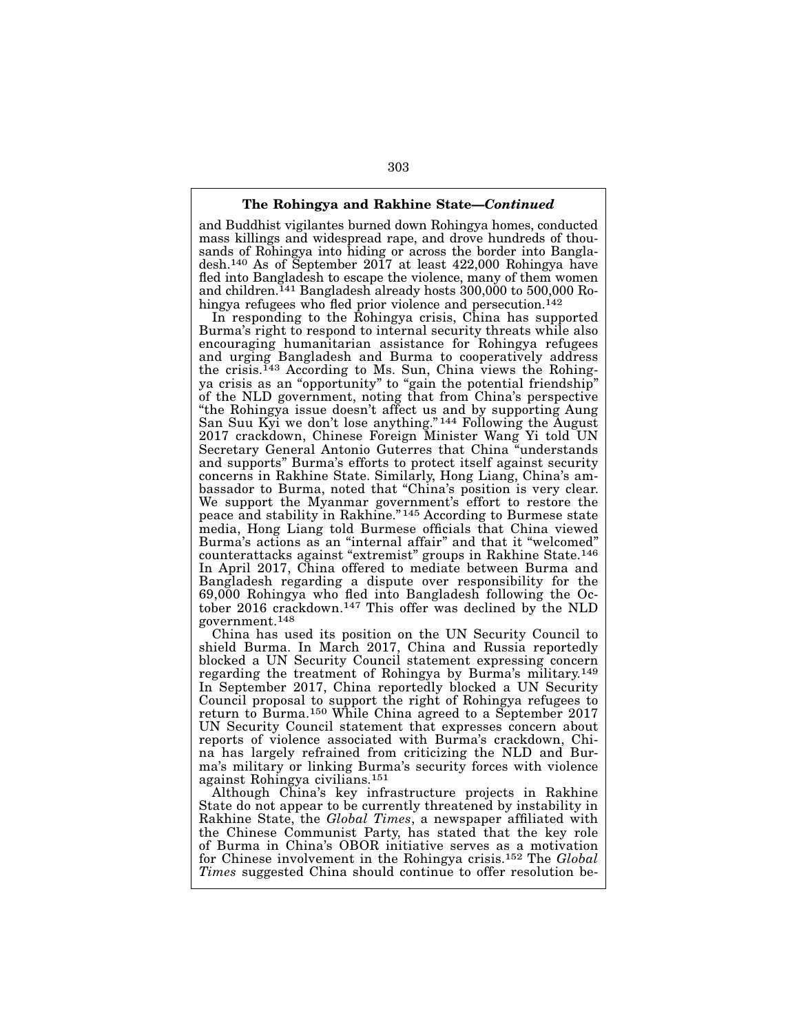### The Rohingya and Rakhine State—*Continued*

and Buddhist vigilantes burned down Rohingya homes, conducted mass killings and widespread rape, and drove hundreds of thousands of Rohingya into hiding or across the border into Bangladesh.140 As of September 2017 at least 422,000 Rohingya have fled into Bangladesh to escape the violence, many of them women and children.141 Bangladesh already hosts 300,000 to 500,000 Rohingya refugees who fled prior violence and persecution.<sup>142</sup>

In responding to the Rohingya crisis, China has supported Burma's right to respond to internal security threats while also encouraging humanitarian assistance for Rohingya refugees and urging Bangladesh and Burma to cooperatively address the crisis.143 According to Ms. Sun, China views the Rohingya crisis as an "opportunity" to "gain the potential friendship" of the NLD government, noting that from China's perspective "the Rohingya issue doesn't affect us and by supporting Aung San Suu Kyi we don't lose anything." 144 Following the August 2017 crackdown, Chinese Foreign Minister Wang Yi told UN Secretary General Antonio Guterres that China "understands and supports" Burma's efforts to protect itself against security concerns in Rakhine State. Similarly, Hong Liang, China's ambassador to Burma, noted that "China's position is very clear. We support the Myanmar government's effort to restore the peace and stability in Rakhine." 145 According to Burmese state media, Hong Liang told Burmese officials that China viewed Burma's actions as an "internal affair" and that it "welcomed" counterattacks against "extremist" groups in Rakhine State.146 In April 2017, China offered to mediate between Burma and Bangladesh regarding a dispute over responsibility for the 69,000 Rohingya who fled into Bangladesh following the October 2016 crackdown.147 This offer was declined by the NLD government.148

China has used its position on the UN Security Council to shield Burma. In March 2017, China and Russia reportedly blocked a UN Security Council statement expressing concern regarding the treatment of Rohingya by Burma's military.149 In September 2017, China reportedly blocked a UN Security Council proposal to support the right of Rohingya refugees to return to Burma.150 While China agreed to a September 2017 UN Security Council statement that expresses concern about reports of violence associated with Burma's crackdown, China has largely refrained from criticizing the NLD and Burma's military or linking Burma's security forces with violence against Rohingya civilians.151

Although China's key infrastructure projects in Rakhine State do not appear to be currently threatened by instability in Rakhine State, the *Global Times*, a newspaper affiliated with the Chinese Communist Party, has stated that the key role of Burma in China's OBOR initiative serves as a motivation for Chinese involvement in the Rohingya crisis.152 The *Global Times* suggested China should continue to offer resolution be-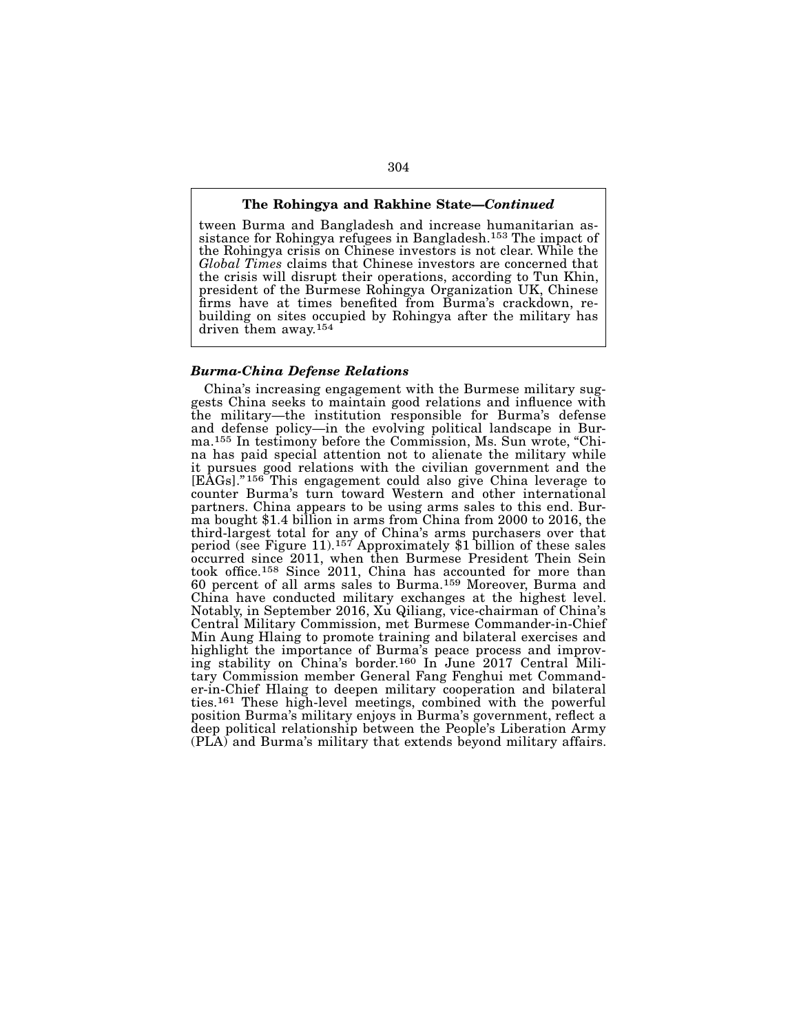#### The Rohingya and Rakhine State—*Continued*

tween Burma and Bangladesh and increase humanitarian as-<br>sistance for Rohingya refugees in Bangladesh.<sup>153</sup> The impact of the Rohingya crisis on Chinese investors is not clear. While the *Global Times* claims that Chinese investors are concerned that the crisis will disrupt their operations, according to Tun Khin, president of the Burmese Rohingya Organization UK, Chinese building on sites occupied by Rohingya after the military has driven them away.154

### *Burma-China Defense Relations*

China's increasing engagement with the Burmese military sug- gests China seeks to maintain good relations and influence with the military—the institution responsible for Burma's defense and defense policy—in the evolving political landscape in Bur-<br>ma.<sup>155</sup> In testimony before the Commission, Ms. Sun wrote, "Chi-<br>na has paid special attention not to alienate the military while it pursues good relations with the civilian government and the [EAGs]." 156 This engagement could also give China leverage to counter Burma's turn toward Western and other international partners. China appears to be using arms sales to this end. Burma bought \$1.4 billion in arms from China from 2000 to 2016, the third-largest total for any of China's arms purchasers over that period (see Figure 11).157 Approximately \$1 billion of these sales occurred since 2011, when then Burmese President Thein Sein took office.158 Since 2011, China has accounted for more than 60 percent of all arms sales to Burma.159 Moreover, Burma and China have conducted military exchanges at the highest level. Notably, in September 2016, Xu Qiliang, vice-chairman of China's Central Military Commission, met Burmese Commander-in-Chief Min Aung Hlaing to promote training and bilateral exercises and highlight the importance of Burma's peace process and improving stability on China's border.160 In June 2017 Central Military Commission member General Fang Fenghui met Commander-in-Chief Hlaing to deepen military cooperation and bilateral ties.161 These high-level meetings, combined with the powerful position Burma's military enjoys in Burma's government, reflect a deep political relationship between the People's Liberation Army (PLA) and Burma's military that extends beyond military affairs.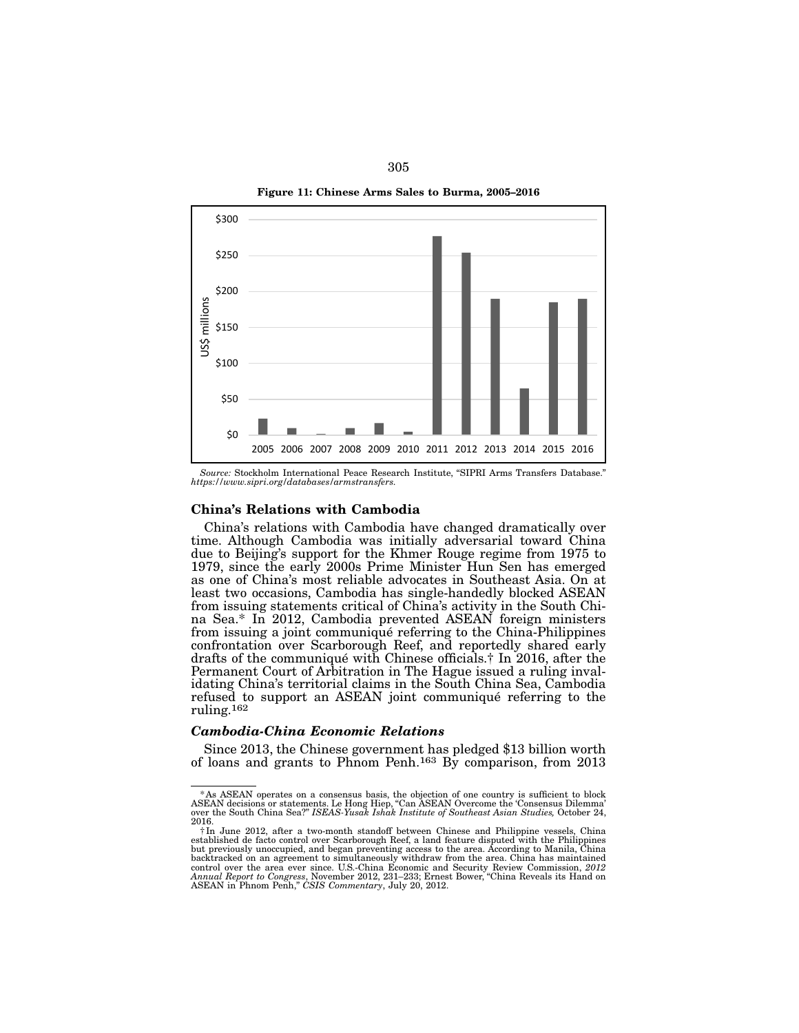Figure 11: Chinese Arms Sales to Burma, 2005–2016



*Source:* Stockholm International Peace Research Institute, "SIPRI Arms Transfers Database." *https://www.sipri.org/databases/armstransfers.*

### China's Relations with Cambodia

China's relations with Cambodia have changed dramatically over time. Although Cambodia was initially adversarial toward China due to Beijing's support for the Khmer Rouge regime from 1975 to 1979, since the early 2000s Prime Minister Hun Sen has emerged as one of China's most reliable advocates in Southeast Asia. On at least two occasions, Cambodia has single-handedly blocked ASEAN from issuing statements critical of China's activity in the South Chi- na Sea.\* In 2012, Cambodia prevented ASEAN foreign ministers from issuing a joint communiqué referring to the China-Philippines confrontation over Scarborough Reef, and reportedly shared early drafts of the communiqué with Chinese officials.† In 2016, after the Permanent Court of Arbitration in The Hague issued a ruling invalidating China's territorial claims in the South China Sea, Cambodia refused to support an ASEAN joint communiqué referring to the ruling.162

#### *Cambodia-China Economic Relations*

Since 2013, the Chinese government has pledged \$13 billion worth of loans and grants to Phnom Penh.163 By comparison, from 2013

<sup>\*</sup>As ASEAN operates on a consensus basis, the objection of one country is sufficient to block<br>ASEAN decisions or statements. Le Hong Hiep, "Can ASEAN Overcome the 'Consensus Dilemma'<br>over the South China Sea?" ISEAS Yusak I 2016.

<sup>†</sup>In June 2012, after a two-month standoff between Chinese and Philippine vessels, China established de facto control over Scarborough Reef, a land feature disputed with the Philippines but previously unoccupied, and began preventing access to the area. According to Manila, China<br>backtracked on an agreement to simultaneously withdraw from the area. China has maintained<br>control over the area ever since. U.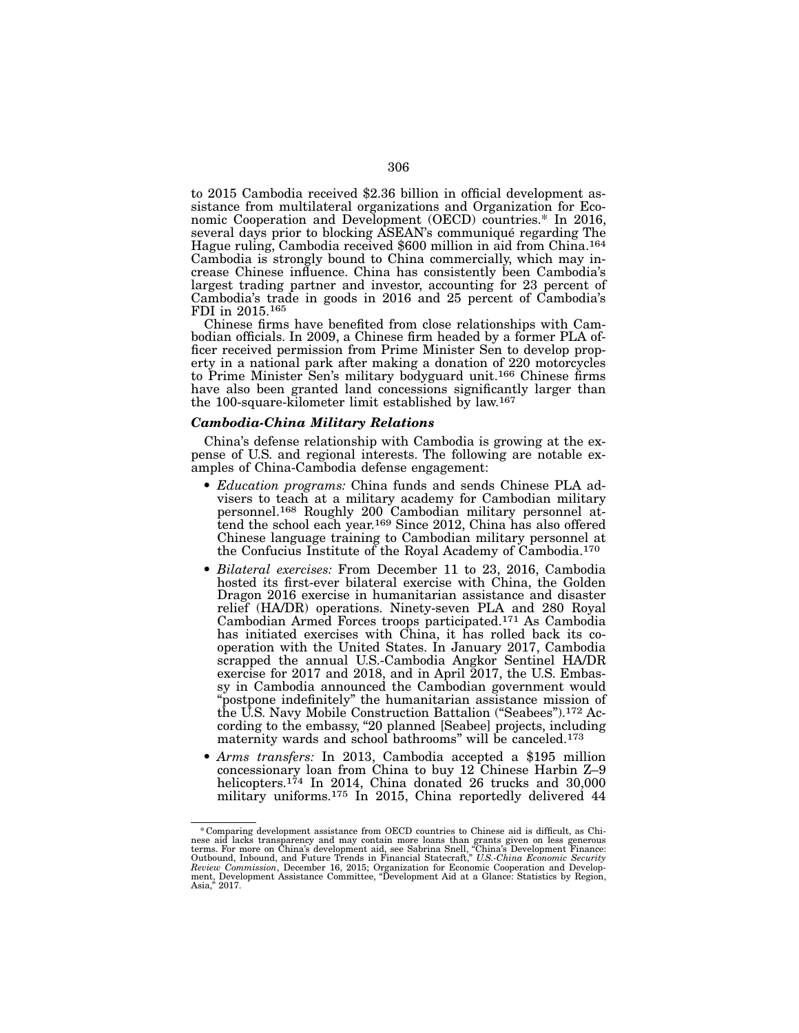to 2015 Cambodia received \$2.36 billion in official development assistance from multilateral organizations and Organization for Eco- nomic Cooperation and Development (OECD) countries.\* In 2016, several days prior to blocking ASEAN's communiqué regarding The Hague ruling, Cambodia received \$600 million in aid from China.<sup>164</sup> Cambodia is strongly bound to China commercially, which may increase Chinese influence. China has consistently been Cambodia's largest trading partner and investor, accounting for 23 percent of Cambodia's trade in goods in 2016 and 25 percent of Cambodia's FDI in 2015.<sup>165</sup><br>Chinese firms have benefited from close relationships with Cam-

bodian officials. In 2009, a Chinese firm headed by a former PLA of-<br>ficer received permission from Prime Minister Sen to develop prop-<br>erty in a national park after making a donation of 220 motorcycles to Prime Minister Sen's military bodyguard unit.<sup>166</sup> Chinese firms have also been granted land concessions significantly larger than the 100-square-kilometer limit established by law.167

#### *Cambodia-China Military Relations*

China's defense relationship with Cambodia is growing at the ex- pense of U.S. and regional interests. The following are notable ex- amples of China-Cambodia defense engagement:

- *Education programs:* China funds and sends Chinese PLA advisers to teach at a military academy for Cambodian military personnel attend the school each year.<sup>169</sup> Since 2012, China has also offered Chinese language training to Cambodian military personnel at the Confucius Institute of the Royal Academy of Cambodia.170
- *Bilateral exercises:* From December 11 to 23, 2016, Cambodia hosted its first-ever bilateral exercise with China, the Golden Dragon 2016 exercise in humanitarian assistance and disaster relief (HA/DR) operations. Ninety-seven PLA and 280 Royal Cambodian Armed Forces troops participated.171 As Cambodia has initiated exercises with China, it has rolled back its cooperation with the United States. In January 2017, Cambodia scrapped the annual U.S.-Cambodia Angkor Sentinel HA/DR exercise for 2017 and 2018, and in April 2017, the U.S. Embassy in Cambodia announced the Cambodian government would "postpone indefinitely" the humanitarian assistance mission of the U.S. Navy Mobile Construction Battalion ("Seabees").172 According to the embassy, "20 planned [Seabee] projects, including maternity wards and school bathrooms" will be canceled.173
- *Arms transfers:* In 2013, Cambodia accepted a \$195 million concessionary loan from China to buy 12 Chinese Harbin Z–9 helicopters.<sup>174</sup> In 2014, China donated 26 trucks and 30,000 military uniforms.175 In 2015, China reportedly delivered 44

<sup>\*</sup> Comparing development assistance from OECD countries to Chinese aid is difficult, as Chinese aid lacks transparency and may contain more loans than grants given on less generous terms. For more on China's development aid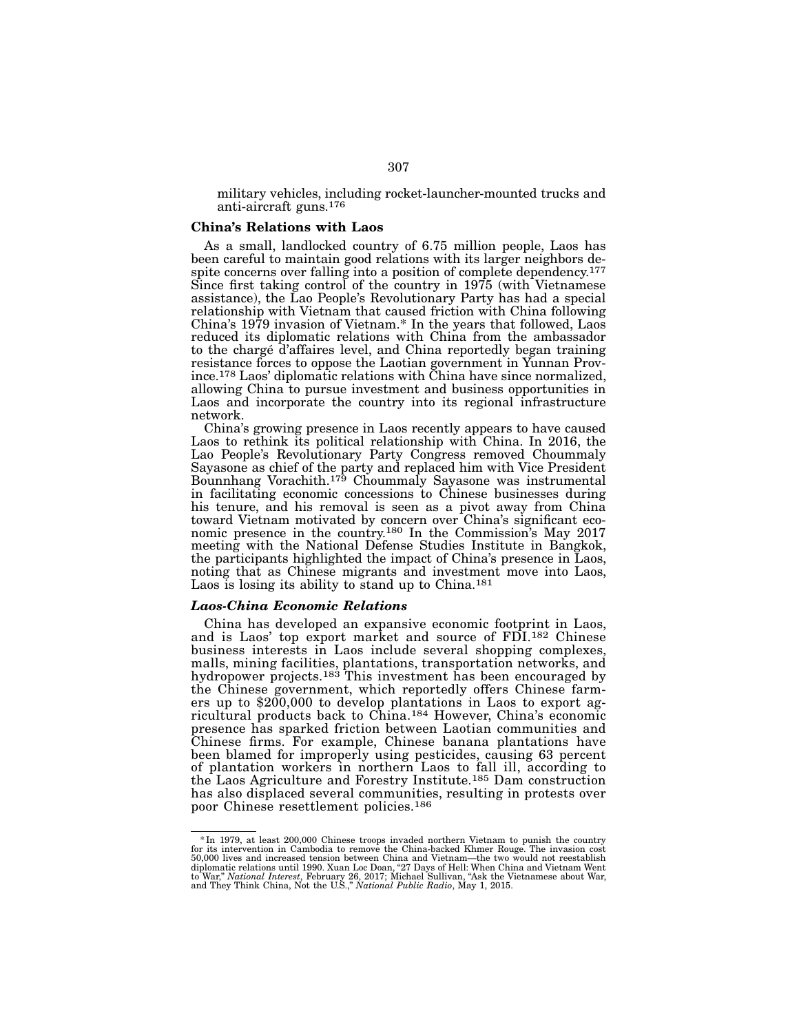military vehicles, including rocket-launcher-mounted trucks and anti-aircraft guns.176

#### China's Relations with Laos

As a small, landlocked country of 6.75 million people, Laos has<br>been careful to maintain good relations with its larger neighbors despite concerns over falling into a position of complete dependency.<sup>177</sup> Since first taking control of the country in 1975 (with Vietnamese assistance), the Lao People's Revolutionary Party has had a special relationship with Vietnam that caused friction with China following China's 1979 invasion of Vietnam.\* In the years that followed, Laos reduced its diplomatic relations with China from the ambassador to the chargé d'affaires level, and China reportedly began training resistance forces to oppose the Laotian government in Yunnan Prov- ince.178 Laos' diplomatic relations with China have since normalized, allowing China to pursue investment and business opportunities in Laos and incorporate the country into its regional infrastructure network.

China's growing presence in Laos recently appears to have caused Laos to rethink its political relationship with China. In 2016, the Lao People's Revolutionary Party Congress removed Choummaly Sayasone as chief of the party and replaced him with Vice President Bounnhang Vorachith.<sup>179</sup> Choummaly Sayasone was instrumental in facilitating economic concessions to Chinese businesses during his tenure, and his removal is seen as a pivot away from China toward Vietnam motivated by concern over China's significant economic presence in the country.180 In the Commission's May 2017 meeting with the National Defense Studies Institute in Bangkok, the participants highlighted the impact of China's presence in Laos, noting that as Chinese migrants and investment move into Laos, Laos is losing its ability to stand up to China.<sup>181</sup>

#### *Laos-China Economic Relations*

China has developed an expansive economic footprint in Laos, and is Laos' top export market and source of FDI.<sup>182</sup> Chinese business interests in Laos include several shopping complexes, malls, mining facilities, plantations, transportation networks, and hydropower projects.<sup>183</sup> This investment has been encouraged by the Chinese government, which reportedly offers Chinese farmers up to \$200,000 to develop plantations in Laos to export agricultural products back to China.184 However, China's economic presence has sparked friction between Laotian communities and Chinese firms. For example, Chinese banana plantations have been blamed for improperly using pesticides, causing 63 percent of plantation workers in northern Laos to fall ill, according to the Laos Agriculture and Forestry Institute.185 Dam construction has also displaced several communities, resulting in protests over poor Chinese resettlement policies.186

f In 1979, at least 200,000 Chinese troops invaded northern Vietnam to punish the country in Cambodia to remove the China-backed Khmer Rouge. The invasion cost 5.<br>for its intervention in Cambodia to remove the China-backed diplomatic relations until 1990. Xuan Loc Doan, "27 Days of Hell: When China and Vietnam Went<br>to War," *National Interest,* February 26, 2017; Michael Sullivan, "Ask the Vietnamese about War,<br>and They Think China, Not the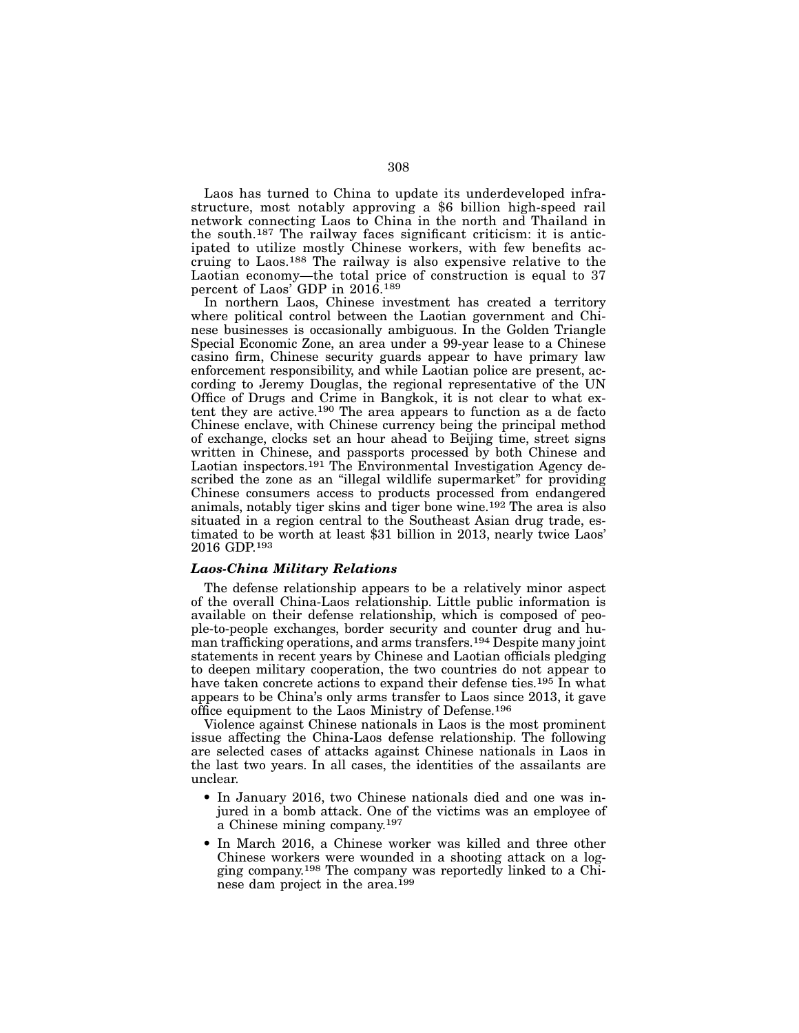Laos has turned to China to update its underdeveloped infrastructure, most notably approving a \$6 billion high-speed rail network connecting Laos to China in the north and Thailand in the south.187 The railway faces significant criticism: it is anticipated to utilize mostly Chinese workers, with few benefits accruing to Laos.188 The railway is also expensive relative to the Laotian economy—the total price of construction is equal to 37 percent of Laos' GDP in 2016.189

In northern Laos, Chinese investment has created a territory where political control between the Laotian government and Chinese businesses is occasionally ambiguous. In the Golden Triangle Special Economic Zone, an area under a 99-year lease to a Chinese casino firm, Chinese security guards appear to have primary law enforcement responsibility, and while Laotian police are present, according to Jeremy Douglas, the regional representative of the UN Office of Drugs and Crime in Bangkok, it is not clear to what extent they are active.190 The area appears to function as a de facto Chinese enclave, with Chinese currency being the principal method of exchange, clocks set an hour ahead to Beijing time, street signs written in Chinese, and passports processed by both Chinese and Laotian inspectors.<sup>191</sup> The Environmental Investigation Agency described the zone as an "illegal wildlife supermarket" for providing Chinese consumers access to products processed from endangered animals, notably tiger skins and tiger bone wine.192 The area is also situated in a region central to the Southeast Asian drug trade, estimated to be worth at least \$31 billion in 2013, nearly twice Laos' 2016 GDP.193

### *Laos-China Military Relations*

The defense relationship appears to be a relatively minor aspect of the overall China-Laos relationship. Little public information is available on their defense relationship, which is composed of people-to-people exchanges, border security and counter drug and human trafficking operations, and arms transfers.194 Despite many joint statements in recent years by Chinese and Laotian officials pledging to deepen military cooperation, the two countries do not appear to have taken concrete actions to expand their defense ties.<sup>195</sup> In what appears to be China's only arms transfer to Laos since 2013, it gave office equipment to the Laos Ministry of Defense.196

Violence against Chinese nationals in Laos is the most prominent issue affecting the China-Laos defense relationship. The following are selected cases of attacks against Chinese nationals in Laos in the last two years. In all cases, the identities of the assailants are unclear.

- In January 2016, two Chinese nationals died and one was injured in a bomb attack. One of the victims was an employee of a Chinese mining company.197
- In March 2016, a Chinese worker was killed and three other Chinese workers were wounded in a shooting attack on a logging company.198 The company was reportedly linked to a Chinese dam project in the area.199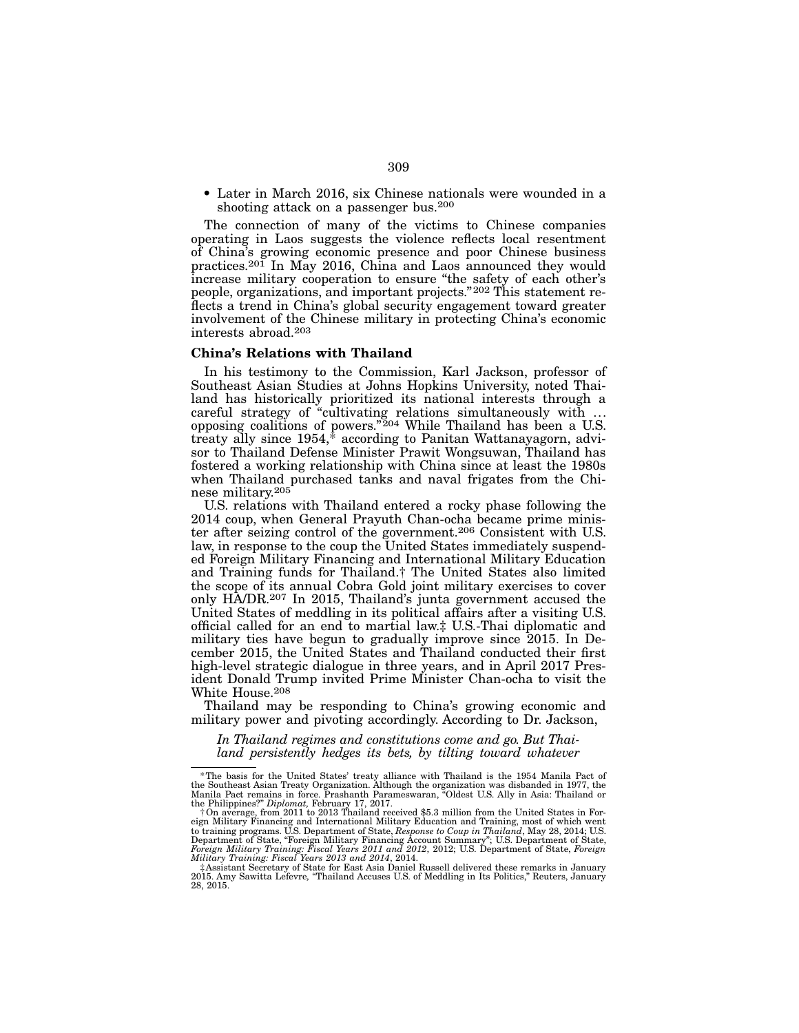• Later in March 2016, six Chinese nationals were wounded in a shooting attack on a passenger bus.200

The connection of many of the victims to Chinese companies operating in Laos suggests the violence reflects local resentment of China's growing economic presence and poor Chinese business practices.<sup>201</sup> In May 2016, China and Laos announced they would increase military cooperation to ensure "the safety of each other's people, organizations, and important projects."202 This statement reflects a trend in China's global security engagement toward greater involvement of the Chinese military in protecting China's economic interests abroad.203

#### China's Relations with Thailand

In his testimony to the Commission, Karl Jackson, professor of Southeast Asian Studies at Johns Hopkins University, noted Thailand has historically prioritized its national interests through a careful strategy of "cultivating relations simultaneously with ... opposing coalitions of powers."204 While Thailand has been a U.S. treaty ally since 1954,\* according to Panitan Wattanayagorn, advisor to Thailand Defense Minister Prawit Wongsuwan, Thailand has fostered a working relationship with China since at least the 1980s when Thailand purchased tanks and naval frigates from the Chinese military.205

U.S. relations with Thailand entered a rocky phase following the 2014 coup, when General Prayuth Chan-ocha became prime minister after seizing control of the government.206 Consistent with U.S. law, in response to the coup the United States immediately suspended Foreign Military Financing and International Military Education and Training funds for Thailand.† The United States also limited the scope of its annual Cobra Gold joint military exercises to cover only HA/DR.207 In 2015, Thailand's junta government accused the United States of meddling in its political affairs after a visiting U.S. official called for an end to martial law.‡ U.S.-Thai diplomatic and military ties have begun to gradually improve since 2015. In December 2015, the United States and Thailand conducted their first high-level strategic dialogue in three years, and in April 2017 President Donald Trump invited Prime Minister Chan-ocha to visit the White House.208

Thailand may be responding to China's growing economic and military power and pivoting accordingly. According to Dr. Jackson,

*In Thailand regimes and constitutions come and go. But Thailand persistently hedges its bets, by tilting toward whatever* 

<sup>\*</sup>The basis for the United States' treaty alliance with Thailand is the 1954 Manila Pact of the Southeast Asian Treaty Organization. Although the organization was disbanded in 1977, the Manila Pact remains in force. Prasha

<sup>‡</sup>Assistant Secretary of State for East Asia Daniel Russell delivered these remarks in January 2015. Amy Sawitta Lefevre*,* "Thailand Accuses U.S. of Meddling in Its Politics," Reuters, January 28, 2015.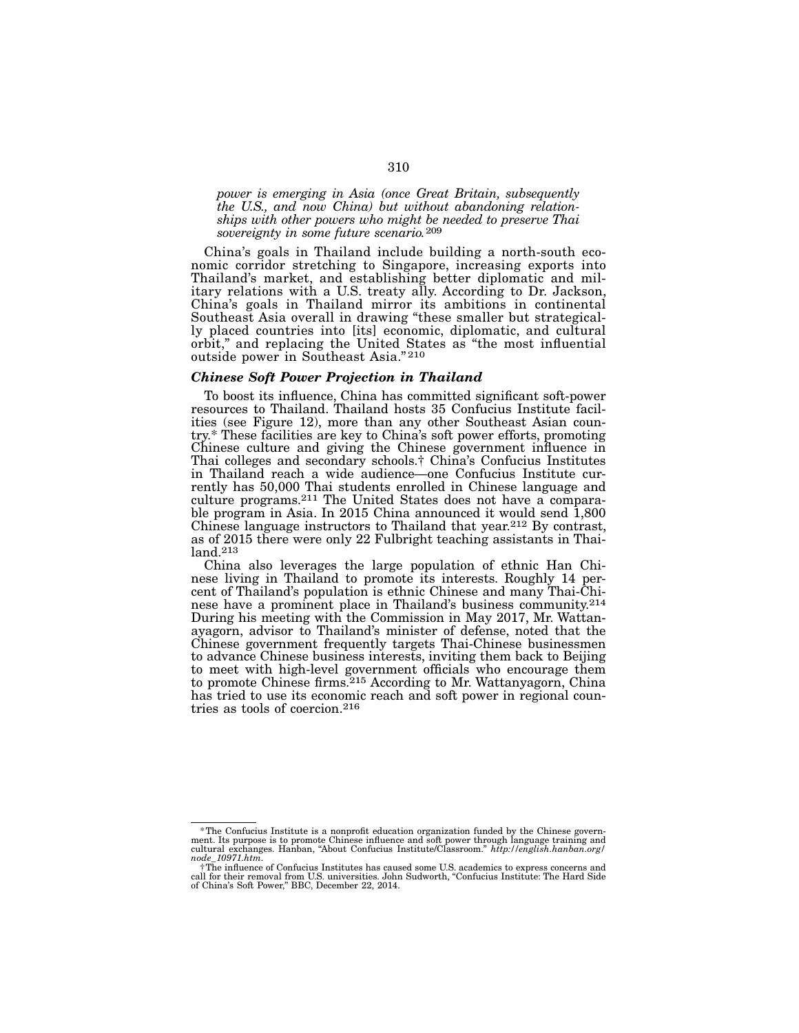*power is emerging in Asia (once Great Britain, subsequently the U.S., and now China) but without abandoning relation- ships with other powers who might be needed to preserve Thai sovereignty in some future scenario.*209

China's goals in Thailand include building a north-south eco- nomic corridor stretching to Singapore, increasing exports into Thailand's market, and establishing better diplomatic and mil- itary relations with a U.S. treaty ally. According to Dr. Jackson, China's goals in Thailand mirror its ambitions in continental Southeast Asia overall in drawing "these smaller but strategical- ly placed countries into [its] economic, diplomatic, and cultural orbit," and replacing the United States as "the most influential outside power in Southeast Asia." 210

#### *Chinese Soft Power Projection in Thailand*

To boost its influence, China has committed significant soft-power ities (see Figure 12), more than any other Southeast Asian coun-<br>try.\* These facilities are key to China's soft power efforts, promoting Chinese culture and giving the Chinese government influence in Thai colleges and secondary schools.† China's Confucius Institutes in Thailand reach a wide audience—one Confucius Institute cur- rently has 50,000 Thai students enrolled in Chinese language and culture programs.211 The United States does not have a comparable program in Asia. In 2015 China announced it would send 1,800 Chinese language instructors to Thailand that year.212 By contrast, as of 2015 there were only 22 Fulbright teaching assistants in Thailand.213

China also leverages the large population of ethnic Han Chinese living in Thailand to promote its interests. Roughly 14 percent of Thailand's population is ethnic Chinese and many Thai-Chinese have a prominent place in Thailand's business community.214 During his meeting with the Commission in May 2017, Mr. Wattanayagorn, advisor to Thailand's minister of defense, noted that the Chinese government frequently targets Thai-Chinese businessmen to advance Chinese business interests, inviting them back to Beijing to meet with high-level government officials who encourage them to promote Chinese firms.215 According to Mr. Wattanyagorn, China has tried to use its economic reach and soft power in regional countries as tools of coercion.216

The Confucius Institute is a nonprofit education organization funded by the Chinese govern-<br>ment. Its purpose is to promote Chinese influence and soft power through language training and<br>cultural exchanges. Hanban, "About *node\_10971.htm.*

<sup>†</sup>The influence of Confucius Institutes has caused some U.S. academics to express concerns and call for their removal from U.S. universities. John Sudworth, "Confucius Institute: The Hard Side of China's Soft Power," BBC, December 22, 2014.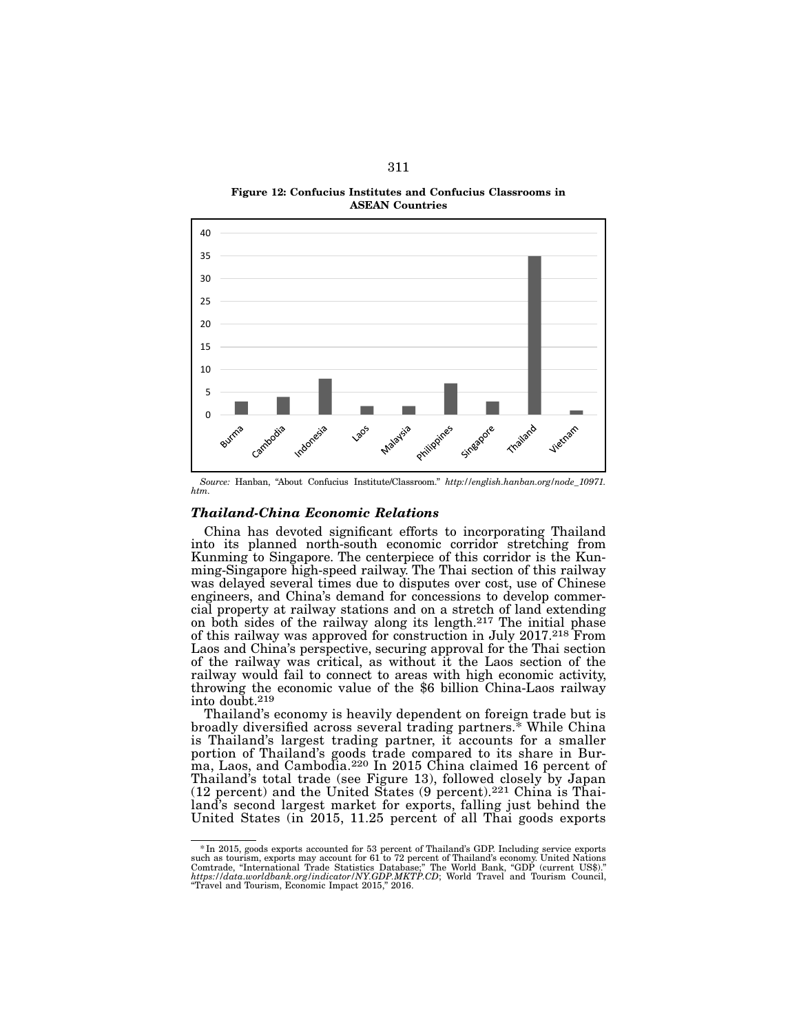Figure 12: Confucius Institutes and Confucius Classrooms in ASEAN Countries



*Source:* Hanban, "About Confucius Institute/Classroom." *http://english.hanban.org/node\_10971. htm.*

# *Thailand-China Economic Relations*

China has devoted significant efforts to incorporating Thailand into its planned north-south economic corridor stretching from Kunming to Singapore. The centerpiece of this corridor is the Kunming-Singapore high-speed railway. The Thai section of this railway was delayed several times due to disputes over cost, use of Chinese engineers, and China's demand for concessions to develop commercial property at railway stations and on a stretch of land extending on both sides of the railway along its length.217 The initial phase of this railway was approved for construction in July 2017.218 From Laos and China's perspective, securing approval for the Thai section of the railway was critical, as without it the Laos section of the railway would fail to connect to areas with high economic activity, throwing the economic value of the \$6 billion China-Laos railway into doubt.219

Thailand's economy is heavily dependent on foreign trade but is broadly diversified across several trading partners.\* While China is Thailand's largest trading partner, it accounts for a smaller portion of Thailand's goods trade compared to its share in Burma, Laos, and Cambodia.<sup>220</sup> In 2015 China claimed 16 percent of Thailand's total trade (see Figure 13), followed closely by Japan (12 percent) and the United States (9 percent).221 China is Thai- land's second largest market for exports, falling just behind the United States (in 2015, 11.25 percent of all Thai goods exports

<sup>\*</sup>In 2015, goods exports accounted for 53 percent of Thailand's GDP. Including service exports such as tourism, exports may account for 61 to 72 percent of Thailand's economy. United Nations<br>Comtrade, "International Trade Statistics Database," The World Bank, "GDP (current US\$)."<br>https://data.worldbank.org/indicator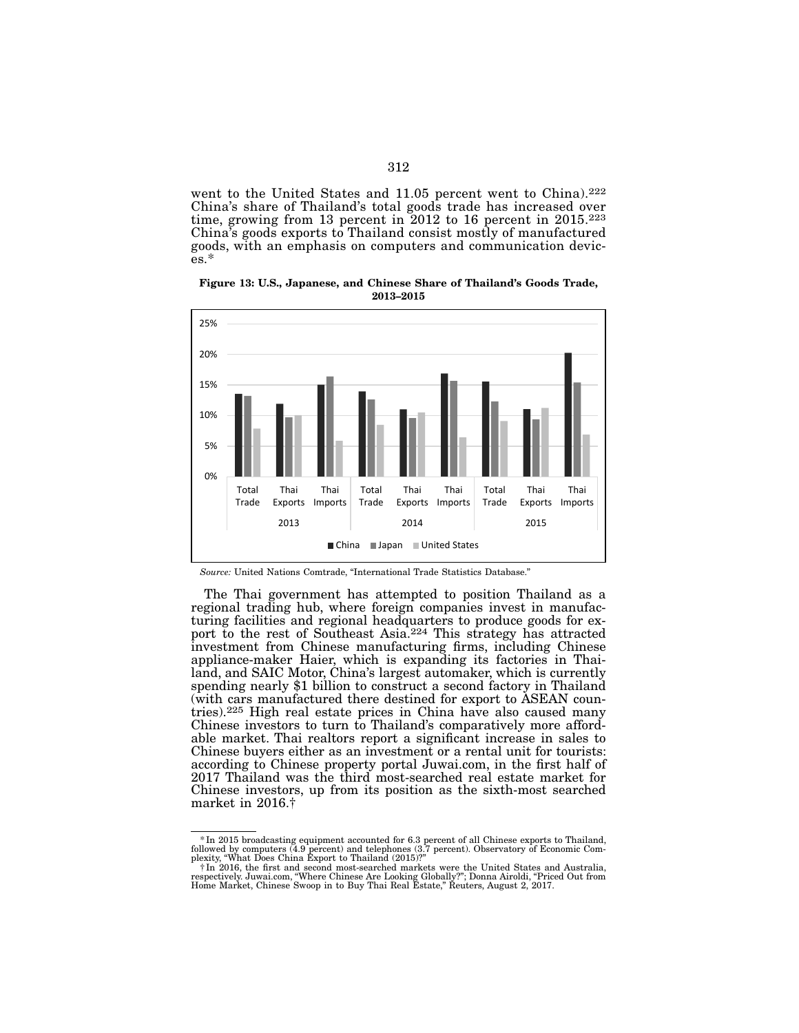went to the United States and 11.05 percent went to China).<sup>222</sup> China's share of Thailand's total goods trade has increased over time, growing from 13 percent in 2012 to 16 percent in 2015.223 China's goods exports to Thailand consist mostly of manufactured goods, with an emphasis on computers and communication devic- es.\*

Figure 13: U.S., Japanese, and Chinese Share of Thailand's Goods Trade, 2013–2015



*Source:* United Nations Comtrade, "International Trade Statistics Database."

The Thai government has attempted to position Thailand as a regional trading hub, where foreign companies invest in manufacturing facilities and regional headquarters to produce goods for export to the rest of Southeast Asia.224 This strategy has attracted investment from Chinese manufacturing firms, including Chinese appliance-maker Haier, which is expanding its factories in Thailand, and SAIC Motor, China's largest automaker, which is currently spending nearly \$1 billion to construct a second factory in Thailand (with cars manufactured there destined for export to ASEAN countries).225 High real estate prices in China have also caused many Chinese investors to turn to Thailand's comparatively more affordable market. Thai realtors report a significant increase in sales to Chinese buyers either as an investment or a rental unit for tourists: according to Chinese property portal Juwai.com, in the first half of 2017 Thailand was the third most-searched real estate market for Chinese investors, up from its position as the sixth-most searched market in 2016.†

<sup>\*</sup> In 2015 broadcasting equipment accounted for 6.3 percent of all Chinese exports to Thailand, followed by computers (4.9 percent) and telephones (3.7 percent). Observatory of Economic Complexity, "What Does China Export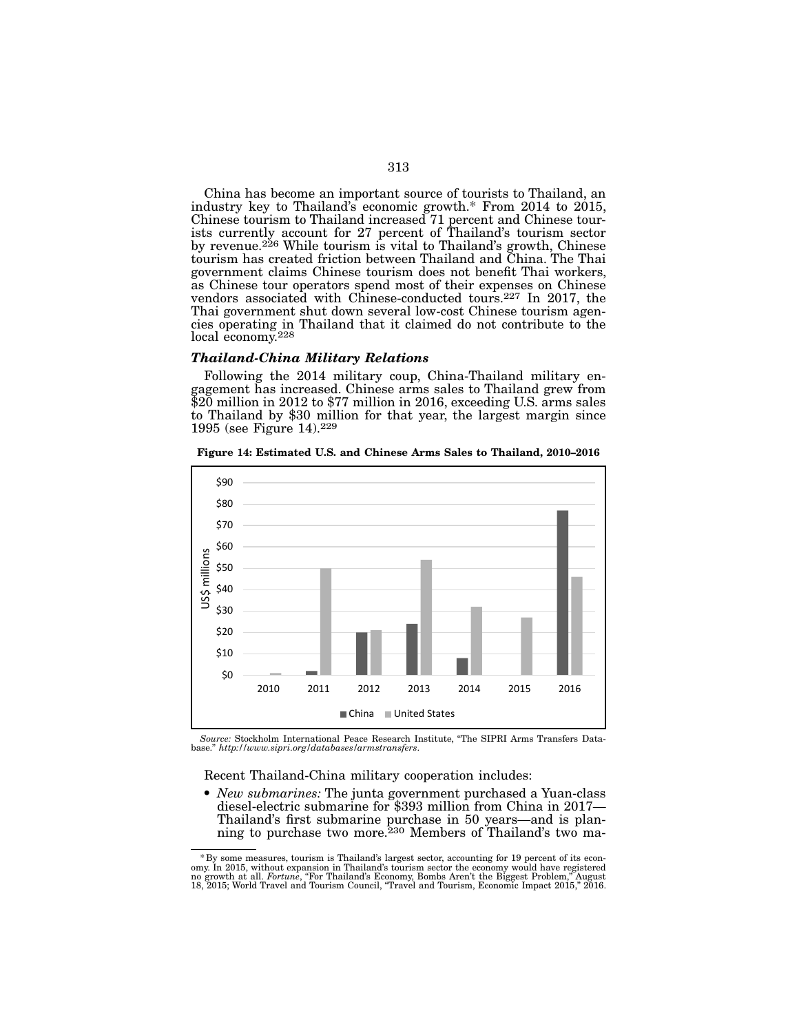China has become an important source of tourists to Thailand, an industry key to Thailand's economic growth.\* From 2014 to 2015, Chinese tourism to Thailand increased 71 percent and Chinese tour- ists currently account for 27 percent of Thailand's tourism sector by revenue.<sup>226</sup> While tourism is vital to Thailand's growth, Chinese tourism has created friction between Thailand and China. The Thai government claims Chinese tourism does not benefit Thai workers, as Chinese tour operators spend most of their expenses on Chinese vendors associated with Chinese-conducted tours.<sup>227</sup> In 2017, the Thai government shut down several low-cost Chinese tourism agencies operating in Thailand that it claimed do not contribute to the local economy.<sup>228</sup>

#### *Thailand-China Military Relations*

Following the 2014 military coup, China-Thailand military en- gagement has increased. Chinese arms sales to Thailand grew from \$20 million in 2012 to \$77 million in 2016, exceeding U.S. arms sales to Thailand by \$30 million for that year, the largest margin since 1995 (see Figure 14).229



Figure 14: Estimated U.S. and Chinese Arms Sales to Thailand, 2010–2016

*Source:* Stockholm International Peace Research Institute, "The SIPRI Arms Transfers Data-base." *http://www.sipri.org/databases/armstransfers*.

Recent Thailand-China military cooperation includes:

• *New submarines:* The junta government purchased a Yuan-class diesel-electric submarine for \$393 million from China in 2017— Thailand's first submarine purchase in 50 years—and is plan- ning to purchase two more.230 Members of Thailand's two ma-

<sup>&</sup>lt;sup>\*</sup> By some measures, tourism is Thailand's largest sector, accounting for 19 percent of its economy. In 2015, without expansion in Thailand's tourism sector the economy would have registered no growth at all. Fortune, "Fo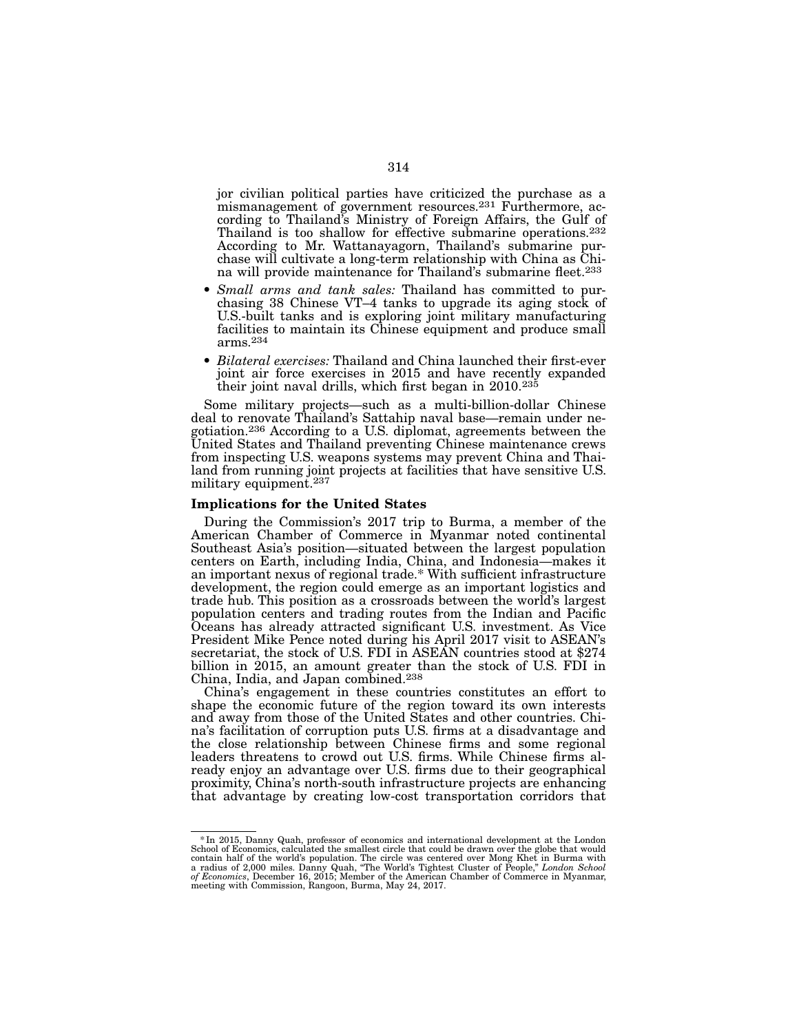jor civilian political parties have criticized the purchase as a mismanagement of government resources.<sup>231</sup> Furthermore, according to Thailand's Ministry of Foreign Affairs, the Gulf of Thailand is too shallow for effective submarine operations.<sup>232</sup> According to Mr. Wattanayagorn, Thailand's submarine purchase will cultivate a long-term relationship with China as China will provide maintenance for Thailand's submarine fleet.<sup>233</sup>

- *Small arms and tank sales:* Thailand has committed to pur- chasing 38 Chinese VT–4 tanks to upgrade its aging stock of U.S.-built tanks and is exploring joint military manufacturing facilities to maintain its Chinese equipment and produce small arms.234
- *Bilateral exercises:* Thailand and China launched their first-ever joint air force exercises in 2015 and have recently expanded their joint naval drills, which first began in 2010.<sup>235</sup>

Some military projects—such as a multi-billion-dollar Chinese deal to renovate Thailand's Sattahip naval base—remain under negotiation.236 According to a U.S. diplomat, agreements between the United States and Thailand preventing Chinese maintenance crews from inspecting U.S. weapons systems may prevent China and Thailand from running joint projects at facilities that have sensitive U.S. military equipment.237

#### Implications for the United States

During the Commission's 2017 trip to Burma, a member of the American Chamber of Commerce in Myanmar noted continental Southeast Asia's position—situated between the largest population centers on Earth, including India, China, and Indonesia—makes it an important nexus of regional trade.\* With sufficient infrastructure development, the region could emerge as an important logistics and trade hub. This position as a crossroads between the world's largest population centers and trading routes from the Indian and Pacific Oceans has already attracted significant U.S. investment. As Vice President Mike Pence noted during his April 2017 visit to ASEAN's secretariat, the stock of U.S. FDI in ASEAN countries stood at \$274 billion in 2015, an amount greater than the stock of U.S. FDI in China, India, and Japan combined.238

China's engagement in these countries constitutes an effort to shape the economic future of the region toward its own interests<br>and away from those of the United States and other countries. China's facilitation of corruption puts U.S. firms at a disadvantage and the close relationship between Chinese firms and some regional leaders threatens to crowd out U.S. firms. While Chinese firms al- ready enjoy an advantage over U.S. firms due to their geographical proximity, China's north-south infrastructure projects are enhancing that advantage by creating low-cost transportation corridors that

<sup>\*</sup>In 2015, Danny Quah, professor of economics and international development at the London School of Economics, calculated the smallest circle that could be drawn over the globe that would<br>contain half of the world's population. The circle was centered over Mong Khet in Burma with<br>a radius of 2,000 miles. Danny meeting with Commission, Rangoon, Burma, May 24, 2017.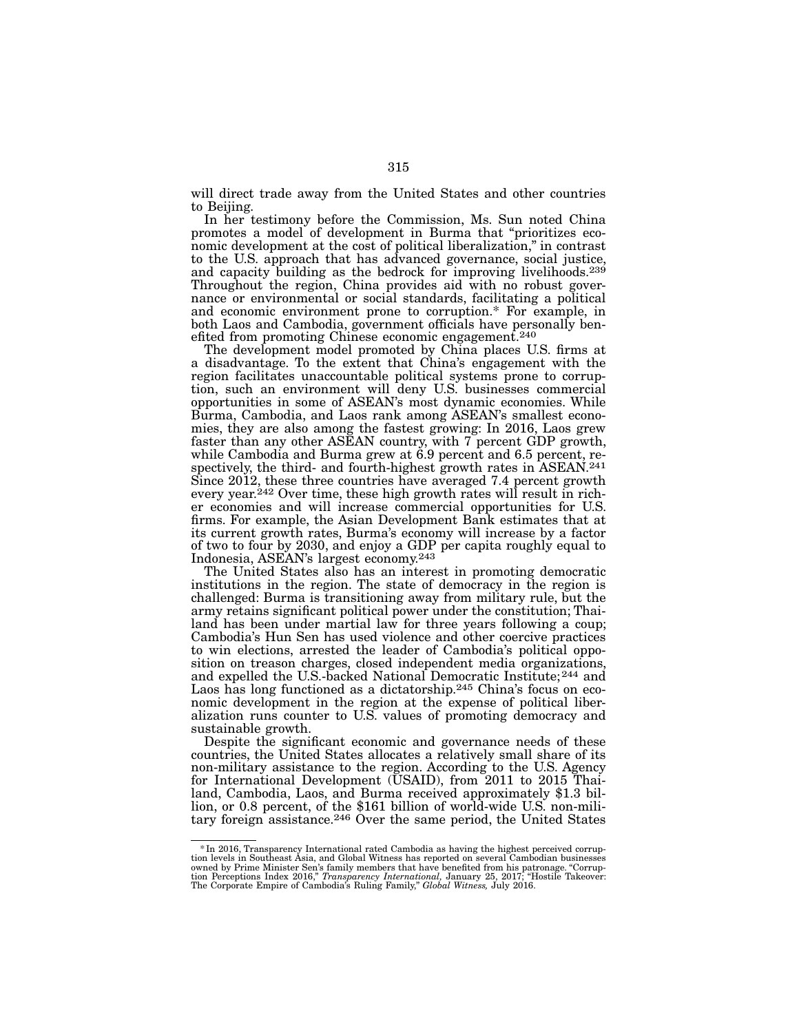will direct trade away from the United States and other countries to Beijing.

In her testimony before the Commission, Ms. Sun noted China promotes a model of development in Burma that "prioritizes eco- nomic development at the cost of political liberalization," in contrast to the U.S. approach that has advanced governance, social justice, and capacity building as the bedrock for improving livelihoods.239 Throughout the region, China provides aid with no robust gover- nance or environmental or social standards, facilitating a political and economic environment prone to corruption.\* For example, in both Laos and Cambodia, government officials have personally ben-<br>efited from promoting Chinese economic engagement.<sup>240</sup>

The development model promoted by China places U.S. firms at a disadvantage. To the extent that China's engagement with the region facilitates unaccountable political systems prone to corrup- tion, such an environment will deny U.S. businesses commercial opportunities in some of ASEAN's most dynamic economies. While<br>Burma, Cambodia, and Laos rank among ASEAN's smallest economies, they are also among the fastest growing: In 2016, Laos grew faster than any other ASEAN country, with 7 percent GDP growth, while Cambodia and Burma grew at 6.9 percent and 6.5 percent, respectively, the third- and fourth-highest growth rates in ASEAN.<sup>241</sup> Since 2012, these three countries have averaged 7.4 percent growth every year.<sup>242</sup> Over time, these high growth rates will result in richer economies and will increase commercial opportunities for U.S. firms. For example, the Asian Development Bank estimates that at its current growth rates, Burma's economy will increase by a factor of two to four by 2030, and enjoy a GDP per capita roughly equal to Indonesia, ASEAN's largest economy.243

The United States also has an interest in promoting democratic institutions in the region. The state of democracy in the region is challenged: Burma is transitioning away from military rule, but the army retains significant political power under the constitution; Thailand has been under martial law for three years following a coup; Cambodia's Hun Sen has used violence and other coercive practices to win elections, arrested the leader of Cambodia's political opposition on treason charges, closed independent media organizations, and expelled the U.S.-backed National Democratic Institute;<sup>244</sup> and Laos has long functioned as a dictatorship.<sup>245</sup> China's focus on economic development in the region at the expense of political liberalization runs counter to U.S. values of promoting democracy and sustainable growth.

Despite the significant economic and governance needs of these countries, the United States allocates a relatively small share of its non-military assistance to the region. According to the U.S. Agency for International Development (USAID), from 2011 to 2015 Thailand, Cambodia, Laos, and Burma received approximately \$1.3 billion, or 0.8 percent, of the \$161 billion of world-wide U.S. non-military foreign assistance.246 Over the same period, the United States

<sup>\*</sup>In 2016, Transparency International rated Cambodia as having the highest perceived corrup- tion levels in Southeast Asia, and Global Witness has reported on several Cambodian businesses owned by Prime Minister Sen's family members that have benefited from his patronage. "Corrup-tion Perceptions Index 2016," *Transparency International,* January 25, 2017; "Hostile Takeover: The Corporate Empire of Cambodia's Ruling Family," *Global Witness,* July 2016.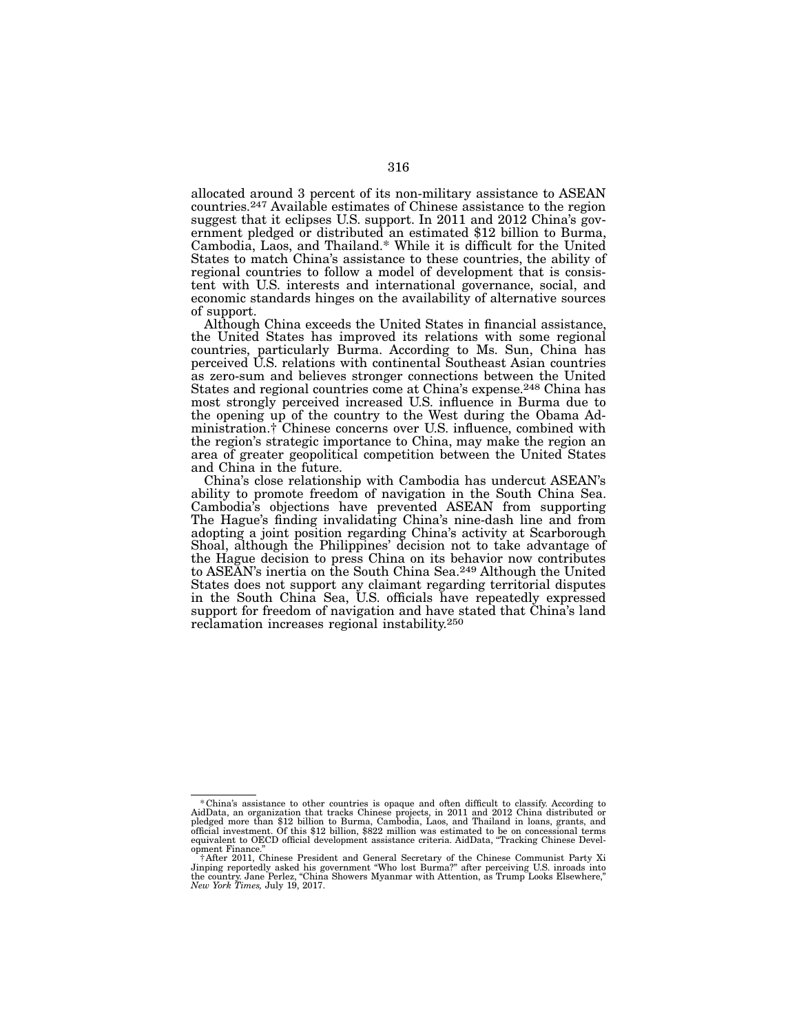allocated around 3 percent of its non-military assistance to ASEAN countries.<sup>247</sup> Available estimates of Chinese assistance to the region suggest that it eclipses U.S. support. In 2011 and 2012 China's government pledged or distributed an estimated \$12 billion to Burma, Cambodia, Laos, and Thailand.\* While it is difficult for the United States to match China's assistance to these countries, the ability of regional countries to follow a model of development that is consis- tent with U.S. interests and international governance, social, and economic standards hinges on the availability of alternative sources of support.

Although China exceeds the United States in financial assistance, the United States has improved its relations with some regional countries, particularly Burma. According to Ms. Sun, China has perceived U.S. relations with continental Southeast Asian countries as zero-sum and believes stronger connections between the United States and regional countries come at China's expense.<sup>248</sup> China has most strongly perceived increased U.S. influence in Burma due to ministration.† Chinese concerns over U.S. influence, combined with the region's strategic importance to China, may make the region an area of greater geopolitical competition between the United States and China in the future.

China's close relationship with Cambodia has undercut ASEAN's ability to promote freedom of navigation in the South China Sea. Cambodia's objections have prevented ASEAN from supporting The Hague's finding invalidating China's nine-dash line and from adopting a joint position regarding China's activity at Scarborough Shoal, although the Philippines' decision not to take advantage of the Hague decision to press China on its behavior now contributes to ASEAN's inertia on the South China Sea.249 Although the United States does not support any claimant regarding territorial disputes in the South China Sea, U.S. officials have repeatedly expressed support for freedom of navigation and have stated that China's land reclamation increases regional instability.250

<sup>\*</sup>China's assistance to other countries is opaque and often difficult to classify. According to AidData, an organization that tracks Chinese projects, in 2011 and 2012 China distributed or pledged more than \$12 billion to B opment Finance."

FAfter 2011, Chinese President and General Secretary of the Chinese Communist Party Xi Jinping reportedly asked his government "Who lost Burma?" after perceiving U.S. inroads into the country. Jane Perlez, "China Showers M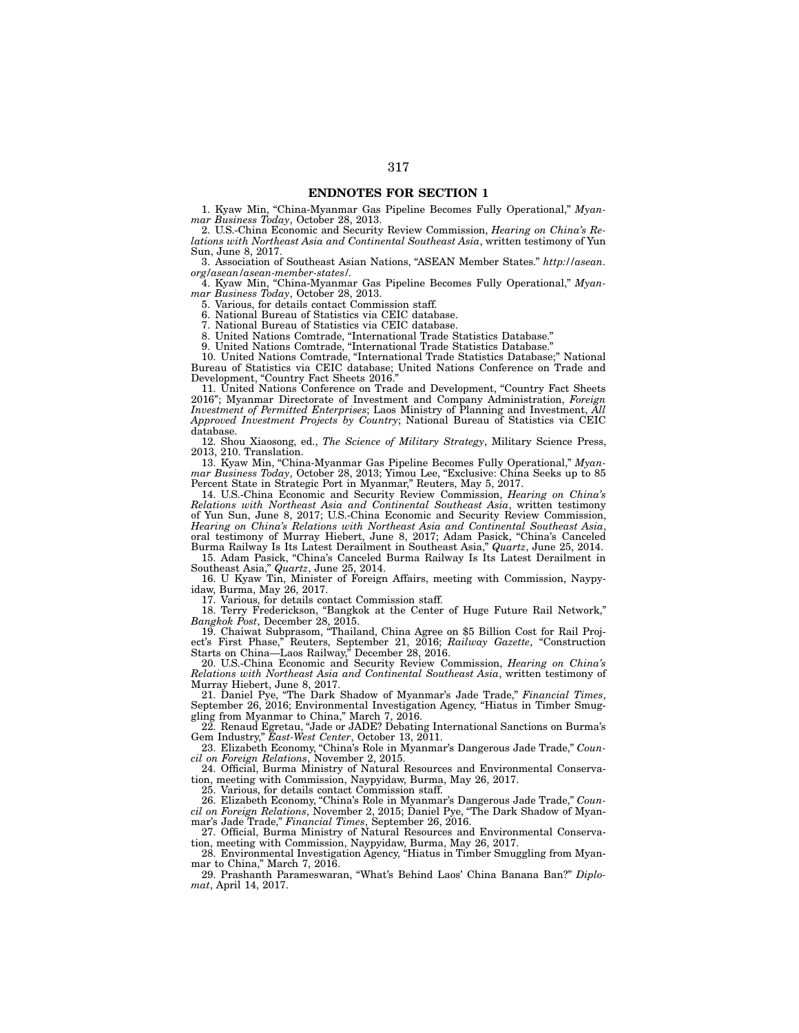# ENDNOTES FOR SECTION 1

1. Kyaw Min, "China-Myanmar Gas Pipeline Becomes Fully Operational," *Myanmar Business Today*, October 28, 2013.

2. U.S.-China Economic and Security Review Commission, *Hearing on China's Relations with Northeast Asia and Continental Southeast Asia*, written testimony of Yun Sun, June 8, 2017.

3. Association of Southeast Asian Nations, "ASEAN Member States." *http://asean. org/asean/asean-member-states/.*

4. Kyaw Min, "China-Myanmar Gas Pipeline Becomes Fully Operational," *Myanmar Business Today*, October 28, 2013.

5. Various, for details contact Commission staff.

6. National Bureau of Statistics via CEIC database.

7. National Bureau of Statistics via CEIC database.

8. United Nations Comtrade, "International Trade Statistics Database."

9. United Nations Comtrade, "International Trade Statistics Database."

10. United Nations Comtrade, "International Trade Statistics Database;" National Bureau of Statistics via CEIC database; United Nations Conference on Trade and Development, "Country Fact Sheets 2016."

11. United Nations Conference on Trade and Development, "Country Fact Sheets 2016"; Myanmar Directorate of Investment and Company Administration, *Foreign Investment of Permitted Enterprises*; Laos Ministry of Planning and Investment, *All Approved Investment Projects by Country*; National Bureau of Statistics via CEIC database.

12. Shou Xiaosong, ed., *The Science of Military Strategy*, Military Science Press, 2013, 210. Translation.

13. Kyaw Min, "China-Myanmar Gas Pipeline Becomes Fully Operational," *Myanmar Business Today*, October 28, 2013; Yimou Lee, "Exclusive: China Seeks up to 85 Percent State in Strategic Port in Myanmar," Reuters, May 5, 2017.

14. U.S.-China Economic and Security Review Commission, *Hearing on China's Relations with Northeast Asia and Continental Southeast Asia*, written testimony of Yun Sun, June 8, 2017; U.S.-China Economic and Security Review Commission, *Hearing on China's Relations with Northeast Asia and Continental Southeast Asia*, oral testimony of Murray Hiebert, June 8, 2017; Adam Pasick, "China's Canceled Burma Railway Is Its Latest Derailment in Southeast Asia," *Quartz*, June 25, 2014.

15. Adam Pasick, "China's Canceled Burma Railway Is Its Latest Derailment in Southeast Asia," *Quartz*, June 25, 2014.

16. U Kyaw Tin, Minister of Foreign Affairs, meeting with Commission, Naypyidaw, Burma, May 26, 2017.

17. Various, for details contact Commission staff.

18. Terry Frederickson, "Bangkok at the Center of Huge Future Rail Network," *Bangkok Post*, December 28, 2015.

19. Chaiwat Subprasom, "Thailand, China Agree on \$5 Billion Cost for Rail Project's First Phase," Reuters, September 21, 2016; *Railway Gazette*, "Construction Starts on China—Laos Railway," December 28, 2016.

20. U.S.-China Economic and Security Review Commission, *Hearing on China's Relations with Northeast Asia and Continental Southeast Asia*, written testimony of Murray Hiebert, June 8, 2017.

21. Daniel Pye, "The Dark Shadow of Myanmar's Jade Trade," *Financial Times*, September 26, 2016; Environmental Investigation Agency, "Hiatus in Timber Smuggling from Myanmar to China," March 7, 2016.

22. Renaud Egretau, "Jade or JADE? Debating International Sanctions on Burma's Gem Industry," *East-West Center*, October 13, 2011.

23. Elizabeth Economy, "China's Role in Myanmar's Dangerous Jade Trade," *Council on Foreign Relations*, November 2, 2015.

24. Official, Burma Ministry of Natural Resources and Environmental Conservation, meeting with Commission, Naypyidaw, Burma, May 26, 2017.

25. Various, for details contact Commission staff.

26. Elizabeth Economy, "China's Role in Myanmar's Dangerous Jade Trade," *Council on Foreign Relations*, November 2, 2015; Daniel Pye, "The Dark Shadow of Myanmar's Jade Trade," *Financial Times*, September 26, 2016.

27. Official, Burma Ministry of Natural Resources and Environmental Conservation, meeting with Commission, Naypyidaw, Burma, May 26, 2017.

28. Environmental Investigation Agency, "Hiatus in Timber Smuggling from Myanmar to China," March 7, 2016.

29. Prashanth Parameswaran, "What's Behind Laos' China Banana Ban?" *Diplomat*, April 14, 2017.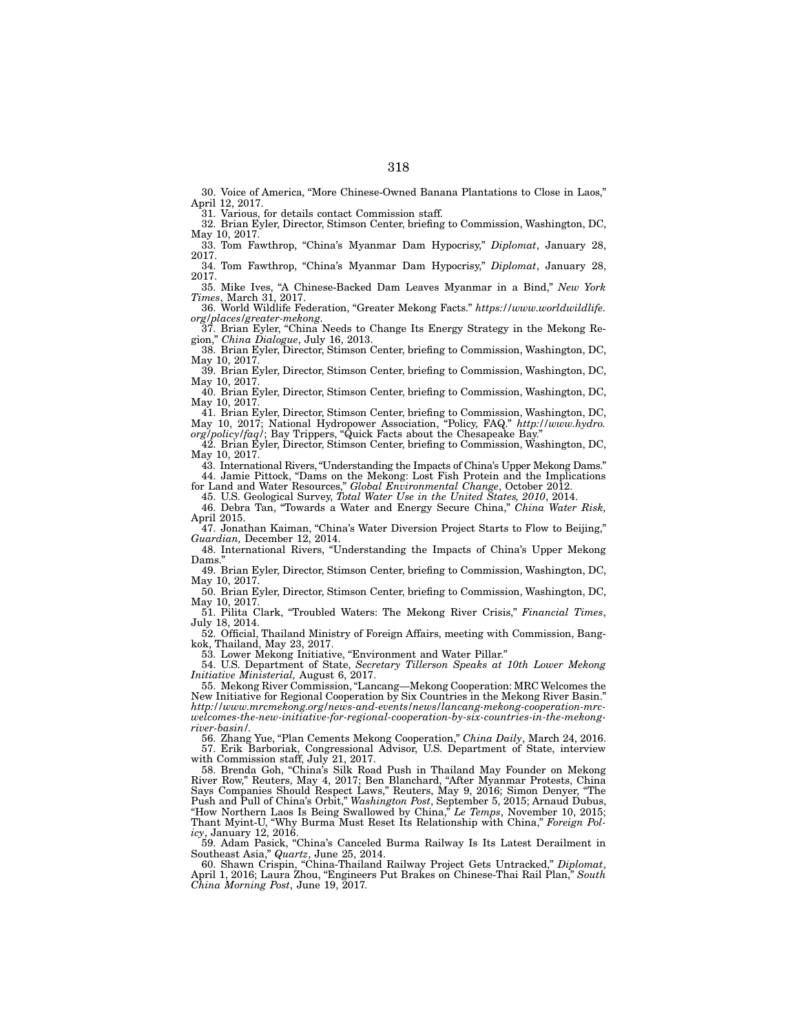30. Voice of America, "More Chinese-Owned Banana Plantations to Close in Laos," April 12, 2017.

31. Various, for details contact Commission staff.

32. Brian Eyler, Director, Stimson Center, briefing to Commission, Washington, DC, May 10, 2017. 33. Tom Fawthrop, "China's Myanmar Dam Hypocrisy," *Diplomat*, January 28,

2017.

34. Tom Fawthrop, "China's Myanmar Dam Hypocrisy," *Diplomat*, January 28, 2017.

35. Mike Ives, "A Chinese-Backed Dam Leaves Myanmar in a Bind," *New York Times*, March 31, 2017.

36. World Wildlife Federation, "Greater Mekong Facts." *https://www.worldwildlife. org/places/greater-mekong*.

37. Brian Eyler, "China Needs to Change Its Energy Strategy in the Mekong Region," *China Dialogue*, July 16, 2013.

38. Brian Eyler, Director, Stimson Center, briefing to Commission, Washington, DC, May 10, 2017.

39. Brian Eyler, Director, Stimson Center, briefing to Commission, Washington, DC, May 10, 2017.

40. Brian Eyler, Director, Stimson Center, briefing to Commission, Washington, DC, May 10, 2017.

41. Brian Eyler, Director, Stimson Center, briefing to Commission, Washington, DC, May 10, 2017; National Hydropower Association, "Policy, FAQ." *http://www.hydro. org/policy/faq/*; Bay Trippers, "Quick Facts about the Chesapeake Bay."

42. Brian Eyler, Director, Stimson Center, briefing to Commission, Washington, DC, May 10, 2017.

43. International Rivers, "Understanding the Impacts of China's Upper Mekong Dams." 44. Jamie Pittock, "Dams on the Mekong: Lost Fish Protein and the Implications

for Land and Water Resources," *Global Environmental Change*, October 2012. 45. U.S. Geological Survey, *Total Water Use in the United States, 2010*, 2014.

46. Debra Tan, "Towards a Water and Energy Secure China," *China Water Risk,*  April 2015.

47. Jonathan Kaiman, "China's Water Diversion Project Starts to Flow to Beijing," *Guardian,* December 12, 2014.

48. International Rivers, "Understanding the Impacts of China's Upper Mekong Dams.

49. Brian Eyler, Director, Stimson Center, briefing to Commission, Washington, DC, May 10, 2017.

50. Brian Eyler, Director, Stimson Center, briefing to Commission, Washington, DC, May 10, 2017

51. Pilita Clark, "Troubled Waters: The Mekong River Crisis," *Financial Times*, July 18, 2014.

52. Official, Thailand Ministry of Foreign Affairs, meeting with Commission, Bangkok, Thailand, May 23, 2017.

53. Lower Mekong Initiative, "Environment and Water Pillar."

54. U.S. Department of State, *Secretary Tillerson Speaks at 10th Lower Mekong Initiative Ministerial,* August 6, 2017.

55. Mekong River Commission, "Lancang—Mekong Cooperation: MRC Welcomes the New Initiative for Regional Cooperation by Six Countries in the Mekong River Basin." *http://www.mrcmekong.org/news-and-events/news/lancang-mekong-cooperation-mrcwelcomes-the-new-initiative-for-regional-cooperation-by-six-countries-in-the-mekongriver-basin/.*

56. Zhang Yue, "Plan Cements Mekong Cooperation," *China Daily*, March 24, 2016. 57. Erik Barboriak, Congressional Advisor, U.S. Department of State, interview with Commission staff, July 21, 2017.

58. Brenda Goh, "China's Silk Road Push in Thailand May Founder on Mekong River Row," Reuters, May 4, 2017; Ben Blanchard, "After Myanmar Protests, China Says Companies Should Respect Laws," Reuters, May 9, 2016; Simon Denyer, "The Push and Pull of China's Orbit," *Washington Post*, September 5, 2015; Arnaud Dubus, "How Northern Laos Is Being Swallowed by China," *Le Temps*, November 10, 2015; Thant Myint-U, "Why Burma Must Reset Its Relationship with China," *Foreign Policy*, January 12, 2016.

59. Adam Pasick, "China's Canceled Burma Railway Is Its Latest Derailment in Southeast Asia," *Quartz*, June 25, 2014.

60. Shawn Crispin, "China-Thailand Railway Project Gets Untracked," *Diplomat*, April 1, 2016; Laura Zhou, "Engineers Put Brakes on Chinese-Thai Rail Plan," *South China Morning Post*, June 19, 2017*.*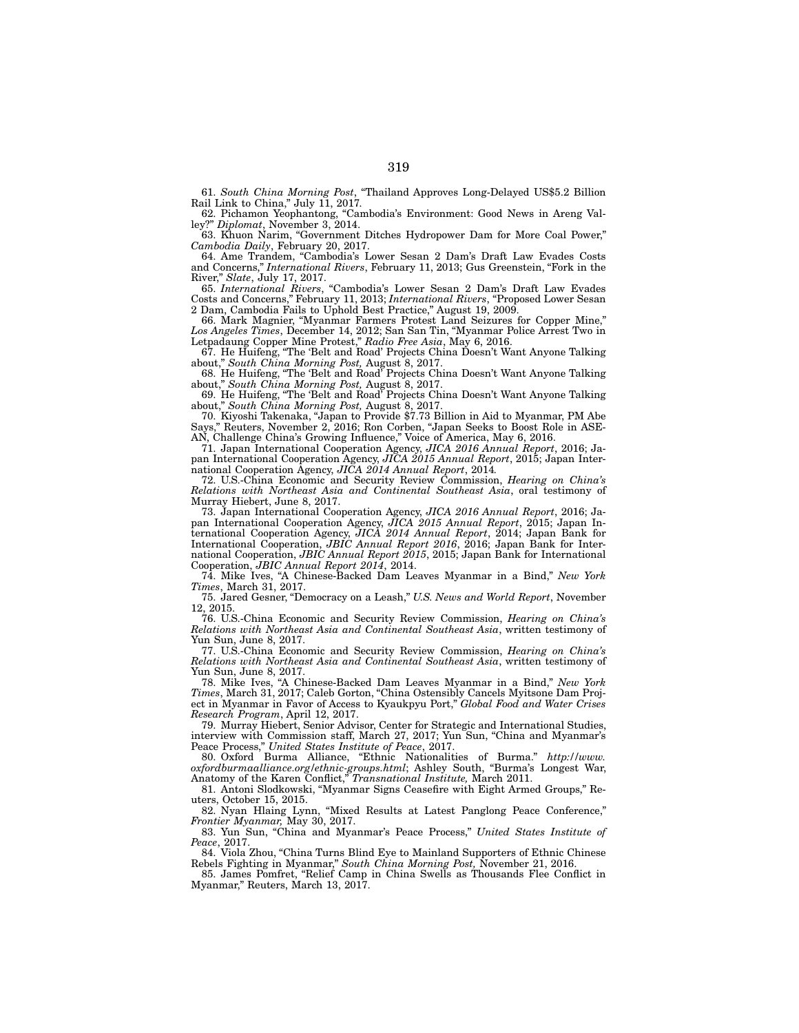61. *South China Morning Post*, "Thailand Approves Long-Delayed US\$5.2 Billion Rail Link to China," July 11, 2017*.*

62. Pichamon Yeophantong, "Cambodia's Environment: Good News in Areng Valley?" *Diplomat*, November 3, 2014.

63. Khuon Narim, "Government Ditches Hydropower Dam for More Coal Power," *Cambodia Daily*, February 20, 2017.

64. Ame Trandem, "Cambodia's Lower Sesan 2 Dam's Draft Law Evades Costs and Concerns," *International Rivers*, February 11, 2013; Gus Greenstein, "Fork in the River," *Slate*, July 17, 2017.

65. *International Rivers*, "Cambodia's Lower Sesan 2 Dam's Draft Law Evades Costs and Concerns," February 11, 2013; *International Rivers*, "Proposed Lower Sesan 2 Dam, Cambodia Fails to Uphold Best Practice," August 19, 2009.

66. Mark Magnier, "Myanmar Farmers Protest Land Seizures for Copper Mine," *Los Angeles Times*, December 14, 2012; San San Tin, "Myanmar Police Arrest Two in Letpadaung Copper Mine Protest," *Radio Free Asia*, May 6, 2016.

67. He Huifeng, "The 'Belt and Road' Projects China Doesn't Want Anyone Talking about," *South China Morning Post,* August 8, 2017.

68. He Huifeng, "The 'Belt and Road' Projects China Doesn't Want Anyone Talking about," *South China Morning Post,* August 8, 2017.

69. He Huifeng, "The 'Belt and Road' Projects China Doesn't Want Anyone Talking about," *South China Morning Post,* August 8, 2017.

70. Kiyoshi Takenaka, "Japan to Provide \$7.73 Billion in Aid to Myanmar, PM Abe Reuters, November 2, 2016; Ron Corben, "Japan Seeks to Boost Role in ASE-AN, Challenge China's Growing Influence," Voice of America, May 6, 2016.

71. Japan International Cooperation Agency, *JICA 2016 Annual Report*, 2016; Japan International Cooperation Agency, *JICA 2015 Annual Report*, 2015; Japan International Cooperation Agency, *JICA 2014 Annual Report*, 2014*.*

72. U.S.-China Economic and Security Review Commission, *Hearing on China's Relations with Northeast Asia and Continental Southeast Asia*, oral testimony of Murray Hiebert, June 8, 2017.

73. Japan International Cooperation Agency, *JICA 2016 Annual Report*, 2016; Japan International Cooperation Agency, *JICA 2015 Annual Report*, 2015; Japan International Cooperation Agency, *JICA 2014 Annual Report*, 2014; Japan Bank for International Cooperation, *JBIC Annual Report 2016*, 2016; Japan Bank for International Cooperation, *JBIC Annual Report 2015*, 2015; Japan Bank for International Cooperation, *JBIC Annual Report 2014*, 2014.

74. Mike Ives, "A Chinese-Backed Dam Leaves Myanmar in a Bind," *New York Times*, March 31, 2017.

75. Jared Gesner, "Democracy on a Leash," *U.S. News and World Report*, November 12, 2015.

76. U.S.-China Economic and Security Review Commission, *Hearing on China's Relations with Northeast Asia and Continental Southeast Asia*, written testimony of Yun Sun, June 8, 2017.

77. U.S.-China Economic and Security Review Commission, *Hearing on China's Relations with Northeast Asia and Continental Southeast Asia*, written testimony of Yun Sun, June 8, 2017.

78. Mike Ives, "A Chinese-Backed Dam Leaves Myanmar in a Bind," *New York Times*, March 31, 2017; Caleb Gorton, "China Ostensibly Cancels Myitsone Dam Project in Myanmar in Favor of Access to Kyaukpyu Port," *Global Food and Water Crises Research Program*, April 12, 2017.

79. Murray Hiebert, Senior Advisor, Center for Strategic and International Studies, interview with Commission staff, March 27, 2017; Yun Sun, "China and Myanmar's Peace Process," *United States Institute of Peace*, 2017.

80. Oxford Burma Alliance, "Ethnic Nationalities of Burma." *http://www. oxfordburmaalliance.org/ethnic-groups.html*; Ashley South, "Burma's Longest War, Anatomy of the Karen Conflict," *Transnational Institute,* March 2011.

81. Antoni Slodkowski, "Myanmar Signs Ceasefire with Eight Armed Groups," Reuters, October 15, 2015.

82. Nyan Hlaing Lynn, "Mixed Results at Latest Panglong Peace Conference," *Frontier Myanmar,* May 30, 2017.

83. Yun Sun, "China and Myanmar's Peace Process," *United States Institute of Peace*, 2017.

84. Viola Zhou, "China Turns Blind Eye to Mainland Supporters of Ethnic Chinese Rebels Fighting in Myanmar," *South China Morning Post,* November 21, 2016.

85. James Pomfret, "Relief Camp in China Swells as Thousands Flee Conflict in Myanmar," Reuters, March 13, 2017.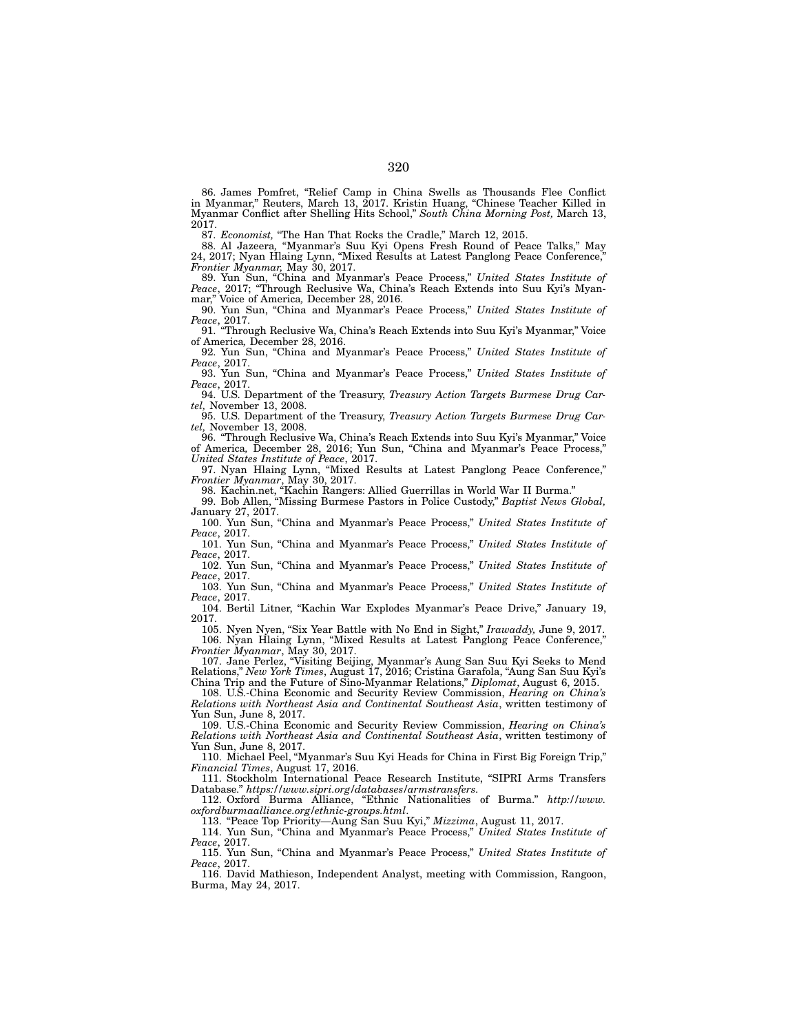86. James Pomfret, "Relief Camp in China Swells as Thousands Flee Conflict in Myanmar," Reuters, March 13, 2017. Kristin Huang, "Chinese Teacher Killed in Myanmar Conflict after Shelling Hits School," *South China Morning Post,* March 13, 2017.

87. *Economist,* "The Han That Rocks the Cradle," March 12, 2015.

88. Al Jazeera*,* "Myanmar's Suu Kyi Opens Fresh Round of Peace Talks," May 24, 2017; Nyan Hlaing Lynn, "Mixed Results at Latest Panglong Peace Conference," *Frontier Myanmar,* May 30, 2017.

89. Yun Sun, "China and Myanmar's Peace Process," *United States Institute of Peace*, 2017; "Through Reclusive Wa, China's Reach Extends into Suu Kyi's Myanmar," Voice of America*,* December 28, 2016.

90. Yun Sun, "China and Myanmar's Peace Process," *United States Institute of Peace*, 2017.

91. "Through Reclusive Wa, China's Reach Extends into Suu Kyi's Myanmar," Voice of America*,* December 28, 2016.

92. Yun Sun, "China and Myanmar's Peace Process," *United States Institute of Peace*, 2017.

93. Yun Sun, "China and Myanmar's Peace Process," *United States Institute of Peace*, 2017.

94. U.S. Department of the Treasury, *Treasury Action Targets Burmese Drug Cartel,* November 13, 2008.

95. U.S. Department of the Treasury, *Treasury Action Targets Burmese Drug Cartel,* November 13, 2008.

96. "Through Reclusive Wa, China's Reach Extends into Suu Kyi's Myanmar," Voice of America*,* December 28, 2016; Yun Sun, "China and Myanmar's Peace Process," *United States Institute of Peace*, 2017.

97. Nyan Hlaing Lynn, "Mixed Results at Latest Panglong Peace Conference," *Frontier Myanmar*, May 30, 2017.

98. Kachin.net, "Kachin Rangers: Allied Guerrillas in World War II Burma."

99. Bob Allen, "Missing Burmese Pastors in Police Custody," *Baptist News Global,* January 27, 2017.

100. Yun Sun, "China and Myanmar's Peace Process," *United States Institute of Peace*, 2017.

101. Yun Sun, "China and Myanmar's Peace Process," *United States Institute of Peace*, 2017.

102. Yun Sun, "China and Myanmar's Peace Process," *United States Institute of Peace*, 2017.

103. Yun Sun, "China and Myanmar's Peace Process," *United States Institute of Peace*, 2017.

104. Bertil Litner, "Kachin War Explodes Myanmar's Peace Drive," January 19, 2017.

105. Nyen Nyen, "Six Year Battle with No End in Sight," *Irawaddy,* June 9, 2017. 106. Nyan Hlaing Lynn, "Mixed Results at Latest Panglong Peace Conference," *Frontier Myanmar*, May 30, 2017.

107. Jane Perlez, "Visiting Beijing, Myanmar's Aung San Suu Kyi Seeks to Mend Relations," *New York Times*, August 17, 2016; Cristina Garafola, "Aung San Suu Kyi's China Trip and the Future of Sino-Myanmar Relations," *Diplomat*, August 6, 2015.

108. U.S.-China Economic and Security Review Commission, *Hearing on China's Relations with Northeast Asia and Continental Southeast Asia*, written testimony of Yun Sun, June 8, 2017.

109. U.S.-China Economic and Security Review Commission, *Hearing on China's Relations with Northeast Asia and Continental Southeast Asia*, written testimony of Yun Sun, June 8, 2017.

110. Michael Peel, "Myanmar's Suu Kyi Heads for China in First Big Foreign Trip," *Financial Times*, August 17, 2016.

111. Stockholm International Peace Research Institute, "SIPRI Arms Transfers Database." *https://www.sipri.org/databases/armstransfers*.

112. Oxford Burma Alliance, "Ethnic Nationalities of Burma." *http://www. oxfordburmaalliance.org/ethnic-groups.html*.

113. "Peace Top Priority—Aung San Suu Kyi," *Mizzima*, August 11, 2017.

114. Yun Sun, "China and Myanmar's Peace Process," *United States Institute of Peace*, 2017.

115. Yun Sun, "China and Myanmar's Peace Process," *United States Institute of Peace*, 2017.

116. David Mathieson, Independent Analyst, meeting with Commission, Rangoon, Burma, May 24, 2017.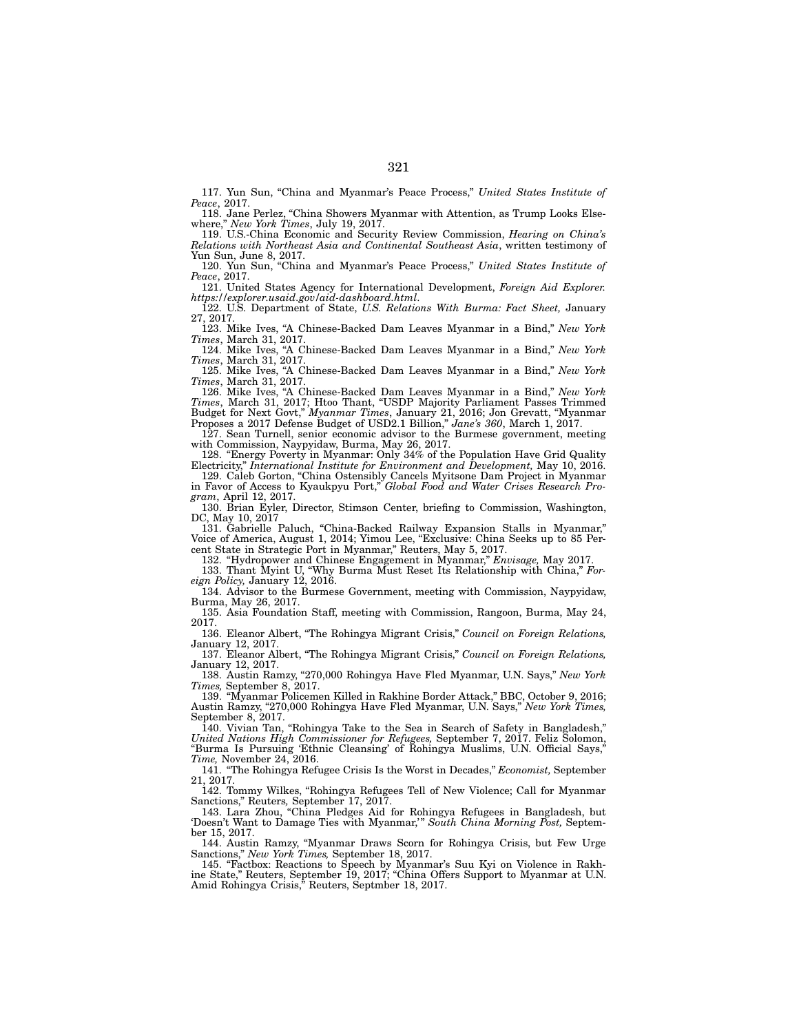117. Yun Sun, "China and Myanmar's Peace Process," *United States Institute of Peace*, 2017.

118. Jane Perlez, "China Showers Myanmar with Attention, as Trump Looks Elsewhere," *New York Times*, July 19, 2017.

119. U.S.-China Economic and Security Review Commission, *Hearing on China's Relations with Northeast Asia and Continental Southeast Asia*, written testimony of Yun Sun, June 8, 2017.

120. Yun Sun, "China and Myanmar's Peace Process," *United States Institute of Peace*, 2017.

121. United States Agency for International Development, *Foreign Aid Explorer. https://explorer.usaid.gov/aid-dashboard.html*.

122. U.S. Department of State, *U.S. Relations With Burma: Fact Sheet,* January 27, 2017.

123. Mike Ives, "A Chinese-Backed Dam Leaves Myanmar in a Bind," *New York Times*, March 31, 2017.

124. Mike Ives, "A Chinese-Backed Dam Leaves Myanmar in a Bind," *New York Times*, March 31, 2017.

125. Mike Ives, "A Chinese-Backed Dam Leaves Myanmar in a Bind," *New York Times*, March 31, 2017.

126. Mike Ives, "A Chinese-Backed Dam Leaves Myanmar in a Bind," *New York Times*, March 31, 2017; Htoo Thant, "USDP Majority Parliament Passes Trimmed Budget for Next Govt," *Myanmar Times*, January 21, 2016; Jon Grevatt, "Myanmar Proposes a 2017 Defense Budget of USD2.1 Billion," *Jane's 360*, March 1, 2017.

127. Sean Turnell, senior economic advisor to the Burmese government, meeting with Commission, Naypyidaw, Burma, May 26, 2017.

128. "Energy Poverty in Myanmar: Only 34% of the Population Have Grid Quality Electricity," *International Institute for Environment and Development,* May 10, 2016.

129. Caleb Gorton, "China Ostensibly Cancels Myitsone Dam Project in Myanmar in Favor of Access to Kyaukpyu Port," *Global Food and Water Crises Research Program*, April 12, 2017.

130. Brian Eyler, Director, Stimson Center, briefing to Commission, Washington, DC, May 10, 2017

131. Gabrielle Paluch, "China-Backed Railway Expansion Stalls in Myanmar," Voice of America, August 1, 2014; Yimou Lee, "Exclusive: China Seeks up to 85 Percent State in Strategic Port in Myanmar," Reuters, May 5, 2017.

132. "Hydropower and Chinese Engagement in Myanmar," *Envisage,* May 2017.

133. Thant Myint U, "Why Burma Must Reset Its Relationship with China," *For-*

*eign Policy,* January 12, 2016. 134. Advisor to the Burmese Government, meeting with Commission, Naypyidaw, Burma, May 26, 2017.

135. Asia Foundation Staff, meeting with Commission, Rangoon, Burma, May 24, 2017.

136. Eleanor Albert, "The Rohingya Migrant Crisis," *Council on Foreign Relations,*  January 12, 2017.

137. Eleanor Albert, "The Rohingya Migrant Crisis," *Council on Foreign Relations,*  January 12, 2017.

138. Austin Ramzy, "270,000 Rohingya Have Fled Myanmar, U.N. Says," *New York Times,* September 8, 2017.

139. "Myanmar Policemen Killed in Rakhine Border Attack," BBC, October 9, 2016; Austin Ramzy, "270,000 Rohingya Have Fled Myanmar, U.N. Says," *New York Times,*  September 8, 2017.

140. Vivian Tan, "Rohingya Take to the Sea in Search of Safety in Bangladesh," *United Nations High Commissioner for Refugees,* September 7, 2017. Feliz Solomon, "Burma Is Pursuing 'Ethnic Cleansing' of Rohingya Muslims, U.N. Official Says," *Time,* November 24, 2016.

141. "The Rohingya Refugee Crisis Is the Worst in Decades," *Economist,* September 21, 2017.

142. Tommy Wilkes, "Rohingya Refugees Tell of New Violence; Call for Myanmar Sanctions," Reuters*,* September 17, 2017.

143. Lara Zhou, "China Pledges Aid for Rohingya Refugees in Bangladesh, but 'Doesn't Want to Damage Ties with Myanmar,'" *South China Morning Post,* September 15, 2017.

144. Austin Ramzy, "Myanmar Draws Scorn for Rohingya Crisis, but Few Urge Sanctions," *New York Times,* September 18, 2017.

145. "Factbox: Reactions to Speech by Myanmar's Suu Kyi on Violence in Rakhine State," Reuters, September 19, 2017; "China Offers Support to Myanmar at U.N. Amid Rohingya Crisis," Reuters, Septmber 18, 2017.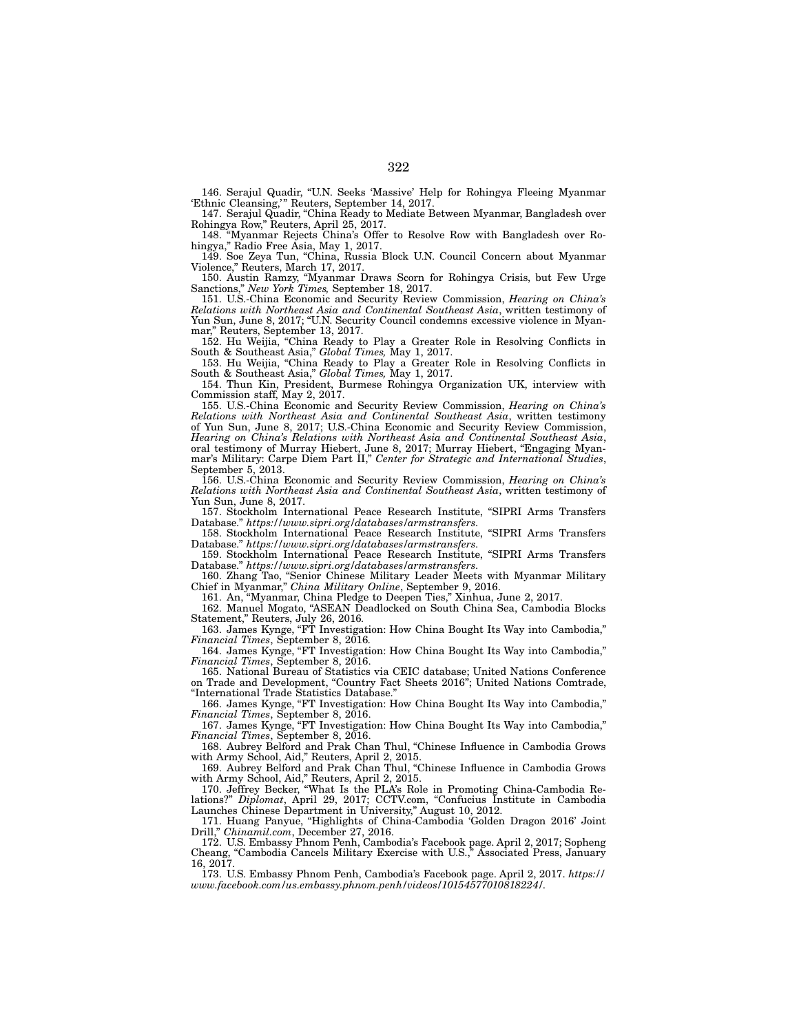146. Serajul Quadir, "U.N. Seeks 'Massive' Help for Rohingya Fleeing Myanmar 'Ethnic Cleansing,'" Reuters, September 14, 2017.

147. Serajul Quadir, "China Ready to Mediate Between Myanmar, Bangladesh over Rohingya Row," Reuters, April 25, 2017.

148. "Myanmar Rejects China's Offer to Resolve Row with Bangladesh over Rohingya," Radio Free Asia, May 1, 2017.

149. Soe Zeya Tun, "China, Russia Block U.N. Council Concern about Myanmar Violence," Reuters, March 17, 2017.

150. Austin Ramzy, "Myanmar Draws Scorn for Rohingya Crisis, but Few Urge Sanctions," *New York Times,* September 18, 2017.

151. U.S.-China Economic and Security Review Commission, *Hearing on China's Relations with Northeast Asia and Continental Southeast Asia*, written testimony of Yun Sun, June 8, 2017; "U.N. Security Council condemns excessive violence in Myanmar," Reuters, September 13, 2017.

152. Hu Weijia, "China Ready to Play a Greater Role in Resolving Conflicts in South & Southeast Asia," *Global Times,* May 1, 2017.

153. Hu Weijia, "China Ready to Play a Greater Role in Resolving Conflicts in South & Southeast Asia," *Global Times,* May 1, 2017.

154. Thun Kin, President, Burmese Rohingya Organization UK, interview with Commission staff, May 2, 2017.

155. U.S.-China Economic and Security Review Commission, *Hearing on China's Relations with Northeast Asia and Continental Southeast Asia*, written testimony of Yun Sun, June 8, 2017; U.S.-China Economic and Security Review Commission, *Hearing on China's Relations with Northeast Asia and Continental Southeast Asia*, oral testimony of Murray Hiebert, June 8, 2017; Murray Hiebert, "Engaging Myanmar's Military: Carpe Diem Part II," *Center for Strategic and International Studies*, September 5, 2013.

156. U.S.-China Economic and Security Review Commission, *Hearing on China's Relations with Northeast Asia and Continental Southeast Asia*, written testimony of Yun Sun, June 8, 2017.

157. Stockholm International Peace Research Institute, "SIPRI Arms Transfers Database." *https://www.sipri.org/databases/armstransfers*.

158. Stockholm International Peace Research Institute, "SIPRI Arms Transfers Database." *https://www.sipri.org/databases/armstransfers*.

159. Stockholm International Peace Research Institute, "SIPRI Arms Transfers Database." *https://www.sipri.org/databases/armstransfers*.

160. Zhang Tao, "Senior Chinese Military Leader Meets with Myanmar Military Chief in Myanmar," *China Military Online*, September 9, 2016.

161. An, "Myanmar, China Pledge to Deepen Ties," Xinhua, June 2, 2017.

162. Manuel Mogato, "ASEAN Deadlocked on South China Sea, Cambodia Blocks Statement," Reuters, July 26, 2016*.*

163. James Kynge, "FT Investigation: How China Bought Its Way into Cambodia," *Financial Times*, September 8, 2016*.*

164. James Kynge, "FT Investigation: How China Bought Its Way into Cambodia," *Financial Times*, September 8, 2016.

165. National Bureau of Statistics via CEIC database; United Nations Conference on Trade and Development, "Country Fact Sheets 2016"; United Nations Comtrade, "International Trade Statistics Database."

166. James Kynge, "FT Investigation: How China Bought Its Way into Cambodia," *Financial Times*, September 8, 2016.

167. James Kynge, "FT Investigation: How China Bought Its Way into Cambodia," *Financial Times*, September 8, 2016.

168. Aubrey Belford and Prak Chan Thul, "Chinese Influence in Cambodia Grows with Army School, Aid," Reuters, April 2, 2015.

169. Aubrey Belford and Prak Chan Thul, "Chinese Influence in Cambodia Grows with Army School, Aid," Reuters, April 2, 2015.

170. Jeffrey Becker, "What Is the PLA's Role in Promoting China-Cambodia Relations?" *Diplomat*, April 29, 2017; CCTV.com, "Confucius Institute in Cambodia Launches Chinese Department in University," August 10, 2012.

171. Huang Panyue, "Highlights of China-Cambodia 'Golden Dragon 2016' Joint Drill," *Chinamil.com*, December 27, 2016.

172. U.S. Embassy Phnom Penh, Cambodia's Facebook page. April 2, 2017; Sopheng Cheang, "Cambodia Cancels Military Exercise with U.S.," Associated Press, January 16, 2017.

173. U.S. Embassy Phnom Penh, Cambodia's Facebook page. April 2, 2017. *https:// www.facebook.com/us.embassy.phnom.penh/videos/10154577010818224/*.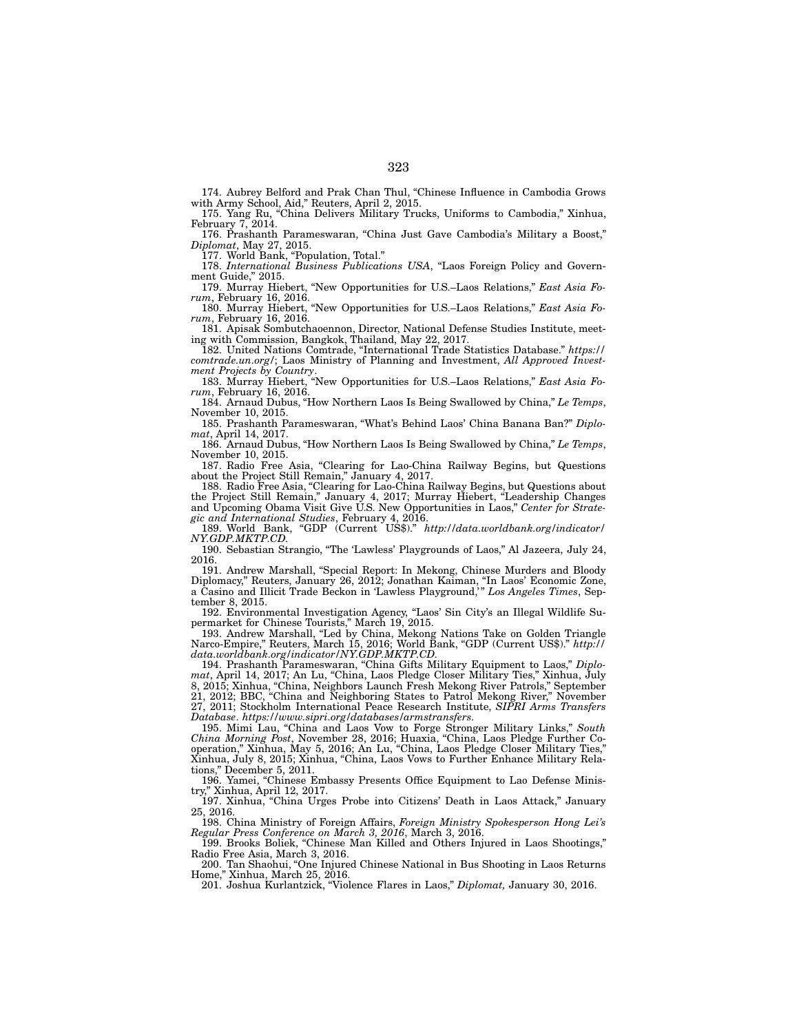174. Aubrey Belford and Prak Chan Thul, "Chinese Influence in Cambodia Grows with Army School, Aid," Reuters, April 2, 2015.

175. Yang Ru, "China Delivers Military Trucks, Uniforms to Cambodia," Xinhua, February 7, 2014.

176. Prashanth Parameswaran, "China Just Gave Cambodia's Military a Boost," *Diplomat*, May 27, 2015.

177. World Bank, "Population, Total."

178. *International Business Publications USA*, "Laos Foreign Policy and Government Guide," 2015.

179. Murray Hiebert, "New Opportunities for U.S.–Laos Relations," *East Asia Forum*, February 16, 2016.

180. Murray Hiebert, "New Opportunities for U.S.–Laos Relations," *East Asia Forum*, February 16, 2016.

181. Apisak Sombutchaoennon, Director, National Defense Studies Institute, meeting with Commission, Bangkok, Thailand, May 22, 2017.

182. United Nations Comtrade, "International Trade Statistics Database." *https:// comtrade.un.org/*; Laos Ministry of Planning and Investment, *All Approved Investment Projects by Country*.

183. Murray Hiebert, "New Opportunities for U.S.–Laos Relations," *East Asia Forum*, February 16, 2016.

184. Arnaud Dubus, "How Northern Laos Is Being Swallowed by China," *Le Temps*, November 10, 2015.

185. Prashanth Parameswaran, "What's Behind Laos' China Banana Ban?" *Diplomat*, April 14, 2017.

186. Arnaud Dubus, "How Northern Laos Is Being Swallowed by China," *Le Temps*, November 10, 2015.

187. Radio Free Asia, "Clearing for Lao-China Railway Begins, but Questions about the Project Still Remain," January 4, 2017.

188. Radio Free Asia, "Clearing for Lao-China Railway Begins, but Questions about the Project Still Remain," January 4, 2017; Murray Hiebert, "Leadership Changes and Upcoming Obama Visit Give U.S. New Opportunities in Laos," *Center for Strategic and International Studies*, February 4, 2016.

189. World Bank, "GDP (Current US\$)." *http://data.worldbank.org/indicator/ NY.GDP.MKTP.CD.*

190. Sebastian Strangio, "The 'Lawless' Playgrounds of Laos," Al Jazeera, July 24, 2016.

191. Andrew Marshall, "Special Report: In Mekong, Chinese Murders and Bloody Diplomacy," Reuters, January 26, 2012; Jonathan Kaiman, "In Laos' Economic Zone, a Casino and Illicit Trade Beckon in 'Lawless Playground,'" *Los Angeles Times*, September 8, 2015.

192. Environmental Investigation Agency, "Laos' Sin City's an Illegal Wildlife Supermarket for Chinese Tourists," March 19, 2015.

193. Andrew Marshall, "Led by China, Mekong Nations Take on Golden Triangle Narco-Empire," Reuters, March 15, 2016; World Bank, "GDP (Current US\$)." *http:// data.worldbank.org/indicator/NY.GDP.MKTP.CD.*

194. Prashanth Parameswaran, "China Gifts Military Equipment to Laos," *Diplomat*, April 14, 2017; An Lu, "China, Laos Pledge Closer Military Ties," Xinhua, July 8, 2015; Xinhua, "China, Neighbors Launch Fresh Mekong River Patrols," September 21, 2012; BBC, "China and Neighboring States to Patrol Mekong River," November 27, 2011; Stockholm International Peace Research Institute, *SIPRI Arms Transfers Database*. *https://www.sipri.org/databases/armstransfers*.

195. Mimi Lau, "China and Laos Vow to Forge Stronger Military Links," *South China Morning Post*, November 28, 2016; Huaxia, "China, Laos Pledge Further Cooperation," Xinhua, May 5, 2016; An Lu, "China, Laos Pledge Closer Military Ties," Xinhua, July 8, 2015; Xinhua, "China, Laos Vows to Further Enhance Military Relations," December 5, 2011.

196. Yamei, "Chinese Embassy Presents Office Equipment to Lao Defense Ministry," Xinhua, April 12, 2017.

197. Xinhua, "China Urges Probe into Citizens' Death in Laos Attack," January 25, 2016.

198. China Ministry of Foreign Affairs, *Foreign Ministry Spokesperson Hong Lei's Regular Press Conference on March 3, 2016*, March 3, 2016.

199. Brooks Boliek, "Chinese Man Killed and Others Injured in Laos Shootings," Radio Free Asia, March 3, 2016.

200. Tan Shaohui, "One Injured Chinese National in Bus Shooting in Laos Returns Home," Xinhua, March 25, 2016.

201. Joshua Kurlantzick, "Violence Flares in Laos," *Diplomat,* January 30, 2016.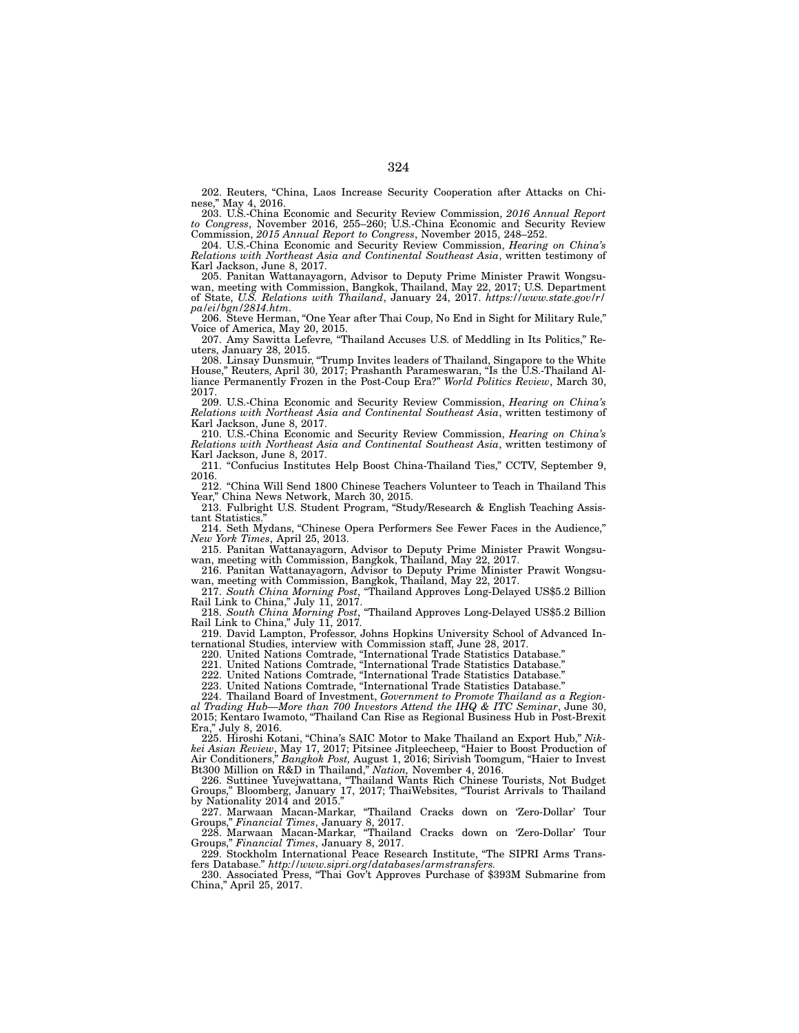202. Reuters, "China, Laos Increase Security Cooperation after Attacks on Chinese," May 4, 2016.

203. U.S.-China Economic and Security Review Commission, *2016 Annual Report to Congress*, November 2016, 255–260; U.S.-China Economic and Security Review Commission, *2015 Annual Report to Congress*, November 2015, 248–252.

204. U.S.-China Economic and Security Review Commission, *Hearing on China's Relations with Northeast Asia and Continental Southeast Asia*, written testimony of Karl Jackson, June 8, 2017.

205. Panitan Wattanayagorn, Advisor to Deputy Prime Minister Prawit Wongsuwan, meeting with Commission, Bangkok, Thailand, May 22, 2017; U.S. Department of State, *U.S. Relations with Thailand*, January 24, 2017. *https://www.state.gov/r/ pa/ei/bgn/2814.htm*.

206. Steve Herman, "One Year after Thai Coup, No End in Sight for Military Rule," Voice of America, May 20, 2015.

207. Amy Sawitta Lefevre*,* "Thailand Accuses U.S. of Meddling in Its Politics," Reuters, January 28, 2015.

208. Linsay Dunsmuir, "Trump Invites leaders of Thailand, Singapore to the White House," Reuters, April 30, 2017; Prashanth Parameswaran, "Is the U.S.-Thailand Alliance Permanently Frozen in the Post-Coup Era?" *World Politics Review*, March 30, 2017.

209. U.S.-China Economic and Security Review Commission, *Hearing on China's Relations with Northeast Asia and Continental Southeast Asia*, written testimony of Karl Jackson, June 8, 2017.

210. U.S.-China Economic and Security Review Commission, *Hearing on China's Relations with Northeast Asia and Continental Southeast Asia*, written testimony of Karl Jackson, June 8, 2017.

211. "Confucius Institutes Help Boost China-Thailand Ties," CCTV, September 9, 2016.

212. "China Will Send 1800 Chinese Teachers Volunteer to Teach in Thailand This Year," China News Network, March 30, 2015.

213. Fulbright U.S. Student Program, "Study/Research & English Teaching Assistant Statistics."

214. Seth Mydans, "Chinese Opera Performers See Fewer Faces in the Audience," *New York Times*, April 25, 2013.

215. Panitan Wattanayagorn, Advisor to Deputy Prime Minister Prawit Wongsuwan, meeting with Commission, Bangkok, Thailand, May 22, 2017.

216. Panitan Wattanayagorn, Advisor to Deputy Prime Minister Prawit Wongsuwan, meeting with Commission, Bangkok, Thailand, May 22, 2017.

217. *South China Morning Post*, "Thailand Approves Long-Delayed US\$5.2 Billion Rail Link to China," July 11, 2017.

218. *South China Morning Post*, "Thailand Approves Long-Delayed US\$5.2 Billion Rail Link to China," July 11, 2017*.*

219. David Lampton, Professor, Johns Hopkins University School of Advanced International Studies, interview with Commission staff, June 28, 2017.

220. United Nations Comtrade, "International Trade Statistics Database."

221. United Nations Comtrade, "International Trade Statistics Database."

222. United Nations Comtrade, "International Trade Statistics Database."

223. United Nations Comtrade, "International Trade Statistics Database."

224. Thailand Board of Investment, *Government to Promote Thailand as a Regional Trading Hub—More than 700 Investors Attend the IHQ & ITC Seminar*, June 30, 2015; Kentaro Iwamoto, "Thailand Can Rise as Regional Business Hub in Post-Brexit Era," July 8, 2016.

225. Hiroshi Kotani, "China's SAIC Motor to Make Thailand an Export Hub," *Nikkei Asian Review*, May 17, 2017; Pitsinee Jitpleecheep, "Haier to Boost Production of Air Conditioners," *Bangkok Post,* August 1, 2016; Sirivish Toomgum, "Haier to Invest Bt300 Million on R&D in Thailand," *Nation,* November 4, 2016.

226. Suttinee Yuvejwattana, "Thailand Wants Rich Chinese Tourists, Not Budget Groups," Bloomberg, January 17, 2017; ThaiWebsites, "Tourist Arrivals to Thailand by Nationality  $2014$  and  $2015$ .

227. Marwaan Macan-Markar, "Thailand Cracks down on 'Zero-Dollar' Tour Groups," *Financial Times*, January 8, 2017.

228. Marwaan Macan-Markar, "Thailand Cracks down on 'Zero-Dollar' Tour Groups," *Financial Times*, January 8, 2017.

229. Stockholm International Peace Research Institute, "The SIPRI Arms Transfers Database." *http://www.sipri.org/databases/armstransfers.*

230. Associated Press, "Thai Gov't Approves Purchase of \$393M Submarine from China," April 25, 2017.